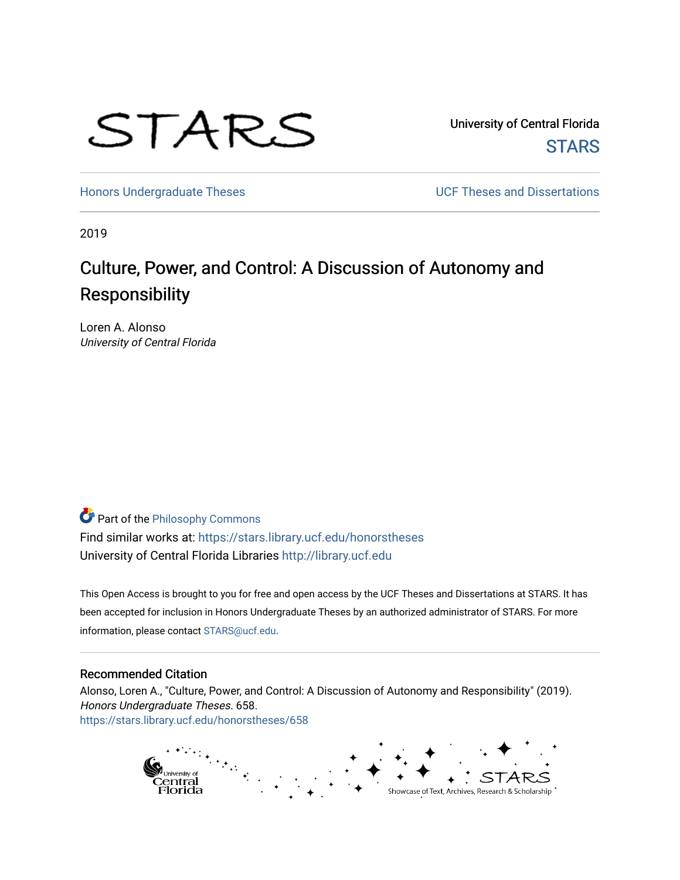

University of Central Florida **STARS** 

[Honors Undergraduate Theses](https://stars.library.ucf.edu/honorstheses) **Exercise 2018** UCF Theses and Dissertations

2019

# Culture, Power, and Control: A Discussion of Autonomy and Responsibility

Loren A. Alonso University of Central Florida

Part of the [Philosophy Commons](http://network.bepress.com/hgg/discipline/525?utm_source=stars.library.ucf.edu%2Fhonorstheses%2F658&utm_medium=PDF&utm_campaign=PDFCoverPages) 

Find similar works at: <https://stars.library.ucf.edu/honorstheses> University of Central Florida Libraries [http://library.ucf.edu](http://library.ucf.edu/) 

This Open Access is brought to you for free and open access by the UCF Theses and Dissertations at STARS. It has been accepted for inclusion in Honors Undergraduate Theses by an authorized administrator of STARS. For more information, please contact [STARS@ucf.edu.](mailto:STARS@ucf.edu)

#### Recommended Citation

Alonso, Loren A., "Culture, Power, and Control: A Discussion of Autonomy and Responsibility" (2019). Honors Undergraduate Theses. 658. [https://stars.library.ucf.edu/honorstheses/658](https://stars.library.ucf.edu/honorstheses/658?utm_source=stars.library.ucf.edu%2Fhonorstheses%2F658&utm_medium=PDF&utm_campaign=PDFCoverPages) 

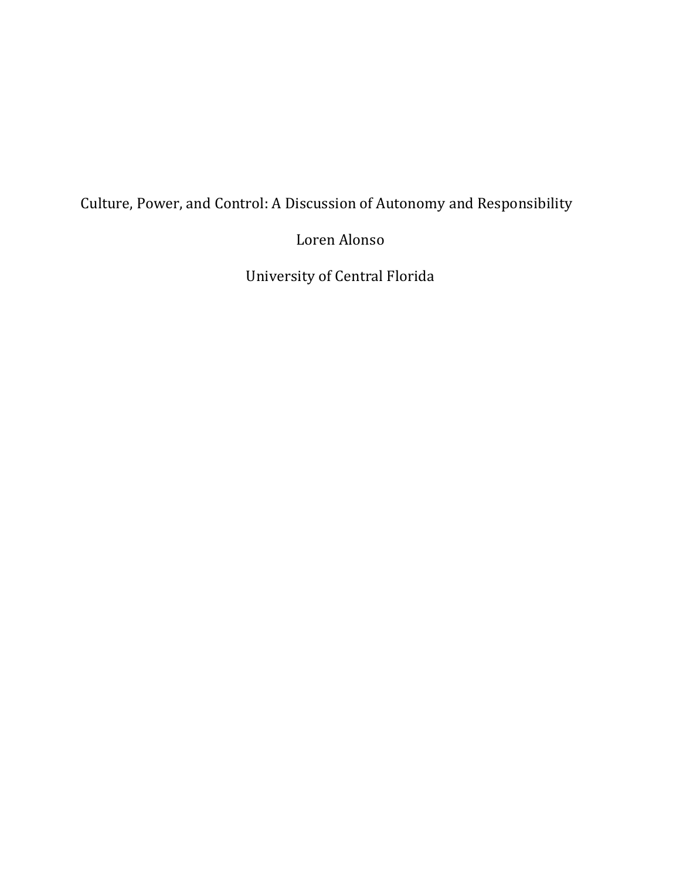# Culture, Power, and Control: A Discussion of Autonomy and Responsibility

Loren Alonso

University of Central Florida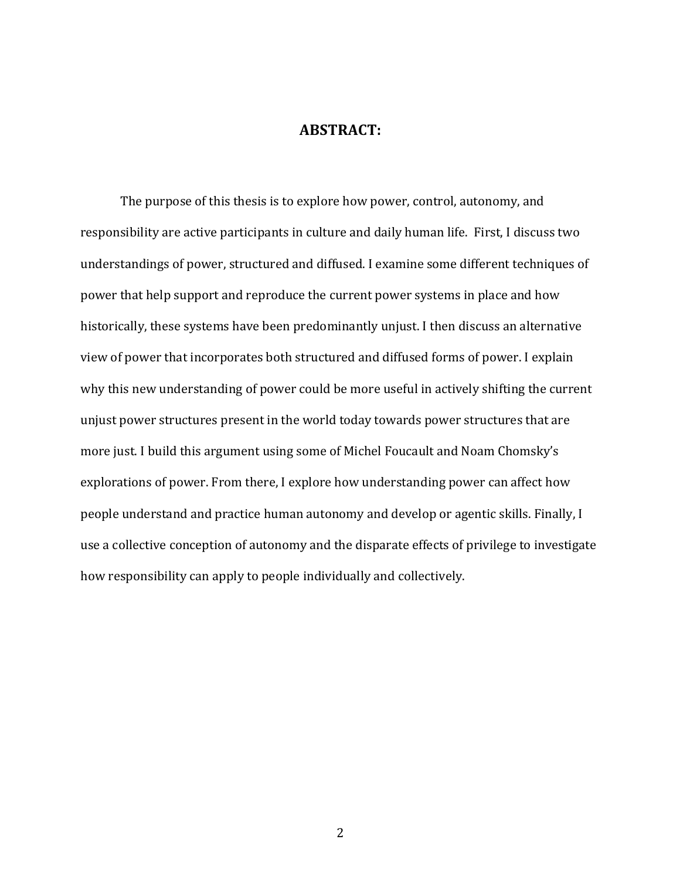### **ABSTRACT:**

The purpose of this thesis is to explore how power, control, autonomy, and responsibility are active participants in culture and daily human life. First, I discuss two understandings of power, structured and diffused. I examine some different techniques of power that help support and reproduce the current power systems in place and how historically, these systems have been predominantly unjust. I then discuss an alternative view of power that incorporates both structured and diffused forms of power. I explain why this new understanding of power could be more useful in actively shifting the current unjust power structures present in the world today towards power structures that are more just. I build this argument using some of Michel Foucault and Noam Chomsky's explorations of power. From there, I explore how understanding power can affect how people understand and practice human autonomy and develop or agentic skills. Finally, I use a collective conception of autonomy and the disparate effects of privilege to investigate how responsibility can apply to people individually and collectively.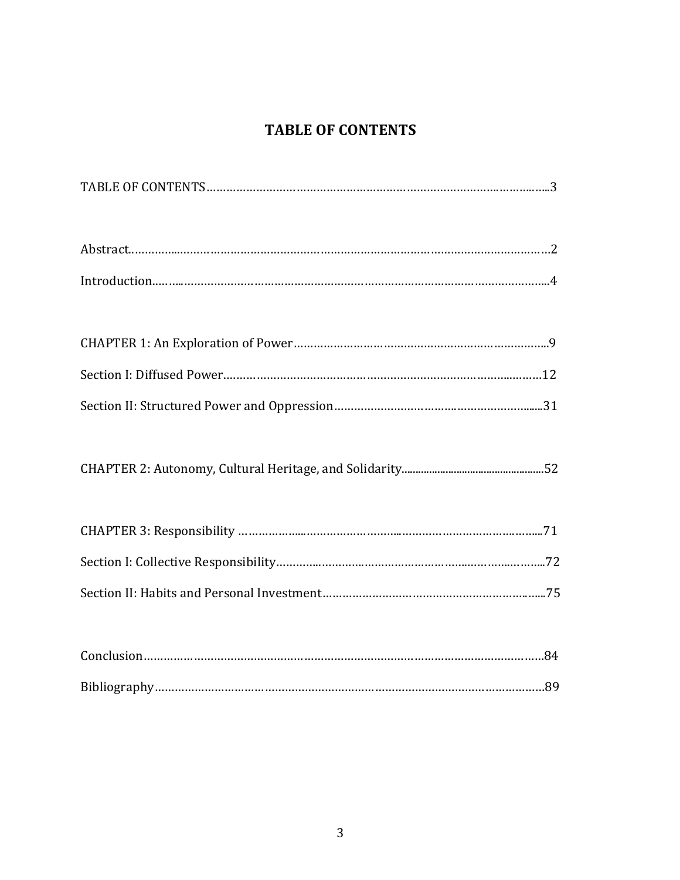## **TABLE OF CONTENTS**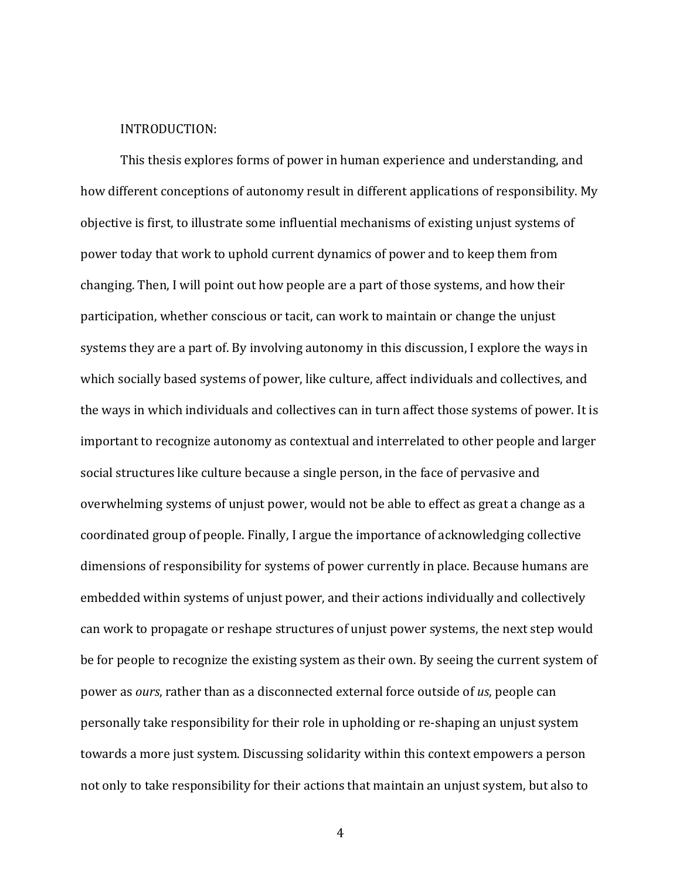### INTRODUCTION:

This thesis explores forms of power in human experience and understanding, and how different conceptions of autonomy result in different applications of responsibility. My objective is first, to illustrate some influential mechanisms of existing unjust systems of power today that work to uphold current dynamics of power and to keep them from changing. Then, I will point out how people are a part of those systems, and how their participation, whether conscious or tacit, can work to maintain or change the unjust systems they are a part of. By involving autonomy in this discussion, I explore the ways in which socially based systems of power, like culture, affect individuals and collectives, and the ways in which individuals and collectives can in turn affect those systems of power. It is important to recognize autonomy as contextual and interrelated to other people and larger social structures like culture because a single person, in the face of pervasive and overwhelming systems of unjust power, would not be able to effect as great a change as a coordinated group of people. Finally, I argue the importance of acknowledging collective dimensions of responsibility for systems of power currently in place. Because humans are embedded within systems of unjust power, and their actions individually and collectively can work to propagate or reshape structures of unjust power systems, the next step would be for people to recognize the existing system as their own. By seeing the current system of power as *ours*, rather than as a disconnected external force outside of *us*, people can personally take responsibility for their role in upholding or re-shaping an unjust system towards a more just system. Discussing solidarity within this context empowers a person not only to take responsibility for their actions that maintain an unjust system, but also to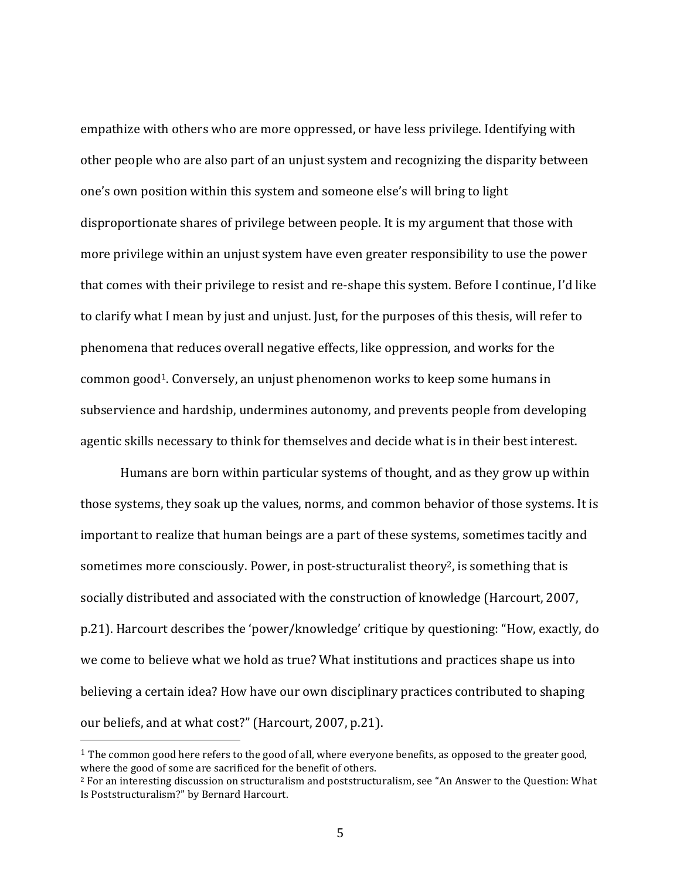empathize with others who are more oppressed, or have less privilege. Identifying with other people who are also part of an unjust system and recognizing the disparity between one's own position within this system and someone else's will bring to light disproportionate shares of privilege between people. It is my argument that those with more privilege within an unjust system have even greater responsibility to use the power that comes with their privilege to resist and re-shape this system. Before I continue, I'd like to clarify what I mean by just and unjust. Just, for the purposes of this thesis, will refer to phenomena that reduces overall negative effects, like oppression, and works for the common good<sup>1</sup>. Conversely, an unjust phenomenon works to keep some humans in subservience and hardship, undermines autonomy, and prevents people from developing agentic skills necessary to think for themselves and decide what is in their best interest.

Humans are born within particular systems of thought, and as they grow up within those systems, they soak up the values, norms, and common behavior of those systems. It is important to realize that human beings are a part of these systems, sometimes tacitly and sometimes more consciously. Power, in post-structuralist theory<sup>2</sup>, is something that is socially distributed and associated with the construction of knowledge (Harcourt, 2007, p.21). Harcourt describes the 'power/knowledge' critique by questioning: "How, exactly, do we come to believe what we hold as true? What institutions and practices shape us into believing a certain idea? How have our own disciplinary practices contributed to shaping our beliefs, and at what cost?" (Harcourt, 2007, p.21).

<sup>&</sup>lt;sup>1</sup> The common good here refers to the good of all, where everyone benefits, as opposed to the greater good, where the good of some are sacrificed for the benefit of others.

 $2$  For an interesting discussion on structuralism and poststructuralism, see "An Answer to the Question: What Is Poststructuralism?" by Bernard Harcourt.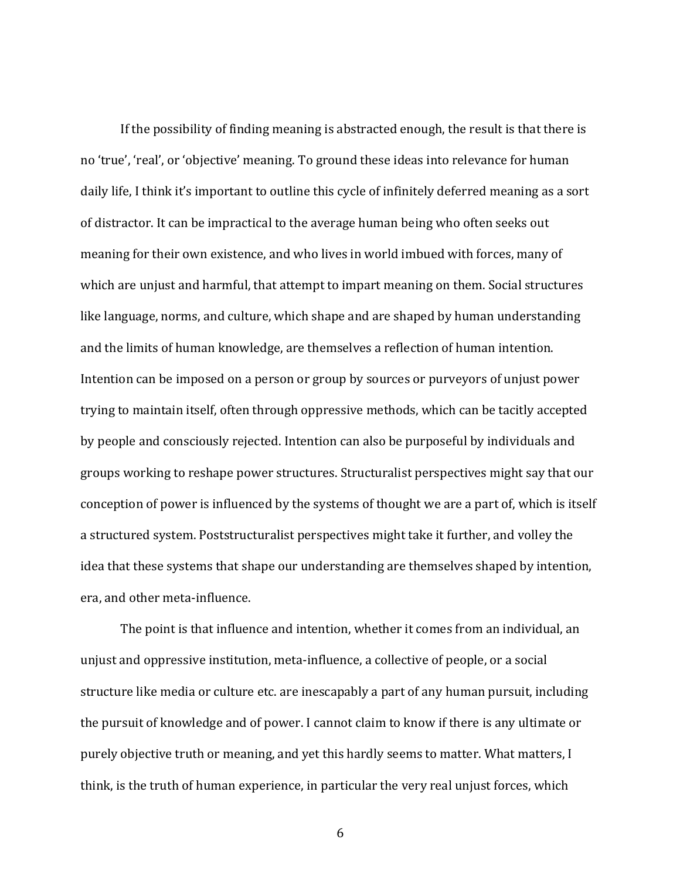If the possibility of finding meaning is abstracted enough, the result is that there is no 'true', 'real', or 'objective' meaning. To ground these ideas into relevance for human daily life, I think it's important to outline this cycle of infinitely deferred meaning as a sort of distractor. It can be impractical to the average human being who often seeks out meaning for their own existence, and who lives in world imbued with forces, many of which are unjust and harmful, that attempt to impart meaning on them. Social structures like language, norms, and culture, which shape and are shaped by human understanding and the limits of human knowledge, are themselves a reflection of human intention. Intention can be imposed on a person or group by sources or purveyors of unjust power trying to maintain itself, often through oppressive methods, which can be tacitly accepted by people and consciously rejected. Intention can also be purposeful by individuals and groups working to reshape power structures. Structuralist perspectives might say that our conception of power is influenced by the systems of thought we are a part of, which is itself a structured system. Poststructuralist perspectives might take it further, and volley the idea that these systems that shape our understanding are themselves shaped by intention, era, and other meta-influence.

The point is that influence and intention, whether it comes from an individual, an unjust and oppressive institution, meta-influence, a collective of people, or a social structure like media or culture etc. are inescapably a part of any human pursuit, including the pursuit of knowledge and of power. I cannot claim to know if there is any ultimate or purely objective truth or meaning, and yet this hardly seems to matter. What matters, I think, is the truth of human experience, in particular the very real unjust forces, which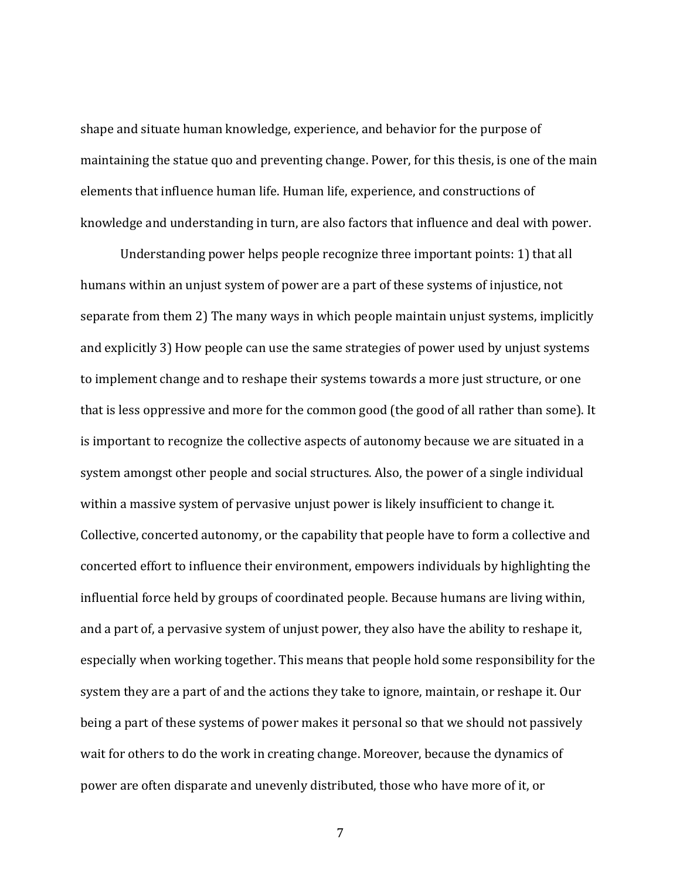shape and situate human knowledge, experience, and behavior for the purpose of maintaining the statue quo and preventing change. Power, for this thesis, is one of the main elements that influence human life. Human life, experience, and constructions of knowledge and understanding in turn, are also factors that influence and deal with power.

Understanding power helps people recognize three important points: 1) that all humans within an unjust system of power are a part of these systems of injustice, not separate from them 2) The many ways in which people maintain unjust systems, implicitly and explicitly 3) How people can use the same strategies of power used by unjust systems to implement change and to reshape their systems towards a more just structure, or one that is less oppressive and more for the common good (the good of all rather than some). It is important to recognize the collective aspects of autonomy because we are situated in a system amongst other people and social structures. Also, the power of a single individual within a massive system of pervasive unjust power is likely insufficient to change it. Collective, concerted autonomy, or the capability that people have to form a collective and concerted effort to influence their environment, empowers individuals by highlighting the influential force held by groups of coordinated people. Because humans are living within, and a part of, a pervasive system of unjust power, they also have the ability to reshape it, especially when working together. This means that people hold some responsibility for the system they are a part of and the actions they take to ignore, maintain, or reshape it. Our being a part of these systems of power makes it personal so that we should not passively wait for others to do the work in creating change. Moreover, because the dynamics of power are often disparate and unevenly distributed, those who have more of it, or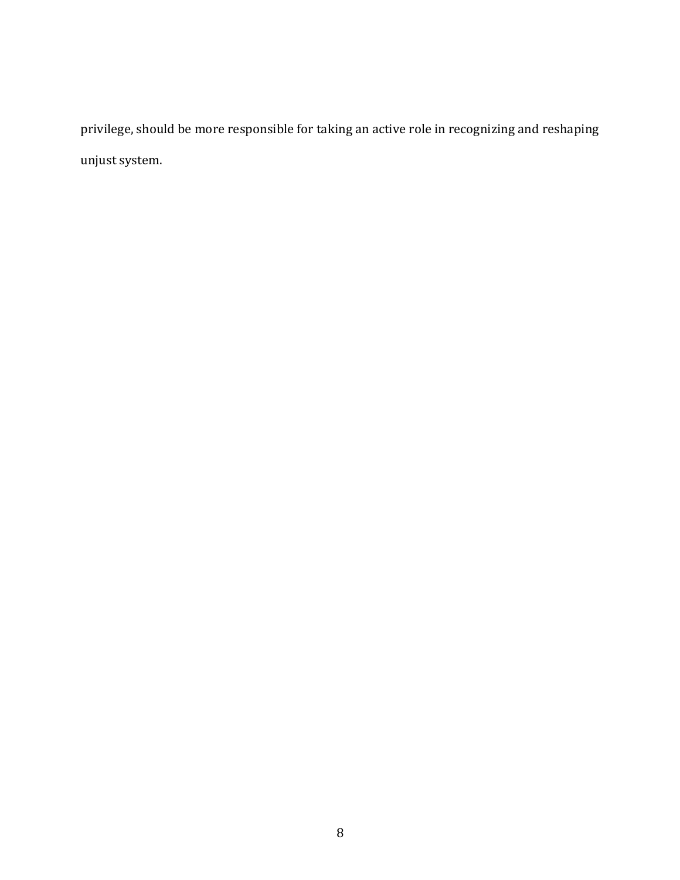privilege, should be more responsible for taking an active role in recognizing and reshaping unjust system.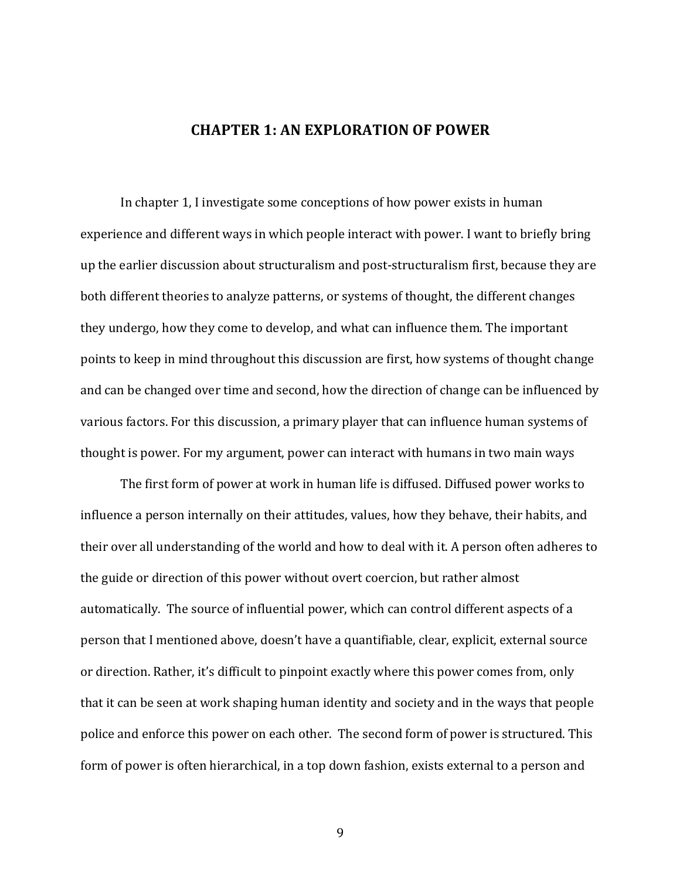### **CHAPTER 1: AN EXPLORATION OF POWER**

In chapter 1, I investigate some conceptions of how power exists in human experience and different ways in which people interact with power. I want to briefly bring up the earlier discussion about structuralism and post-structuralism first, because they are both different theories to analyze patterns, or systems of thought, the different changes they undergo, how they come to develop, and what can influence them. The important points to keep in mind throughout this discussion are first, how systems of thought change and can be changed over time and second, how the direction of change can be influenced by various factors. For this discussion, a primary player that can influence human systems of thought is power. For my argument, power can interact with humans in two main ways

The first form of power at work in human life is diffused. Diffused power works to influence a person internally on their attitudes, values, how they behave, their habits, and their over all understanding of the world and how to deal with it. A person often adheres to the guide or direction of this power without overt coercion, but rather almost automatically. The source of influential power, which can control different aspects of a person that I mentioned above, doesn't have a quantifiable, clear, explicit, external source or direction. Rather, it's difficult to pinpoint exactly where this power comes from, only that it can be seen at work shaping human identity and society and in the ways that people police and enforce this power on each other. The second form of power is structured. This form of power is often hierarchical, in a top down fashion, exists external to a person and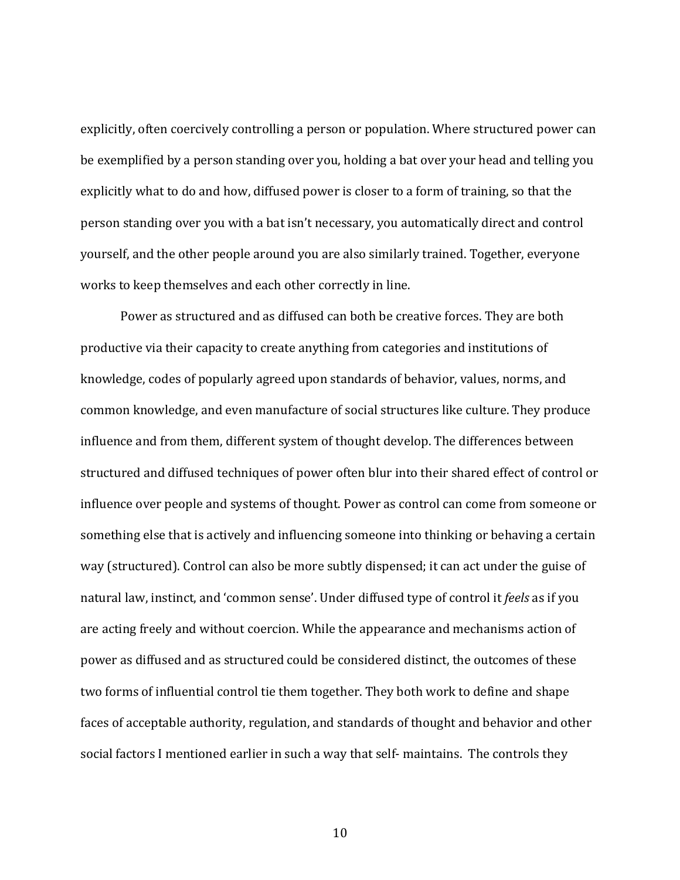explicitly, often coercively controlling a person or population. Where structured power can be exemplified by a person standing over you, holding a bat over your head and telling you explicitly what to do and how, diffused power is closer to a form of training, so that the person standing over you with a bat isn't necessary, you automatically direct and control yourself, and the other people around you are also similarly trained. Together, everyone works to keep themselves and each other correctly in line.

Power as structured and as diffused can both be creative forces. They are both productive via their capacity to create anything from categories and institutions of knowledge, codes of popularly agreed upon standards of behavior, values, norms, and common knowledge, and even manufacture of social structures like culture. They produce influence and from them, different system of thought develop. The differences between structured and diffused techniques of power often blur into their shared effect of control or influence over people and systems of thought. Power as control can come from someone or something else that is actively and influencing someone into thinking or behaving a certain way (structured). Control can also be more subtly dispensed; it can act under the guise of natural law, instinct, and 'common sense'. Under diffused type of control it *feels* as if you are acting freely and without coercion. While the appearance and mechanisms action of power as diffused and as structured could be considered distinct, the outcomes of these two forms of influential control tie them together. They both work to define and shape faces of acceptable authority, regulation, and standards of thought and behavior and other social factors I mentioned earlier in such a way that self- maintains. The controls they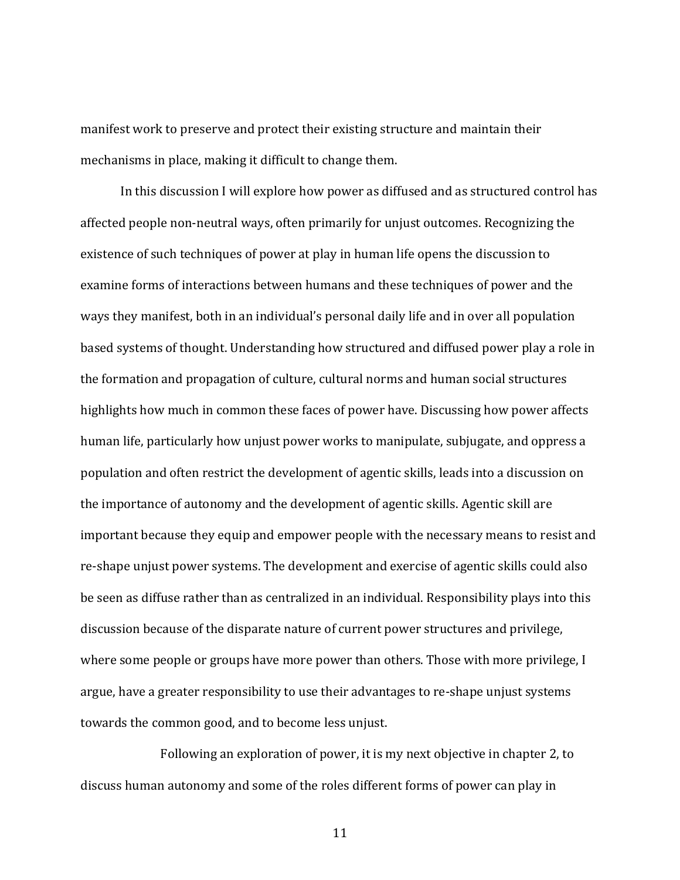manifest work to preserve and protect their existing structure and maintain their mechanisms in place, making it difficult to change them.

In this discussion I will explore how power as diffused and as structured control has affected people non-neutral ways, often primarily for unjust outcomes. Recognizing the existence of such techniques of power at play in human life opens the discussion to examine forms of interactions between humans and these techniques of power and the ways they manifest, both in an individual's personal daily life and in over all population based systems of thought. Understanding how structured and diffused power play a role in the formation and propagation of culture, cultural norms and human social structures highlights how much in common these faces of power have. Discussing how power affects human life, particularly how unjust power works to manipulate, subjugate, and oppress a population and often restrict the development of agentic skills, leads into a discussion on the importance of autonomy and the development of agentic skills. Agentic skill are important because they equip and empower people with the necessary means to resist and re-shape unjust power systems. The development and exercise of agentic skills could also be seen as diffuse rather than as centralized in an individual. Responsibility plays into this discussion because of the disparate nature of current power structures and privilege, where some people or groups have more power than others. Those with more privilege, I argue, have a greater responsibility to use their advantages to re-shape unjust systems towards the common good, and to become less unjust.

Following an exploration of power, it is my next objective in chapter 2, to discuss human autonomy and some of the roles different forms of power can play in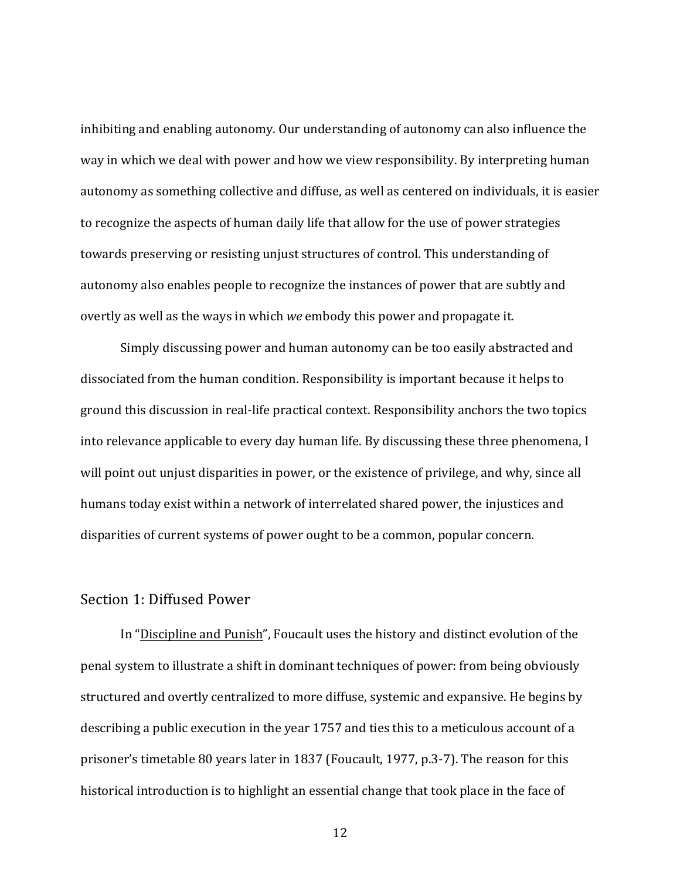inhibiting and enabling autonomy. Our understanding of autonomy can also influence the way in which we deal with power and how we view responsibility. By interpreting human autonomy as something collective and diffuse, as well as centered on individuals, it is easier to recognize the aspects of human daily life that allow for the use of power strategies towards preserving or resisting unjust structures of control. This understanding of autonomy also enables people to recognize the instances of power that are subtly and overtly as well as the ways in which *we* embody this power and propagate it.

Simply discussing power and human autonomy can be too easily abstracted and dissociated from the human condition. Responsibility is important because it helps to ground this discussion in real-life practical context. Responsibility anchors the two topics into relevance applicable to every day human life. By discussing these three phenomena, I will point out unjust disparities in power, or the existence of privilege, and why, since all humans today exist within a network of interrelated shared power, the injustices and disparities of current systems of power ought to be a common, popular concern.

### Section 1: Diffused Power

In "Discipline and Punish", Foucault uses the history and distinct evolution of the penal system to illustrate a shift in dominant techniques of power: from being obviously structured and overtly centralized to more diffuse, systemic and expansive. He begins by describing a public execution in the year 1757 and ties this to a meticulous account of a prisoner's timetable 80 years later in 1837 (Foucault, 1977, p.3-7). The reason for this historical introduction is to highlight an essential change that took place in the face of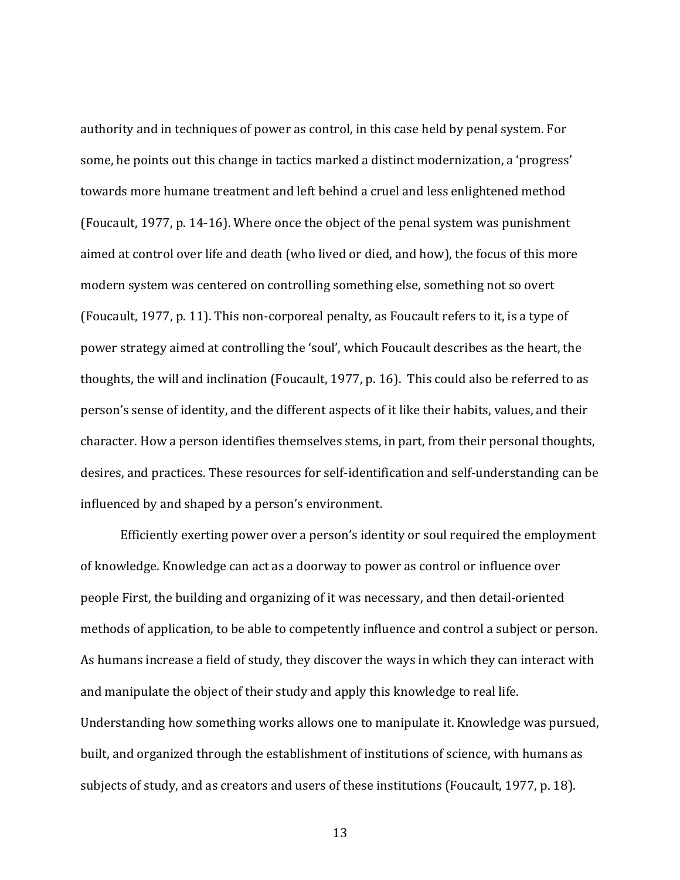authority and in techniques of power as control, in this case held by penal system. For some, he points out this change in tactics marked a distinct modernization, a 'progress' towards more humane treatment and left behind a cruel and less enlightened method (Foucault, 1977, p. 14-16). Where once the object of the penal system was punishment aimed at control over life and death (who lived or died, and how), the focus of this more modern system was centered on controlling something else, something not so overt (Foucault, 1977, p. 11). This non-corporeal penalty, as Foucault refers to it, is a type of power strategy aimed at controlling the 'soul', which Foucault describes as the heart, the thoughts, the will and inclination (Foucault, 1977, p. 16). This could also be referred to as person's sense of identity, and the different aspects of it like their habits, values, and their character. How a person identifies themselves stems, in part, from their personal thoughts, desires, and practices. These resources for self-identification and self-understanding can be influenced by and shaped by a person's environment.

Efficiently exerting power over a person's identity or soul required the employment of knowledge. Knowledge can act as a doorway to power as control or influence over people First, the building and organizing of it was necessary, and then detail-oriented methods of application, to be able to competently influence and control a subject or person. As humans increase a field of study, they discover the ways in which they can interact with and manipulate the object of their study and apply this knowledge to real life. Understanding how something works allows one to manipulate it. Knowledge was pursued, built, and organized through the establishment of institutions of science, with humans as subjects of study, and as creators and users of these institutions (Foucault, 1977, p. 18).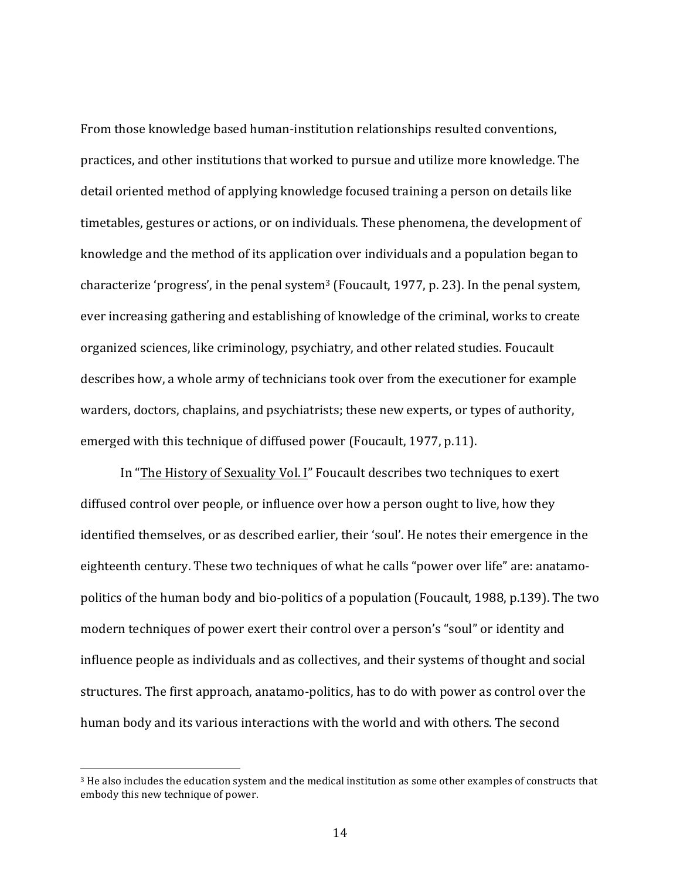From those knowledge based human-institution relationships resulted conventions, practices, and other institutions that worked to pursue and utilize more knowledge. The detail oriented method of applying knowledge focused training a person on details like timetables, gestures or actions, or on individuals. These phenomena, the development of knowledge and the method of its application over individuals and a population began to characterize 'progress', in the penal system<sup>3</sup> (Foucault, 1977, p. 23). In the penal system, ever increasing gathering and establishing of knowledge of the criminal, works to create organized sciences, like criminology, psychiatry, and other related studies. Foucault describes how, a whole army of technicians took over from the executioner for example warders, doctors, chaplains, and psychiatrists; these new experts, or types of authority, emerged with this technique of diffused power (Foucault, 1977, p.11).

In "The History of Sexuality Vol. I" Foucault describes two techniques to exert diffused control over people, or influence over how a person ought to live, how they identified themselves, or as described earlier, their 'soul'. He notes their emergence in the eighteenth century. These two techniques of what he calls "power over life" are: anatamopolitics of the human body and bio-politics of a population (Foucault, 1988, p.139). The two modern techniques of power exert their control over a person's "soul" or identity and influence people as individuals and as collectives, and their systems of thought and social structures. The first approach, anatamo-politics, has to do with power as control over the human body and its various interactions with the world and with others. The second

 $3$  He also includes the education system and the medical institution as some other examples of constructs that embody this new technique of power.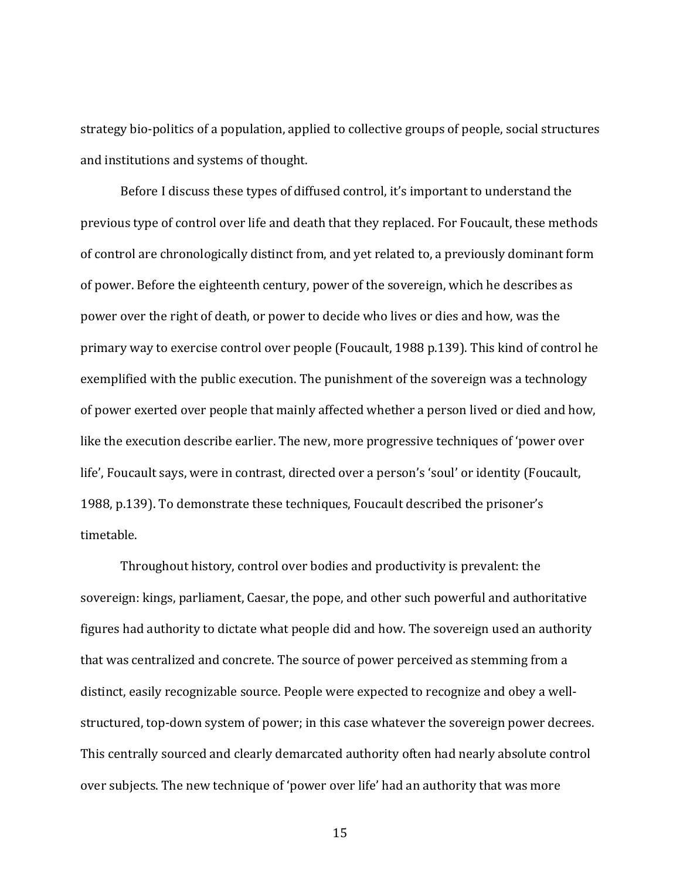strategy bio-politics of a population, applied to collective groups of people, social structures and institutions and systems of thought.

Before I discuss these types of diffused control, it's important to understand the previous type of control over life and death that they replaced. For Foucault, these methods of control are chronologically distinct from, and yet related to, a previously dominant form of power. Before the eighteenth century, power of the sovereign, which he describes as power over the right of death, or power to decide who lives or dies and how, was the primary way to exercise control over people (Foucault, 1988 p.139). This kind of control he exemplified with the public execution. The punishment of the sovereign was a technology of power exerted over people that mainly affected whether a person lived or died and how, like the execution describe earlier. The new, more progressive techniques of 'power over life', Foucault says, were in contrast, directed over a person's 'soul' or identity (Foucault, 1988, p.139). To demonstrate these techniques, Foucault described the prisoner's timetable. 

Throughout history, control over bodies and productivity is prevalent: the sovereign: kings, parliament, Caesar, the pope, and other such powerful and authoritative figures had authority to dictate what people did and how. The sovereign used an authority that was centralized and concrete. The source of power perceived as stemming from a distinct, easily recognizable source. People were expected to recognize and obey a wellstructured, top-down system of power; in this case whatever the sovereign power decrees. This centrally sourced and clearly demarcated authority often had nearly absolute control over subjects. The new technique of 'power over life' had an authority that was more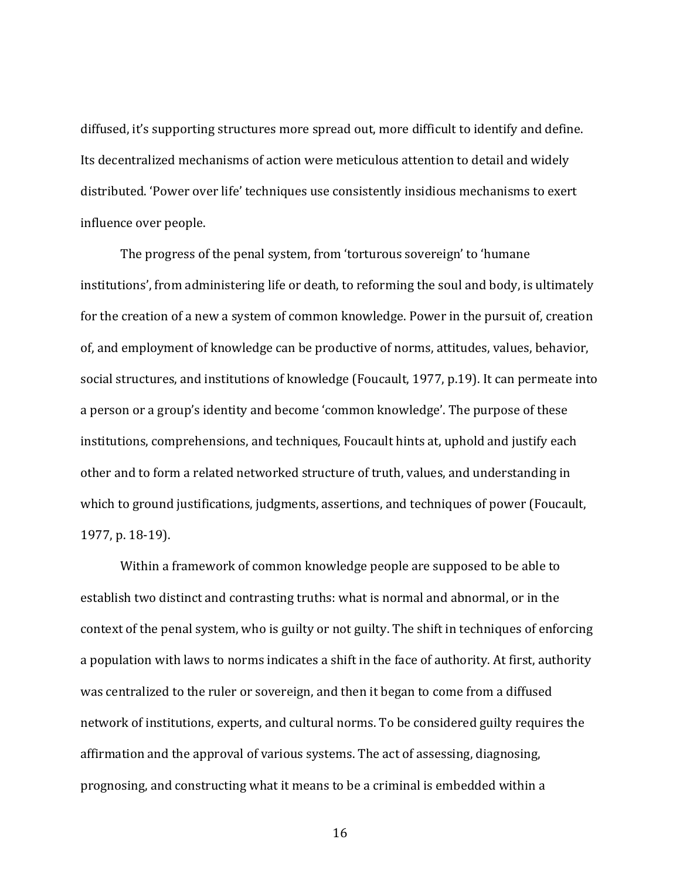diffused, it's supporting structures more spread out, more difficult to identify and define. Its decentralized mechanisms of action were meticulous attention to detail and widely distributed. 'Power over life' techniques use consistently insidious mechanisms to exert influence over people.

The progress of the penal system, from 'torturous sovereign' to 'humane institutions', from administering life or death, to reforming the soul and body, is ultimately for the creation of a new a system of common knowledge. Power in the pursuit of, creation of, and employment of knowledge can be productive of norms, attitudes, values, behavior, social structures, and institutions of knowledge (Foucault, 1977, p.19). It can permeate into a person or a group's identity and become 'common knowledge'. The purpose of these institutions, comprehensions, and techniques, Foucault hints at, uphold and justify each other and to form a related networked structure of truth, values, and understanding in which to ground justifications, judgments, assertions, and techniques of power (Foucault, 1977, p. 18-19).

Within a framework of common knowledge people are supposed to be able to establish two distinct and contrasting truths: what is normal and abnormal, or in the context of the penal system, who is guilty or not guilty. The shift in techniques of enforcing a population with laws to norms indicates a shift in the face of authority. At first, authority was centralized to the ruler or sovereign, and then it began to come from a diffused network of institutions, experts, and cultural norms. To be considered guilty requires the affirmation and the approval of various systems. The act of assessing, diagnosing, prognosing, and constructing what it means to be a criminal is embedded within a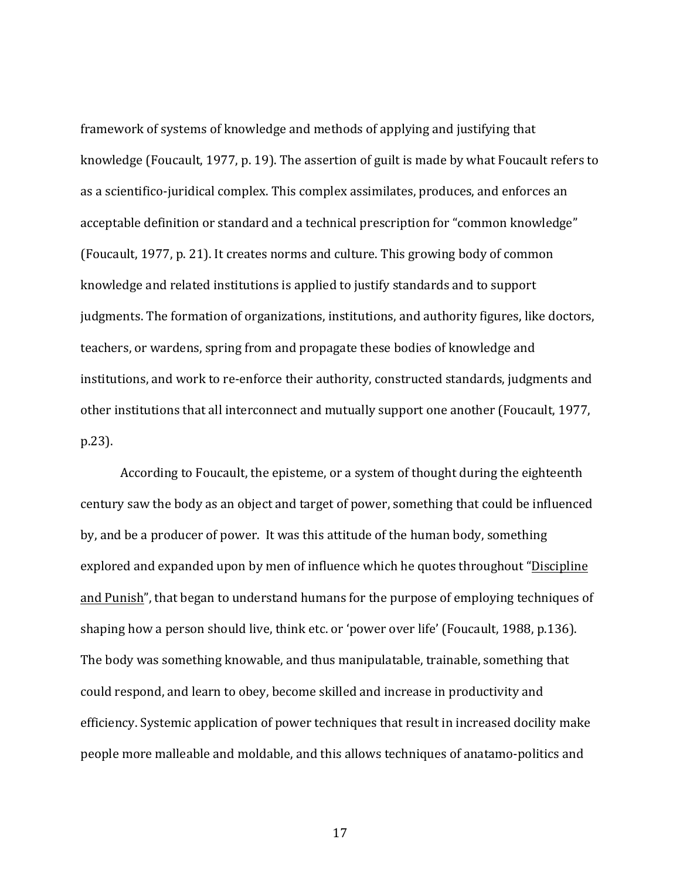framework of systems of knowledge and methods of applying and justifying that knowledge (Foucault, 1977, p. 19). The assertion of guilt is made by what Foucault refers to as a scientifico-juridical complex. This complex assimilates, produces, and enforces an acceptable definition or standard and a technical prescription for "common knowledge" (Foucault, 1977, p. 21). It creates norms and culture. This growing body of common knowledge and related institutions is applied to justify standards and to support judgments. The formation of organizations, institutions, and authority figures, like doctors, teachers, or wardens, spring from and propagate these bodies of knowledge and institutions, and work to re-enforce their authority, constructed standards, judgments and other institutions that all interconnect and mutually support one another (Foucault, 1977, p.23). 

According to Foucault, the episteme, or a system of thought during the eighteenth century saw the body as an object and target of power, something that could be influenced by, and be a producer of power. It was this attitude of the human body, something explored and expanded upon by men of influence which he quotes throughout "Discipline" and Punish", that began to understand humans for the purpose of employing techniques of shaping how a person should live, think etc. or 'power over life' (Foucault, 1988, p.136). The body was something knowable, and thus manipulatable, trainable, something that could respond, and learn to obey, become skilled and increase in productivity and efficiency. Systemic application of power techniques that result in increased docility make people more malleable and moldable, and this allows techniques of anatamo-politics and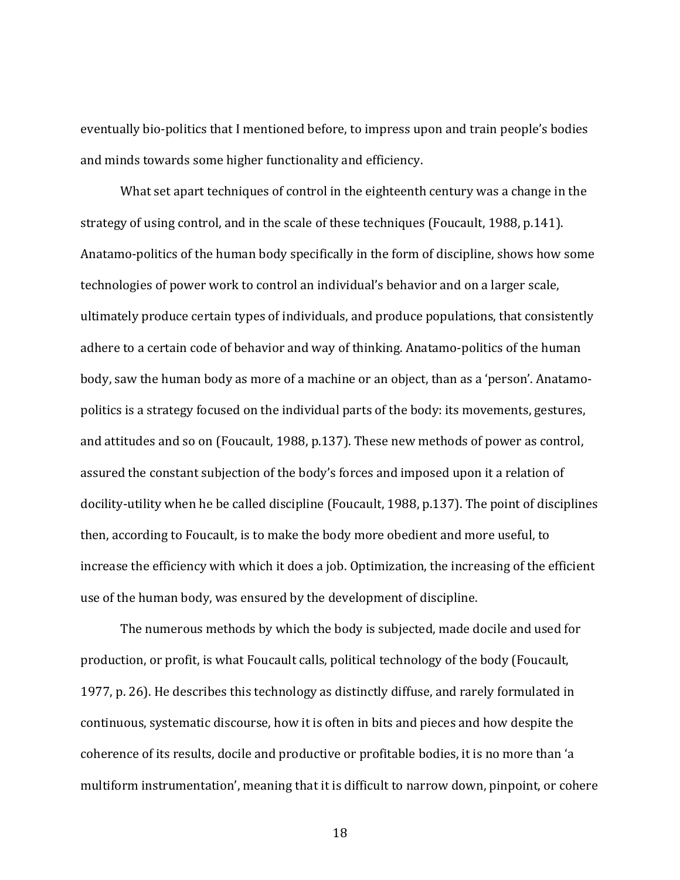eventually bio-politics that I mentioned before, to impress upon and train people's bodies and minds towards some higher functionality and efficiency.

What set apart techniques of control in the eighteenth century was a change in the strategy of using control, and in the scale of these techniques (Foucault, 1988, p.141). Anatamo-politics of the human body specifically in the form of discipline, shows how some technologies of power work to control an individual's behavior and on a larger scale, ultimately produce certain types of individuals, and produce populations, that consistently adhere to a certain code of behavior and way of thinking. Anatamo-politics of the human body, saw the human body as more of a machine or an object, than as a 'person'. Anatamopolitics is a strategy focused on the individual parts of the body: its movements, gestures, and attitudes and so on (Foucault, 1988, p.137). These new methods of power as control, assured the constant subjection of the body's forces and imposed upon it a relation of docility-utility when he be called discipline (Foucault, 1988, p.137). The point of disciplines then, according to Foucault, is to make the body more obedient and more useful, to increase the efficiency with which it does a job. Optimization, the increasing of the efficient use of the human body, was ensured by the development of discipline.

The numerous methods by which the body is subjected, made docile and used for production, or profit, is what Foucault calls, political technology of the body (Foucault, 1977, p. 26). He describes this technology as distinctly diffuse, and rarely formulated in continuous, systematic discourse, how it is often in bits and pieces and how despite the coherence of its results, docile and productive or profitable bodies, it is no more than 'a multiform instrumentation', meaning that it is difficult to narrow down, pinpoint, or cohere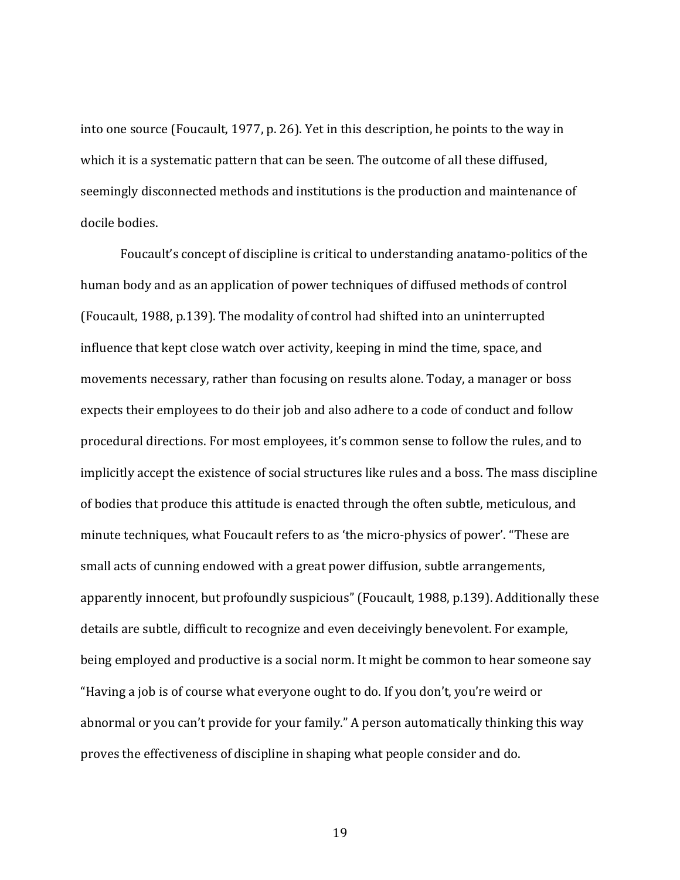into one source (Foucault, 1977, p. 26). Yet in this description, he points to the way in which it is a systematic pattern that can be seen. The outcome of all these diffused, seemingly disconnected methods and institutions is the production and maintenance of docile bodies.

Foucault's concept of discipline is critical to understanding anatamo-politics of the human body and as an application of power techniques of diffused methods of control (Foucault, 1988, p.139). The modality of control had shifted into an uninterrupted influence that kept close watch over activity, keeping in mind the time, space, and movements necessary, rather than focusing on results alone. Today, a manager or boss expects their employees to do their job and also adhere to a code of conduct and follow procedural directions. For most employees, it's common sense to follow the rules, and to implicitly accept the existence of social structures like rules and a boss. The mass discipline of bodies that produce this attitude is enacted through the often subtle, meticulous, and minute techniques, what Foucault refers to as 'the micro-physics of power'. "These are small acts of cunning endowed with a great power diffusion, subtle arrangements, apparently innocent, but profoundly suspicious" (Foucault, 1988, p.139). Additionally these details are subtle, difficult to recognize and even deceivingly benevolent. For example, being employed and productive is a social norm. It might be common to hear someone say "Having a job is of course what everyone ought to do. If you don't, you're weird or abnormal or you can't provide for your family." A person automatically thinking this way proves the effectiveness of discipline in shaping what people consider and do.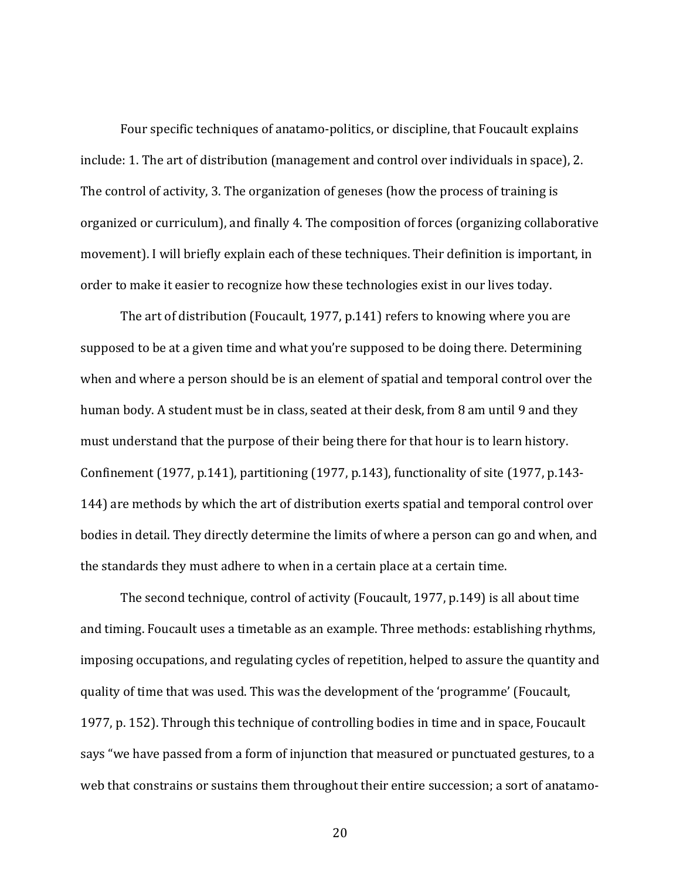Four specific techniques of anatamo-politics, or discipline, that Foucault explains include: 1. The art of distribution (management and control over individuals in space), 2. The control of activity, 3. The organization of geneses (how the process of training is organized or curriculum), and finally 4. The composition of forces (organizing collaborative movement). I will briefly explain each of these techniques. Their definition is important, in order to make it easier to recognize how these technologies exist in our lives today.

The art of distribution (Foucault, 1977, p.141) refers to knowing where you are supposed to be at a given time and what you're supposed to be doing there. Determining when and where a person should be is an element of spatial and temporal control over the human body. A student must be in class, seated at their desk, from 8 am until 9 and they must understand that the purpose of their being there for that hour is to learn history. Confinement  $(1977, p.141)$ , partitioning  $(1977, p.143)$ , functionality of site  $(1977, p.143-$ 144) are methods by which the art of distribution exerts spatial and temporal control over bodies in detail. They directly determine the limits of where a person can go and when, and the standards they must adhere to when in a certain place at a certain time.

The second technique, control of activity (Foucault, 1977,  $p.149$ ) is all about time and timing. Foucault uses a timetable as an example. Three methods: establishing rhythms, imposing occupations, and regulating cycles of repetition, helped to assure the quantity and quality of time that was used. This was the development of the 'programme' (Foucault, 1977, p. 152). Through this technique of controlling bodies in time and in space, Foucault says "we have passed from a form of injunction that measured or punctuated gestures, to a web that constrains or sustains them throughout their entire succession; a sort of anatamo-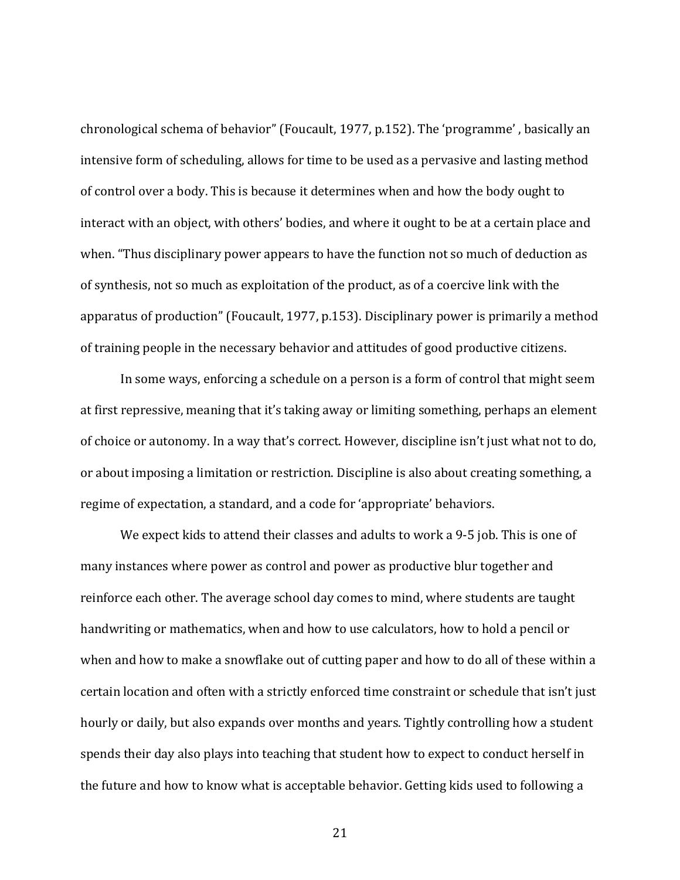chronological schema of behavior" (Foucault, 1977, p.152). The 'programme', basically an intensive form of scheduling, allows for time to be used as a pervasive and lasting method of control over a body. This is because it determines when and how the body ought to interact with an object, with others' bodies, and where it ought to be at a certain place and when. "Thus disciplinary power appears to have the function not so much of deduction as of synthesis, not so much as exploitation of the product, as of a coercive link with the apparatus of production" (Foucault, 1977, p.153). Disciplinary power is primarily a method of training people in the necessary behavior and attitudes of good productive citizens.

In some ways, enforcing a schedule on a person is a form of control that might seem at first repressive, meaning that it's taking away or limiting something, perhaps an element of choice or autonomy. In a way that's correct. However, discipline isn't just what not to do, or about imposing a limitation or restriction. Discipline is also about creating something, a regime of expectation, a standard, and a code for 'appropriate' behaviors.

We expect kids to attend their classes and adults to work a 9-5 job. This is one of many instances where power as control and power as productive blur together and reinforce each other. The average school day comes to mind, where students are taught handwriting or mathematics, when and how to use calculators, how to hold a pencil or when and how to make a snowflake out of cutting paper and how to do all of these within a certain location and often with a strictly enforced time constraint or schedule that isn't just hourly or daily, but also expands over months and years. Tightly controlling how a student spends their day also plays into teaching that student how to expect to conduct herself in the future and how to know what is acceptable behavior. Getting kids used to following a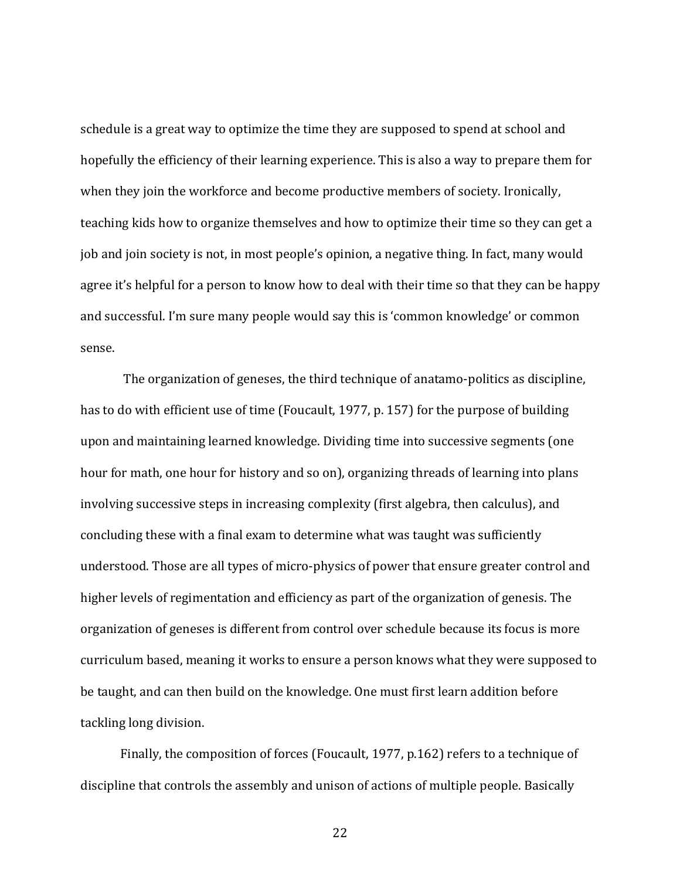schedule is a great way to optimize the time they are supposed to spend at school and hopefully the efficiency of their learning experience. This is also a way to prepare them for when they join the workforce and become productive members of society. Ironically, teaching kids how to organize themselves and how to optimize their time so they can get a job and join society is not, in most people's opinion, a negative thing. In fact, many would agree it's helpful for a person to know how to deal with their time so that they can be happy and successful. I'm sure many people would say this is 'common knowledge' or common sense. 

The organization of geneses, the third technique of anatamo-politics as discipline, has to do with efficient use of time (Foucault, 1977, p. 157) for the purpose of building upon and maintaining learned knowledge. Dividing time into successive segments (one hour for math, one hour for history and so on), organizing threads of learning into plans involving successive steps in increasing complexity (first algebra, then calculus), and concluding these with a final exam to determine what was taught was sufficiently understood. Those are all types of micro-physics of power that ensure greater control and higher levels of regimentation and efficiency as part of the organization of genesis. The organization of geneses is different from control over schedule because its focus is more curriculum based, meaning it works to ensure a person knows what they were supposed to be taught, and can then build on the knowledge. One must first learn addition before tackling long division.

Finally, the composition of forces (Foucault, 1977, p.162) refers to a technique of discipline that controls the assembly and unison of actions of multiple people. Basically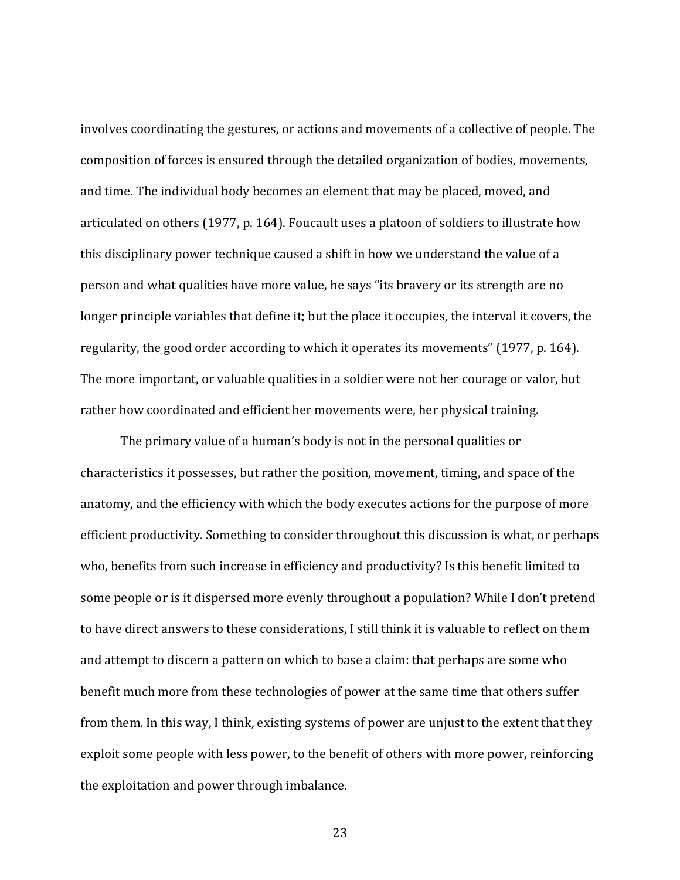involves coordinating the gestures, or actions and movements of a collective of people. The composition of forces is ensured through the detailed organization of bodies, movements, and time. The individual body becomes an element that may be placed, moved, and articulated on others (1977, p. 164). Foucault uses a platoon of soldiers to illustrate how this disciplinary power technique caused a shift in how we understand the value of a person and what qualities have more value, he says "its bravery or its strength are no longer principle variables that define it; but the place it occupies, the interval it covers, the regularity, the good order according to which it operates its movements" (1977, p. 164). The more important, or valuable qualities in a soldier were not her courage or valor, but rather how coordinated and efficient her movements were, her physical training.

The primary value of a human's body is not in the personal qualities or characteristics it possesses, but rather the position, movement, timing, and space of the anatomy, and the efficiency with which the body executes actions for the purpose of more efficient productivity. Something to consider throughout this discussion is what, or perhaps who, benefits from such increase in efficiency and productivity? Is this benefit limited to some people or is it dispersed more evenly throughout a population? While I don't pretend to have direct answers to these considerations, I still think it is valuable to reflect on them and attempt to discern a pattern on which to base a claim: that perhaps are some who benefit much more from these technologies of power at the same time that others suffer from them. In this way, I think, existing systems of power are unjust to the extent that they exploit some people with less power, to the benefit of others with more power, reinforcing the exploitation and power through imbalance.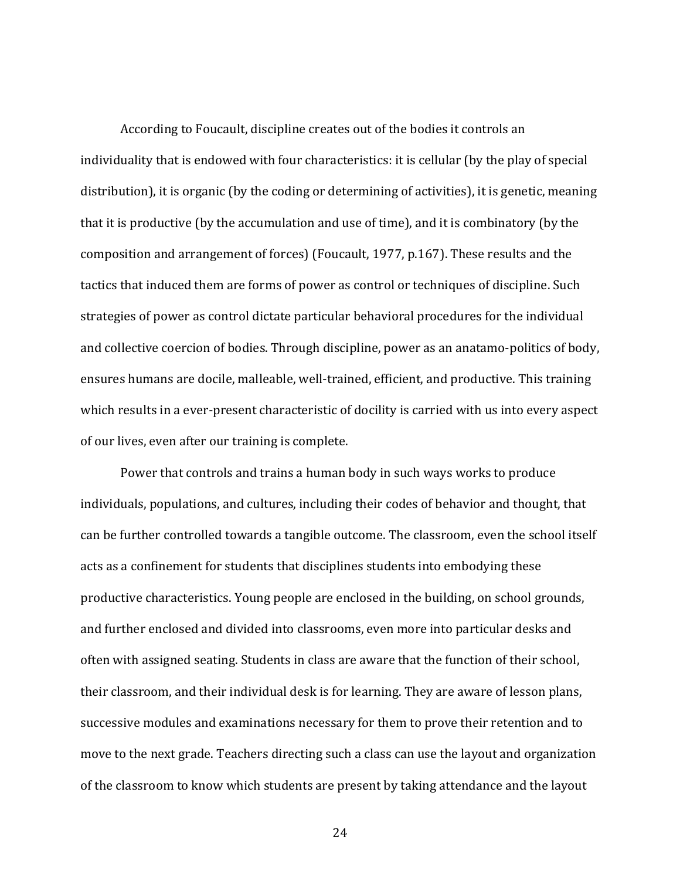According to Foucault, discipline creates out of the bodies it controls an individuality that is endowed with four characteristics: it is cellular (by the play of special distribution), it is organic (by the coding or determining of activities), it is genetic, meaning that it is productive (by the accumulation and use of time), and it is combinatory (by the composition and arrangement of forces) (Foucault, 1977, p.167). These results and the tactics that induced them are forms of power as control or techniques of discipline. Such strategies of power as control dictate particular behavioral procedures for the individual and collective coercion of bodies. Through discipline, power as an anatamo-politics of body, ensures humans are docile, malleable, well-trained, efficient, and productive. This training which results in a ever-present characteristic of docility is carried with us into every aspect of our lives, even after our training is complete.

Power that controls and trains a human body in such ways works to produce individuals, populations, and cultures, including their codes of behavior and thought, that can be further controlled towards a tangible outcome. The classroom, even the school itself acts as a confinement for students that disciplines students into embodying these productive characteristics. Young people are enclosed in the building, on school grounds, and further enclosed and divided into classrooms, even more into particular desks and often with assigned seating. Students in class are aware that the function of their school, their classroom, and their individual desk is for learning. They are aware of lesson plans, successive modules and examinations necessary for them to prove their retention and to move to the next grade. Teachers directing such a class can use the layout and organization of the classroom to know which students are present by taking attendance and the layout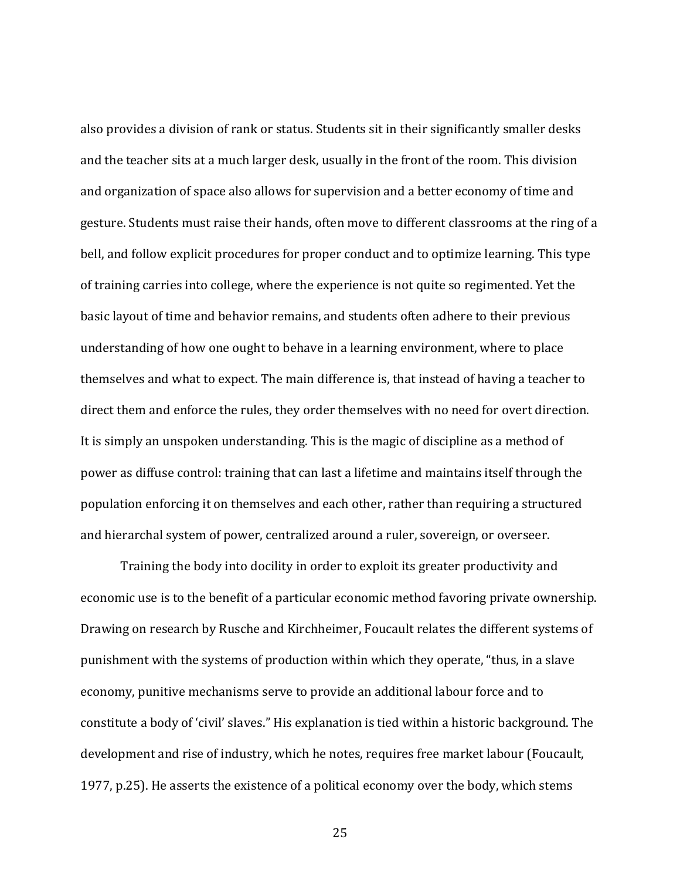also provides a division of rank or status. Students sit in their significantly smaller desks and the teacher sits at a much larger desk, usually in the front of the room. This division and organization of space also allows for supervision and a better economy of time and gesture. Students must raise their hands, often move to different classrooms at the ring of a bell, and follow explicit procedures for proper conduct and to optimize learning. This type of training carries into college, where the experience is not quite so regimented. Yet the basic layout of time and behavior remains, and students often adhere to their previous understanding of how one ought to behave in a learning environment, where to place themselves and what to expect. The main difference is, that instead of having a teacher to direct them and enforce the rules, they order themselves with no need for overt direction. It is simply an unspoken understanding. This is the magic of discipline as a method of power as diffuse control: training that can last a lifetime and maintains itself through the population enforcing it on themselves and each other, rather than requiring a structured and hierarchal system of power, centralized around a ruler, sovereign, or overseer.

Training the body into docility in order to exploit its greater productivity and economic use is to the benefit of a particular economic method favoring private ownership. Drawing on research by Rusche and Kirchheimer, Foucault relates the different systems of punishment with the systems of production within which they operate, "thus, in a slave economy, punitive mechanisms serve to provide an additional labour force and to constitute a body of 'civil' slaves." His explanation is tied within a historic background. The development and rise of industry, which he notes, requires free market labour (Foucault, 1977, p.25). He asserts the existence of a political economy over the body, which stems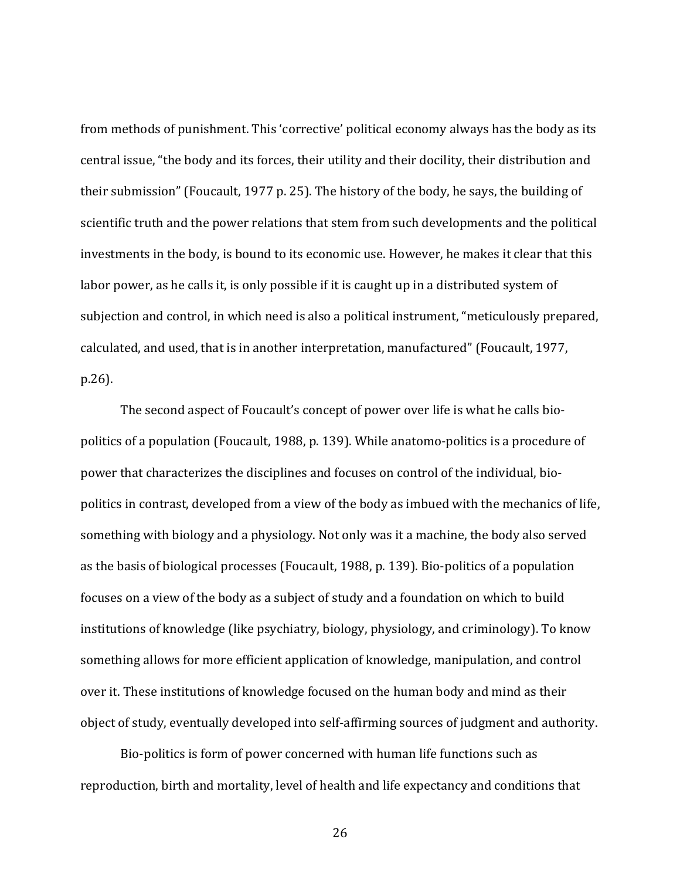from methods of punishment. This 'corrective' political economy always has the body as its central issue, "the body and its forces, their utility and their docility, their distribution and their submission" (Foucault, 1977 p. 25). The history of the body, he says, the building of scientific truth and the power relations that stem from such developments and the political investments in the body, is bound to its economic use. However, he makes it clear that this labor power, as he calls it, is only possible if it is caught up in a distributed system of subjection and control, in which need is also a political instrument, "meticulously prepared, calculated, and used, that is in another interpretation, manufactured" (Foucault, 1977, p.26).

The second aspect of Foucault's concept of power over life is what he calls biopolitics of a population (Foucault, 1988, p. 139). While anatomo-politics is a procedure of power that characterizes the disciplines and focuses on control of the individual, biopolitics in contrast, developed from a view of the body as imbued with the mechanics of life, something with biology and a physiology. Not only was it a machine, the body also served as the basis of biological processes (Foucault, 1988, p. 139). Bio-politics of a population focuses on a view of the body as a subject of study and a foundation on which to build institutions of knowledge (like psychiatry, biology, physiology, and criminology). To know something allows for more efficient application of knowledge, manipulation, and control over it. These institutions of knowledge focused on the human body and mind as their object of study, eventually developed into self-affirming sources of judgment and authority.

Bio-politics is form of power concerned with human life functions such as reproduction, birth and mortality, level of health and life expectancy and conditions that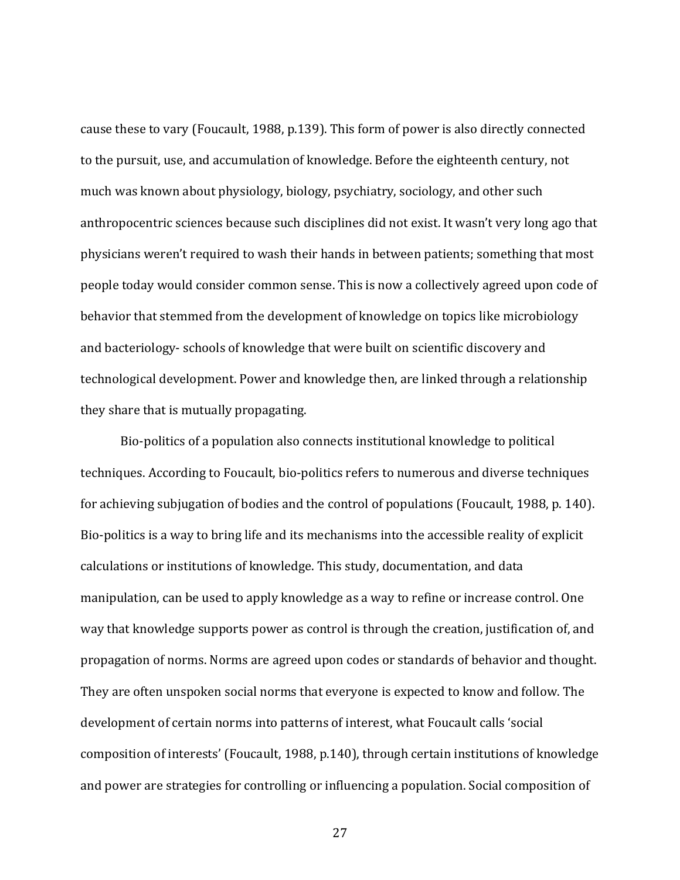cause these to vary (Foucault, 1988, p.139). This form of power is also directly connected to the pursuit, use, and accumulation of knowledge. Before the eighteenth century, not much was known about physiology, biology, psychiatry, sociology, and other such anthropocentric sciences because such disciplines did not exist. It wasn't very long ago that physicians weren't required to wash their hands in between patients; something that most people today would consider common sense. This is now a collectively agreed upon code of behavior that stemmed from the development of knowledge on topics like microbiology and bacteriology- schools of knowledge that were built on scientific discovery and technological development. Power and knowledge then, are linked through a relationship they share that is mutually propagating.

Bio-politics of a population also connects institutional knowledge to political techniques. According to Foucault, bio-politics refers to numerous and diverse techniques for achieving subjugation of bodies and the control of populations (Foucault, 1988, p. 140). Bio-politics is a way to bring life and its mechanisms into the accessible reality of explicit calculations or institutions of knowledge. This study, documentation, and data manipulation, can be used to apply knowledge as a way to refine or increase control. One way that knowledge supports power as control is through the creation, justification of, and propagation of norms. Norms are agreed upon codes or standards of behavior and thought. They are often unspoken social norms that everyone is expected to know and follow. The development of certain norms into patterns of interest, what Foucault calls 'social composition of interests' (Foucault, 1988, p.140), through certain institutions of knowledge and power are strategies for controlling or influencing a population. Social composition of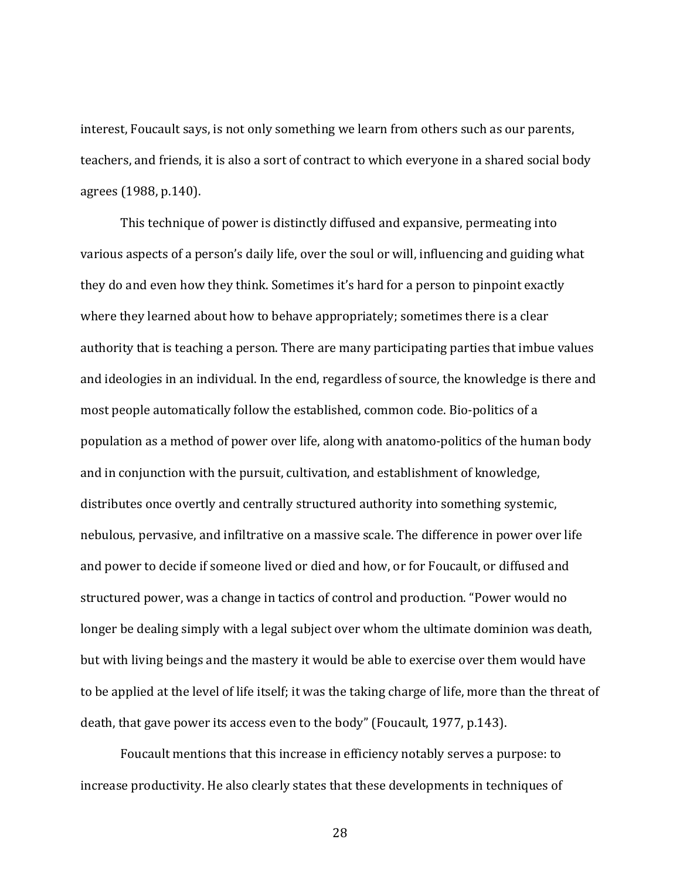interest, Foucault says, is not only something we learn from others such as our parents, teachers, and friends, it is also a sort of contract to which everyone in a shared social body agrees (1988, p.140).

This technique of power is distinctly diffused and expansive, permeating into various aspects of a person's daily life, over the soul or will, influencing and guiding what they do and even how they think. Sometimes it's hard for a person to pinpoint exactly where they learned about how to behave appropriately; sometimes there is a clear authority that is teaching a person. There are many participating parties that imbue values and ideologies in an individual. In the end, regardless of source, the knowledge is there and most people automatically follow the established, common code. Bio-politics of a population as a method of power over life, along with anatomo-politics of the human body and in conjunction with the pursuit, cultivation, and establishment of knowledge, distributes once overtly and centrally structured authority into something systemic, nebulous, pervasive, and infiltrative on a massive scale. The difference in power over life and power to decide if someone lived or died and how, or for Foucault, or diffused and structured power, was a change in tactics of control and production. "Power would no longer be dealing simply with a legal subject over whom the ultimate dominion was death, but with living beings and the mastery it would be able to exercise over them would have to be applied at the level of life itself; it was the taking charge of life, more than the threat of death, that gave power its access even to the body" (Foucault, 1977, p.143).

Foucault mentions that this increase in efficiency notably serves a purpose: to increase productivity. He also clearly states that these developments in techniques of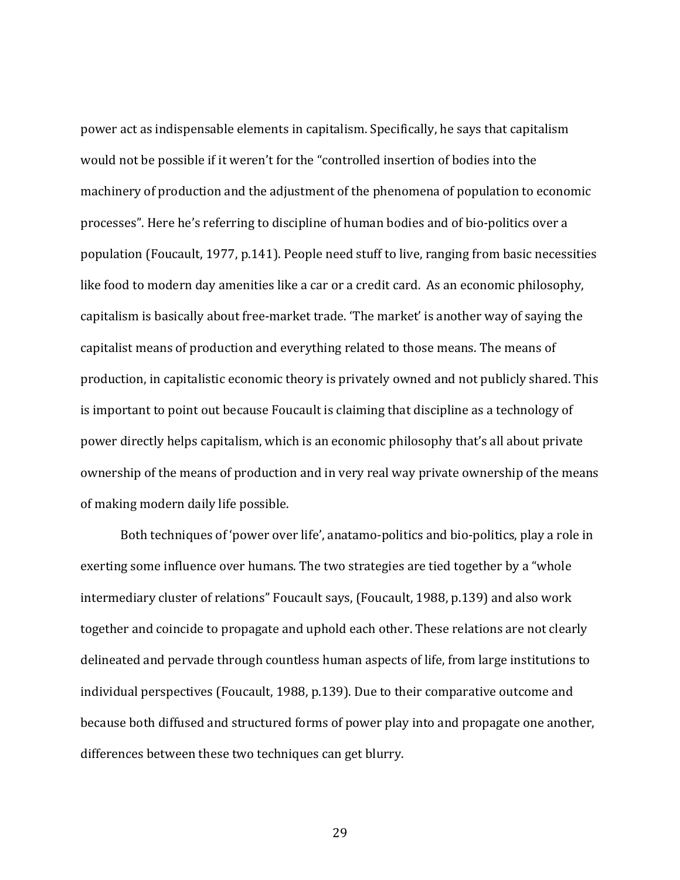power act as indispensable elements in capitalism. Specifically, he says that capitalism would not be possible if it weren't for the "controlled insertion of bodies into the machinery of production and the adjustment of the phenomena of population to economic processes". Here he's referring to discipline of human bodies and of bio-politics over a population (Foucault, 1977, p.141). People need stuff to live, ranging from basic necessities like food to modern day amenities like a car or a credit card. As an economic philosophy, capitalism is basically about free-market trade. 'The market' is another way of saying the capitalist means of production and everything related to those means. The means of production, in capitalistic economic theory is privately owned and not publicly shared. This is important to point out because Foucault is claiming that discipline as a technology of power directly helps capitalism, which is an economic philosophy that's all about private ownership of the means of production and in very real way private ownership of the means of making modern daily life possible.

Both techniques of 'power over life', anatamo-politics and bio-politics, play a role in exerting some influence over humans. The two strategies are tied together by a "whole intermediary cluster of relations" Foucault says, (Foucault, 1988, p.139) and also work together and coincide to propagate and uphold each other. These relations are not clearly delineated and pervade through countless human aspects of life, from large institutions to individual perspectives (Foucault, 1988, p.139). Due to their comparative outcome and because both diffused and structured forms of power play into and propagate one another, differences between these two techniques can get blurry.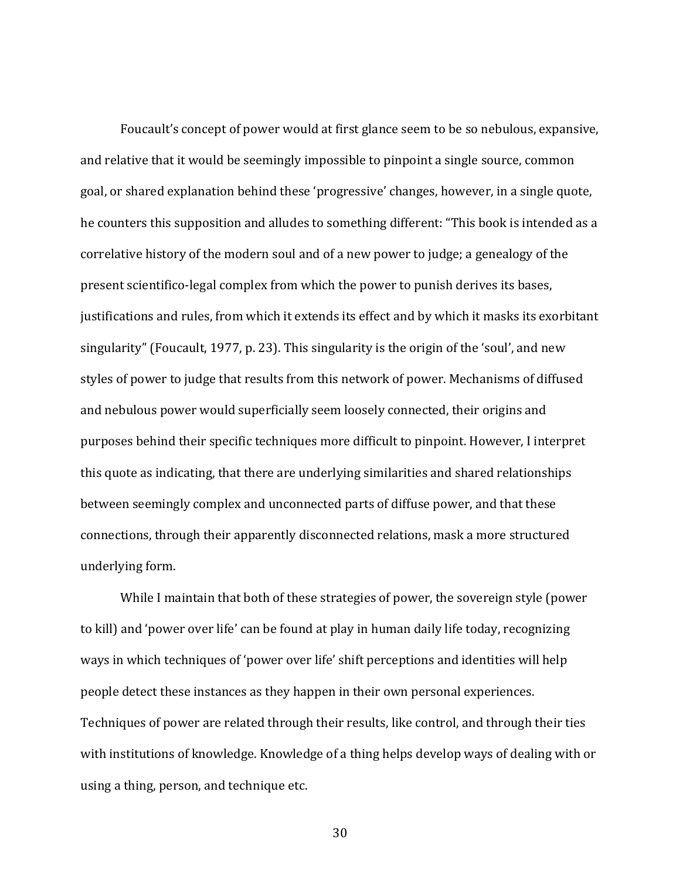Foucault's concept of power would at first glance seem to be so nebulous, expansive, and relative that it would be seemingly impossible to pinpoint a single source, common goal, or shared explanation behind these 'progressive' changes, however, in a single quote, he counters this supposition and alludes to something different: "This book is intended as a correlative history of the modern soul and of a new power to judge; a genealogy of the present scientifico-legal complex from which the power to punish derives its bases, justifications and rules, from which it extends its effect and by which it masks its exorbitant singularity" (Foucault, 1977, p. 23). This singularity is the origin of the 'soul', and new styles of power to judge that results from this network of power. Mechanisms of diffused and nebulous power would superficially seem loosely connected, their origins and purposes behind their specific techniques more difficult to pinpoint. However, I interpret this quote as indicating, that there are underlying similarities and shared relationships between seemingly complex and unconnected parts of diffuse power, and that these connections, through their apparently disconnected relations, mask a more structured underlying form.

While I maintain that both of these strategies of power, the sovereign style (power to kill) and 'power over life' can be found at play in human daily life today, recognizing ways in which techniques of 'power over life' shift perceptions and identities will help people detect these instances as they happen in their own personal experiences. Techniques of power are related through their results, like control, and through their ties with institutions of knowledge. Knowledge of a thing helps develop ways of dealing with or using a thing, person, and technique etc.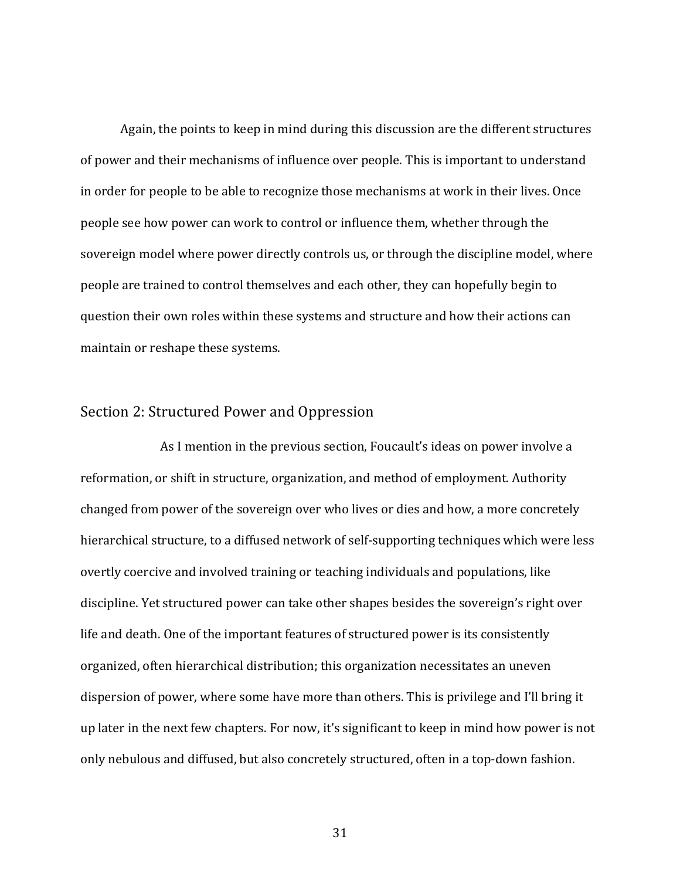Again, the points to keep in mind during this discussion are the different structures of power and their mechanisms of influence over people. This is important to understand in order for people to be able to recognize those mechanisms at work in their lives. Once people see how power can work to control or influence them, whether through the sovereign model where power directly controls us, or through the discipline model, where people are trained to control themselves and each other, they can hopefully begin to question their own roles within these systems and structure and how their actions can maintain or reshape these systems.

## Section 2: Structured Power and Oppression

As I mention in the previous section, Foucault's ideas on power involve a reformation, or shift in structure, organization, and method of employment. Authority changed from power of the sovereign over who lives or dies and how, a more concretely hierarchical structure, to a diffused network of self-supporting techniques which were less overtly coercive and involved training or teaching individuals and populations, like discipline. Yet structured power can take other shapes besides the sovereign's right over life and death. One of the important features of structured power is its consistently organized, often hierarchical distribution; this organization necessitates an uneven dispersion of power, where some have more than others. This is privilege and I'll bring it up later in the next few chapters. For now, it's significant to keep in mind how power is not only nebulous and diffused, but also concretely structured, often in a top-down fashion.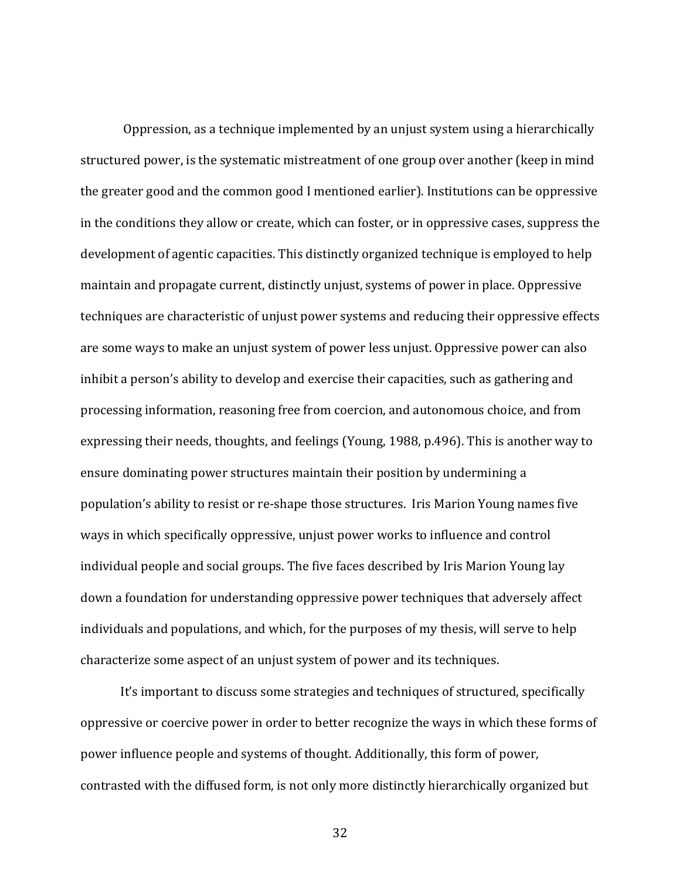Oppression, as a technique implemented by an unjust system using a hierarchically structured power, is the systematic mistreatment of one group over another (keep in mind the greater good and the common good I mentioned earlier). Institutions can be oppressive in the conditions they allow or create, which can foster, or in oppressive cases, suppress the development of agentic capacities. This distinctly organized technique is employed to help maintain and propagate current, distinctly unjust, systems of power in place. Oppressive techniques are characteristic of unjust power systems and reducing their oppressive effects are some ways to make an unjust system of power less unjust. Oppressive power can also inhibit a person's ability to develop and exercise their capacities, such as gathering and processing information, reasoning free from coercion, and autonomous choice, and from expressing their needs, thoughts, and feelings (Young, 1988, p.496). This is another way to ensure dominating power structures maintain their position by undermining a population's ability to resist or re-shape those structures. Iris Marion Young names five ways in which specifically oppressive, unjust power works to influence and control individual people and social groups. The five faces described by Iris Marion Young lay down a foundation for understanding oppressive power techniques that adversely affect individuals and populations, and which, for the purposes of my thesis, will serve to help characterize some aspect of an unjust system of power and its techniques.

It's important to discuss some strategies and techniques of structured, specifically oppressive or coercive power in order to better recognize the ways in which these forms of power influence people and systems of thought. Additionally, this form of power, contrasted with the diffused form, is not only more distinctly hierarchically organized but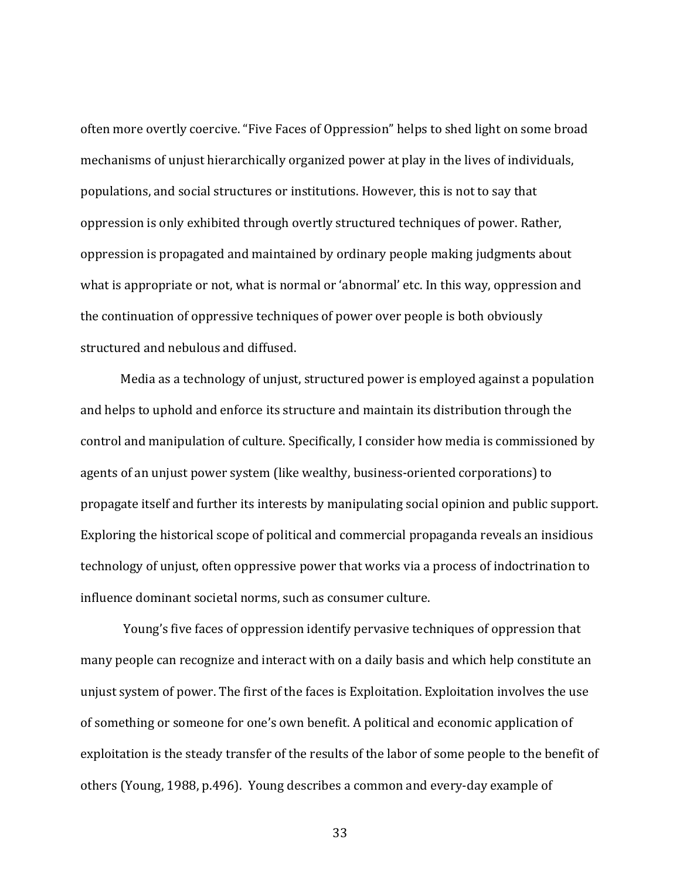often more overtly coercive. "Five Faces of Oppression" helps to shed light on some broad mechanisms of unjust hierarchically organized power at play in the lives of individuals, populations, and social structures or institutions. However, this is not to say that oppression is only exhibited through overtly structured techniques of power. Rather, oppression is propagated and maintained by ordinary people making judgments about what is appropriate or not, what is normal or 'abnormal' etc. In this way, oppression and the continuation of oppressive techniques of power over people is both obviously structured and nebulous and diffused.

Media as a technology of unjust, structured power is employed against a population and helps to uphold and enforce its structure and maintain its distribution through the control and manipulation of culture. Specifically, I consider how media is commissioned by agents of an unjust power system (like wealthy, business-oriented corporations) to propagate itself and further its interests by manipulating social opinion and public support. Exploring the historical scope of political and commercial propaganda reveals an insidious technology of unjust, often oppressive power that works via a process of indoctrination to influence dominant societal norms, such as consumer culture.

Young's five faces of oppression identify pervasive techniques of oppression that many people can recognize and interact with on a daily basis and which help constitute an unjust system of power. The first of the faces is Exploitation. Exploitation involves the use of something or someone for one's own benefit. A political and economic application of exploitation is the steady transfer of the results of the labor of some people to the benefit of others (Young, 1988, p.496). Young describes a common and every-day example of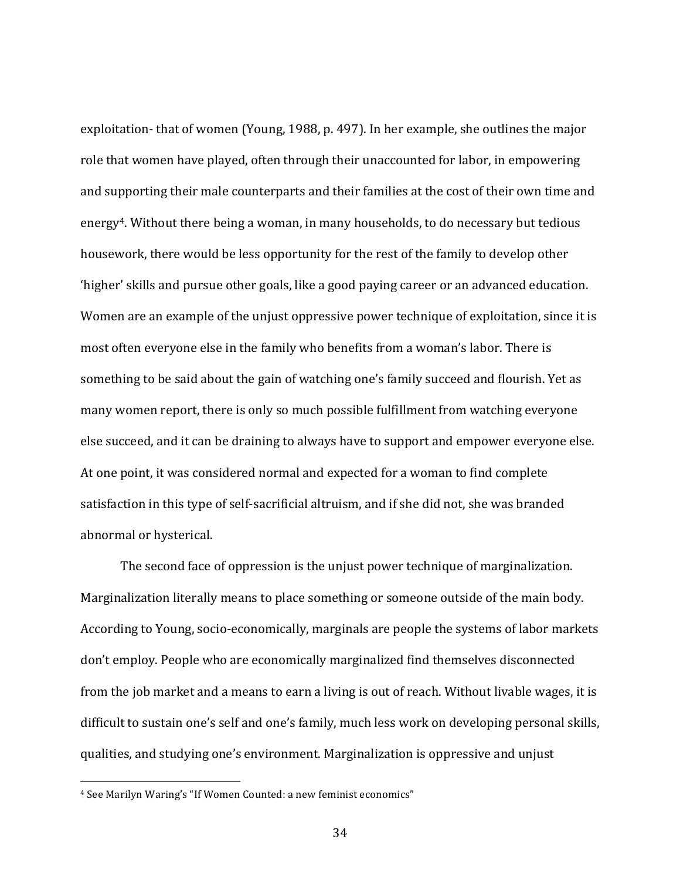exploitation- that of women (Young, 1988, p. 497). In her example, she outlines the major role that women have played, often through their unaccounted for labor, in empowering and supporting their male counterparts and their families at the cost of their own time and energy<sup>4</sup>. Without there being a woman, in many households, to do necessary but tedious housework, there would be less opportunity for the rest of the family to develop other 'higher' skills and pursue other goals, like a good paying career or an advanced education. Women are an example of the unjust oppressive power technique of exploitation, since it is most often everyone else in the family who benefits from a woman's labor. There is something to be said about the gain of watching one's family succeed and flourish. Yet as many women report, there is only so much possible fulfillment from watching everyone else succeed, and it can be draining to always have to support and empower everyone else. At one point, it was considered normal and expected for a woman to find complete satisfaction in this type of self-sacrificial altruism, and if she did not, she was branded abnormal or hysterical.

The second face of oppression is the unjust power technique of marginalization. Marginalization literally means to place something or someone outside of the main body. According to Young, socio-economically, marginals are people the systems of labor markets don't employ. People who are economically marginalized find themselves disconnected from the job market and a means to earn a living is out of reach. Without livable wages, it is difficult to sustain one's self and one's family, much less work on developing personal skills, qualities, and studying one's environment. Marginalization is oppressive and unjust

<sup>&</sup>lt;sup>4</sup> See Marilyn Waring's "If Women Counted: a new feminist economics"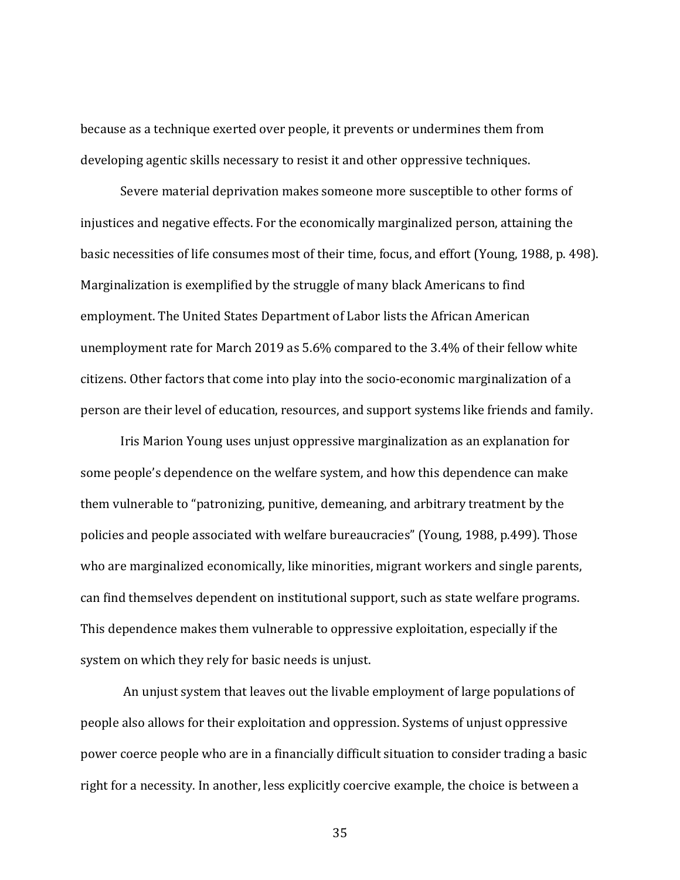because as a technique exerted over people, it prevents or undermines them from developing agentic skills necessary to resist it and other oppressive techniques.

Severe material deprivation makes someone more susceptible to other forms of injustices and negative effects. For the economically marginalized person, attaining the basic necessities of life consumes most of their time, focus, and effort (Young, 1988, p. 498). Marginalization is exemplified by the struggle of many black Americans to find employment. The United States Department of Labor lists the African American unemployment rate for March 2019 as 5.6% compared to the 3.4% of their fellow white citizens. Other factors that come into play into the socio-economic marginalization of a person are their level of education, resources, and support systems like friends and family.

Iris Marion Young uses unjust oppressive marginalization as an explanation for some people's dependence on the welfare system, and how this dependence can make them vulnerable to "patronizing, punitive, demeaning, and arbitrary treatment by the policies and people associated with welfare bureaucracies" (Young, 1988, p.499). Those who are marginalized economically, like minorities, migrant workers and single parents, can find themselves dependent on institutional support, such as state welfare programs. This dependence makes them vulnerable to oppressive exploitation, especially if the system on which they rely for basic needs is unjust.

An unjust system that leaves out the livable employment of large populations of people also allows for their exploitation and oppression. Systems of unjust oppressive power coerce people who are in a financially difficult situation to consider trading a basic right for a necessity. In another, less explicitly coercive example, the choice is between a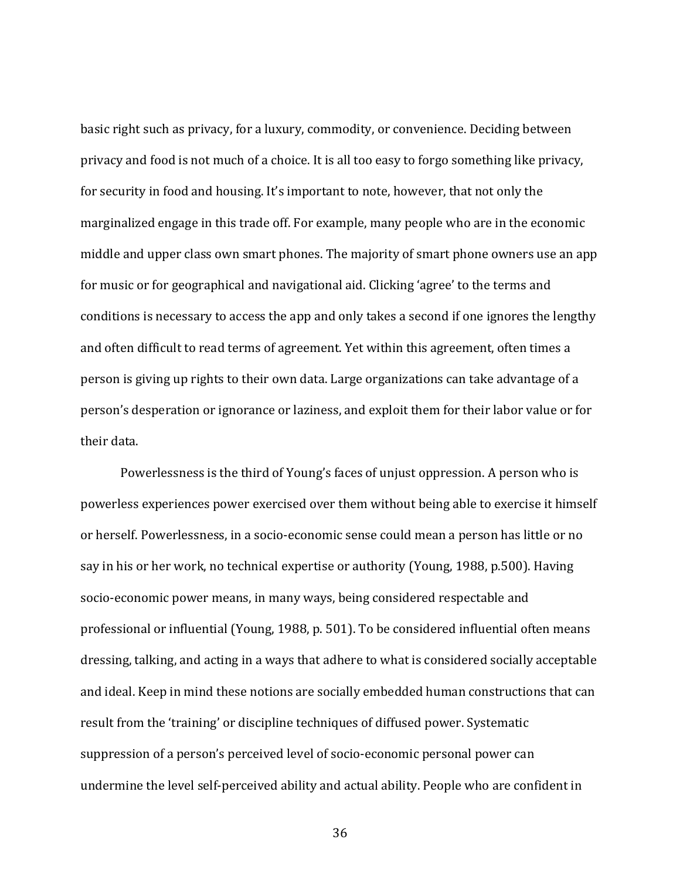basic right such as privacy, for a luxury, commodity, or convenience. Deciding between privacy and food is not much of a choice. It is all too easy to forgo something like privacy, for security in food and housing. It's important to note, however, that not only the marginalized engage in this trade off. For example, many people who are in the economic middle and upper class own smart phones. The majority of smart phone owners use an app for music or for geographical and navigational aid. Clicking 'agree' to the terms and conditions is necessary to access the app and only takes a second if one ignores the lengthy and often difficult to read terms of agreement. Yet within this agreement, often times a person is giving up rights to their own data. Large organizations can take advantage of a person's desperation or ignorance or laziness, and exploit them for their labor value or for their data.

Powerlessness is the third of Young's faces of unjust oppression. A person who is powerless experiences power exercised over them without being able to exercise it himself or herself. Powerlessness, in a socio-economic sense could mean a person has little or no say in his or her work, no technical expertise or authority (Young, 1988, p.500). Having socio-economic power means, in many ways, being considered respectable and professional or influential (Young, 1988, p. 501). To be considered influential often means dressing, talking, and acting in a ways that adhere to what is considered socially acceptable and ideal. Keep in mind these notions are socially embedded human constructions that can result from the 'training' or discipline techniques of diffused power. Systematic suppression of a person's perceived level of socio-economic personal power can undermine the level self-perceived ability and actual ability. People who are confident in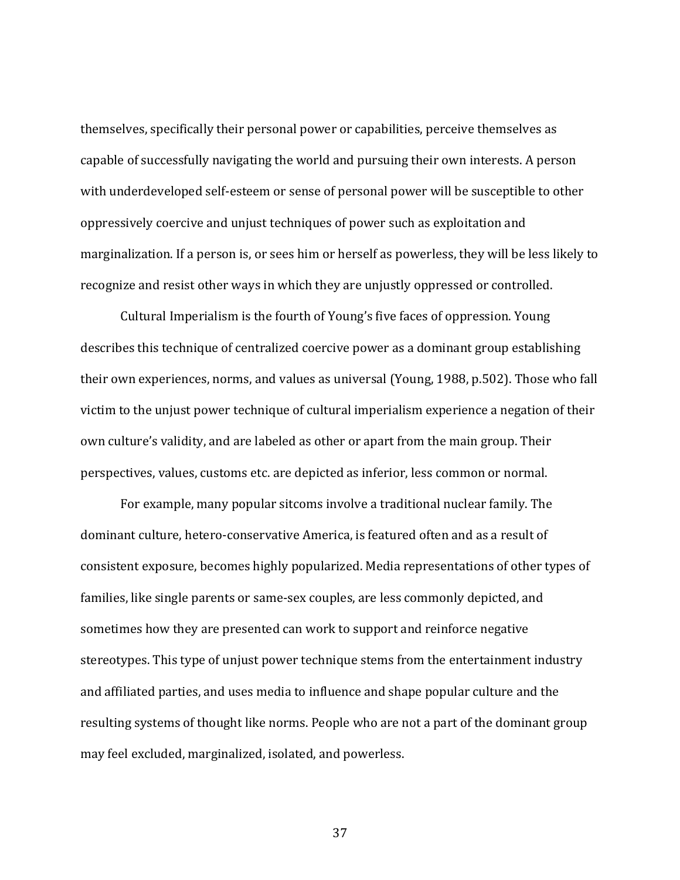themselves, specifically their personal power or capabilities, perceive themselves as capable of successfully navigating the world and pursuing their own interests. A person with underdeveloped self-esteem or sense of personal power will be susceptible to other oppressively coercive and unjust techniques of power such as exploitation and marginalization. If a person is, or sees him or herself as powerless, they will be less likely to recognize and resist other ways in which they are unjustly oppressed or controlled.

Cultural Imperialism is the fourth of Young's five faces of oppression. Young describes this technique of centralized coercive power as a dominant group establishing their own experiences, norms, and values as universal (Young, 1988, p.502). Those who fall victim to the unjust power technique of cultural imperialism experience a negation of their own culture's validity, and are labeled as other or apart from the main group. Their perspectives, values, customs etc. are depicted as inferior, less common or normal.

For example, many popular sitcoms involve a traditional nuclear family. The dominant culture, hetero-conservative America, is featured often and as a result of consistent exposure, becomes highly popularized. Media representations of other types of families, like single parents or same-sex couples, are less commonly depicted, and sometimes how they are presented can work to support and reinforce negative stereotypes. This type of unjust power technique stems from the entertainment industry and affiliated parties, and uses media to influence and shape popular culture and the resulting systems of thought like norms. People who are not a part of the dominant group may feel excluded, marginalized, isolated, and powerless.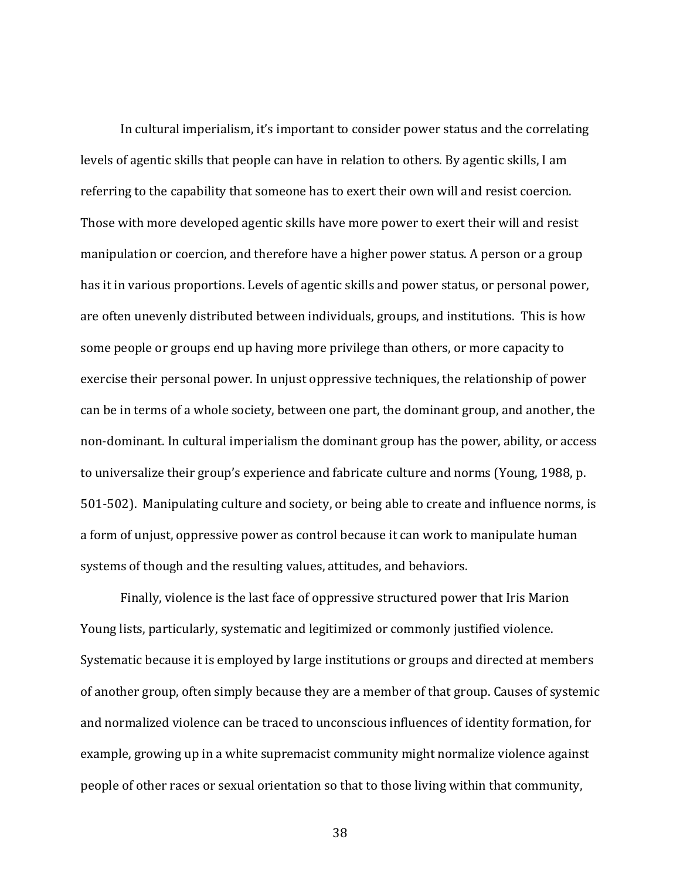In cultural imperialism, it's important to consider power status and the correlating levels of agentic skills that people can have in relation to others. By agentic skills, I am referring to the capability that someone has to exert their own will and resist coercion. Those with more developed agentic skills have more power to exert their will and resist manipulation or coercion, and therefore have a higher power status. A person or a group has it in various proportions. Levels of agentic skills and power status, or personal power, are often unevenly distributed between individuals, groups, and institutions. This is how some people or groups end up having more privilege than others, or more capacity to exercise their personal power. In unjust oppressive techniques, the relationship of power can be in terms of a whole society, between one part, the dominant group, and another, the non-dominant. In cultural imperialism the dominant group has the power, ability, or access to universalize their group's experience and fabricate culture and norms (Young, 1988, p. 501-502). Manipulating culture and society, or being able to create and influence norms, is a form of unjust, oppressive power as control because it can work to manipulate human systems of though and the resulting values, attitudes, and behaviors.

Finally, violence is the last face of oppressive structured power that Iris Marion Young lists, particularly, systematic and legitimized or commonly justified violence. Systematic because it is employed by large institutions or groups and directed at members of another group, often simply because they are a member of that group. Causes of systemic and normalized violence can be traced to unconscious influences of identity formation, for example, growing up in a white supremacist community might normalize violence against people of other races or sexual orientation so that to those living within that community,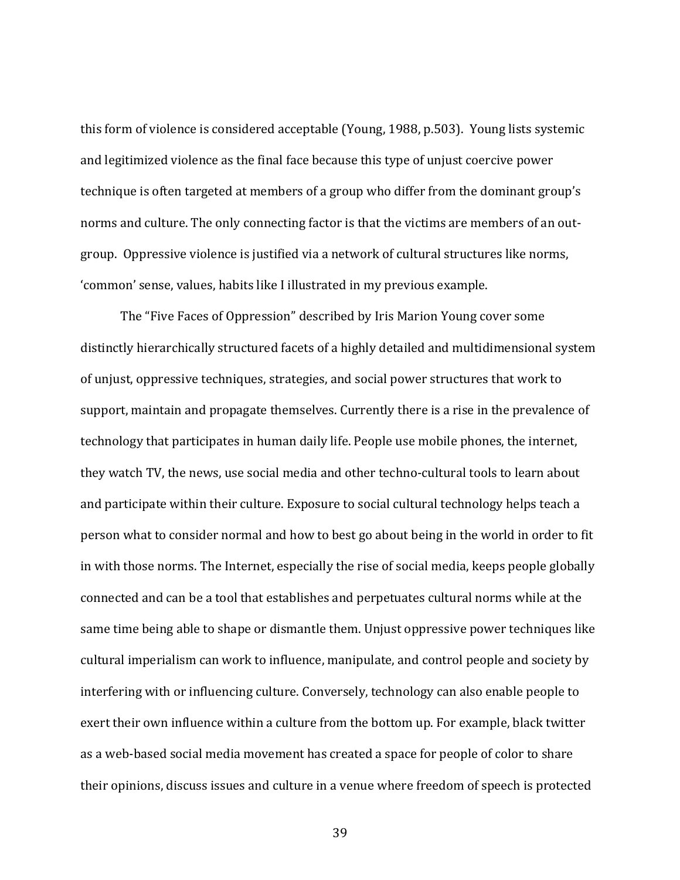this form of violence is considered acceptable (Young, 1988, p.503). Young lists systemic and legitimized violence as the final face because this type of unjust coercive power technique is often targeted at members of a group who differ from the dominant group's norms and culture. The only connecting factor is that the victims are members of an outgroup. Oppressive violence is justified via a network of cultural structures like norms, 'common' sense, values, habits like I illustrated in my previous example.

The "Five Faces of Oppression" described by Iris Marion Young cover some distinctly hierarchically structured facets of a highly detailed and multidimensional system of unjust, oppressive techniques, strategies, and social power structures that work to support, maintain and propagate themselves. Currently there is a rise in the prevalence of technology that participates in human daily life. People use mobile phones, the internet, they watch TV, the news, use social media and other techno-cultural tools to learn about and participate within their culture. Exposure to social cultural technology helps teach a person what to consider normal and how to best go about being in the world in order to fit in with those norms. The Internet, especially the rise of social media, keeps people globally connected and can be a tool that establishes and perpetuates cultural norms while at the same time being able to shape or dismantle them. Unjust oppressive power techniques like cultural imperialism can work to influence, manipulate, and control people and society by interfering with or influencing culture. Conversely, technology can also enable people to exert their own influence within a culture from the bottom up. For example, black twitter as a web-based social media movement has created a space for people of color to share their opinions, discuss issues and culture in a venue where freedom of speech is protected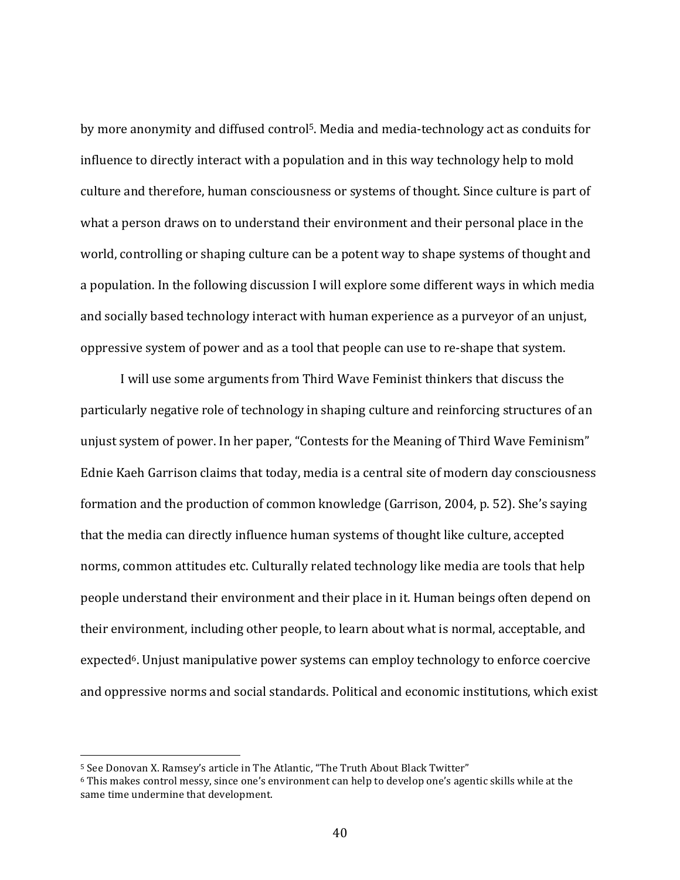by more anonymity and diffused control<sup>5</sup>. Media and media-technology act as conduits for influence to directly interact with a population and in this way technology help to mold culture and therefore, human consciousness or systems of thought. Since culture is part of what a person draws on to understand their environment and their personal place in the world, controlling or shaping culture can be a potent way to shape systems of thought and a population. In the following discussion I will explore some different ways in which media and socially based technology interact with human experience as a purveyor of an unjust, oppressive system of power and as a tool that people can use to re-shape that system.

I will use some arguments from Third Wave Feminist thinkers that discuss the particularly negative role of technology in shaping culture and reinforcing structures of an unjust system of power. In her paper, "Contests for the Meaning of Third Wave Feminism" Ednie Kaeh Garrison claims that today, media is a central site of modern day consciousness formation and the production of common knowledge (Garrison, 2004, p. 52). She's saying that the media can directly influence human systems of thought like culture, accepted norms, common attitudes etc. Culturally related technology like media are tools that help people understand their environment and their place in it. Human beings often depend on their environment, including other people, to learn about what is normal, acceptable, and expected<sup>6</sup>. Unjust manipulative power systems can employ technology to enforce coercive and oppressive norms and social standards. Political and economic institutions, which exist

<sup>&</sup>lt;sup>5</sup> See Donovan X. Ramsey's article in The Atlantic, "The Truth About Black Twitter"

 $6$  This makes control messy, since one's environment can help to develop one's agentic skills while at the same time undermine that development.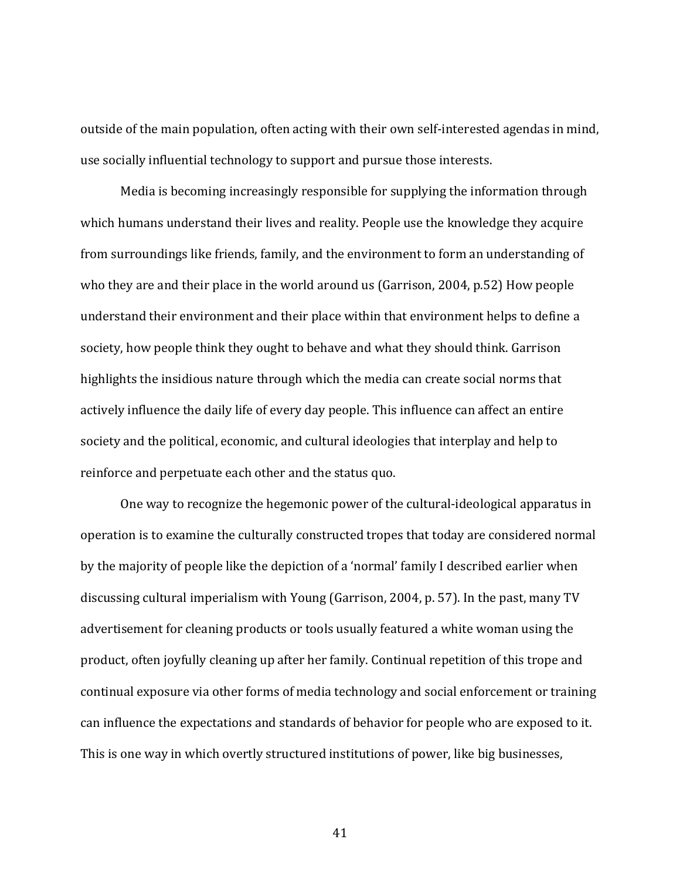outside of the main population, often acting with their own self-interested agendas in mind, use socially influential technology to support and pursue those interests.

Media is becoming increasingly responsible for supplying the information through which humans understand their lives and reality. People use the knowledge they acquire from surroundings like friends, family, and the environment to form an understanding of who they are and their place in the world around us (Garrison, 2004, p.52) How people understand their environment and their place within that environment helps to define a society, how people think they ought to behave and what they should think. Garrison highlights the insidious nature through which the media can create social norms that actively influence the daily life of every day people. This influence can affect an entire society and the political, economic, and cultural ideologies that interplay and help to reinforce and perpetuate each other and the status quo.

One way to recognize the hegemonic power of the cultural-ideological apparatus in operation is to examine the culturally constructed tropes that today are considered normal by the majority of people like the depiction of a 'normal' family I described earlier when discussing cultural imperialism with Young (Garrison, 2004, p. 57). In the past, many TV advertisement for cleaning products or tools usually featured a white woman using the product, often joyfully cleaning up after her family. Continual repetition of this trope and continual exposure via other forms of media technology and social enforcement or training can influence the expectations and standards of behavior for people who are exposed to it. This is one way in which overtly structured institutions of power, like big businesses,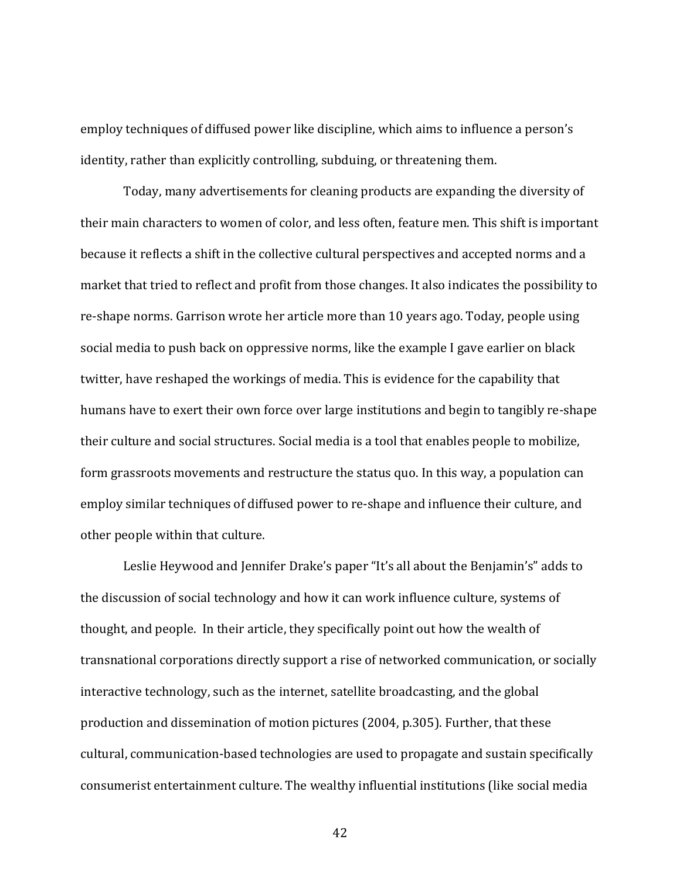employ techniques of diffused power like discipline, which aims to influence a person's identity, rather than explicitly controlling, subduing, or threatening them.

Today, many advertisements for cleaning products are expanding the diversity of their main characters to women of color, and less often, feature men. This shift is important because it reflects a shift in the collective cultural perspectives and accepted norms and a market that tried to reflect and profit from those changes. It also indicates the possibility to re-shape norms. Garrison wrote her article more than 10 years ago. Today, people using social media to push back on oppressive norms, like the example I gave earlier on black twitter, have reshaped the workings of media. This is evidence for the capability that humans have to exert their own force over large institutions and begin to tangibly re-shape their culture and social structures. Social media is a tool that enables people to mobilize, form grassroots movements and restructure the status quo. In this way, a population can employ similar techniques of diffused power to re-shape and influence their culture, and other people within that culture.

Leslie Heywood and Jennifer Drake's paper "It's all about the Benjamin's" adds to the discussion of social technology and how it can work influence culture, systems of thought, and people. In their article, they specifically point out how the wealth of transnational corporations directly support a rise of networked communication, or socially interactive technology, such as the internet, satellite broadcasting, and the global production and dissemination of motion pictures (2004, p.305). Further, that these cultural, communication-based technologies are used to propagate and sustain specifically consumerist entertainment culture. The wealthy influential institutions (like social media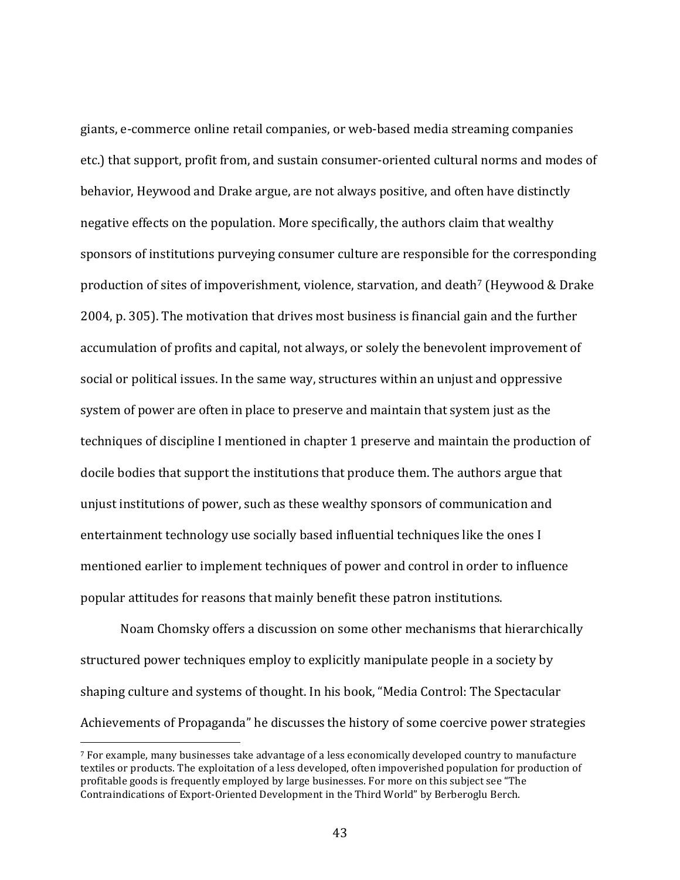giants, e-commerce online retail companies, or web-based media streaming companies etc.) that support, profit from, and sustain consumer-oriented cultural norms and modes of behavior, Heywood and Drake argue, are not always positive, and often have distinctly negative effects on the population. More specifically, the authors claim that wealthy sponsors of institutions purveying consumer culture are responsible for the corresponding production of sites of impoverishment, violence, starvation, and death<sup>7</sup> (Heywood & Drake 2004, p. 305). The motivation that drives most business is financial gain and the further accumulation of profits and capital, not always, or solely the benevolent improvement of social or political issues. In the same way, structures within an unjust and oppressive system of power are often in place to preserve and maintain that system just as the techniques of discipline I mentioned in chapter 1 preserve and maintain the production of docile bodies that support the institutions that produce them. The authors argue that unjust institutions of power, such as these wealthy sponsors of communication and entertainment technology use socially based influential techniques like the ones I mentioned earlier to implement techniques of power and control in order to influence popular attitudes for reasons that mainly benefit these patron institutions.

Noam Chomsky offers a discussion on some other mechanisms that hierarchically structured power techniques employ to explicitly manipulate people in a society by shaping culture and systems of thought. In his book, "Media Control: The Spectacular Achievements of Propaganda" he discusses the history of some coercive power strategies

 $7$  For example, many businesses take advantage of a less economically developed country to manufacture textiles or products. The exploitation of a less developed, often impoverished population for production of profitable goods is frequently employed by large businesses. For more on this subject see "The Contraindications of Export-Oriented Development in the Third World" by Berberoglu Berch.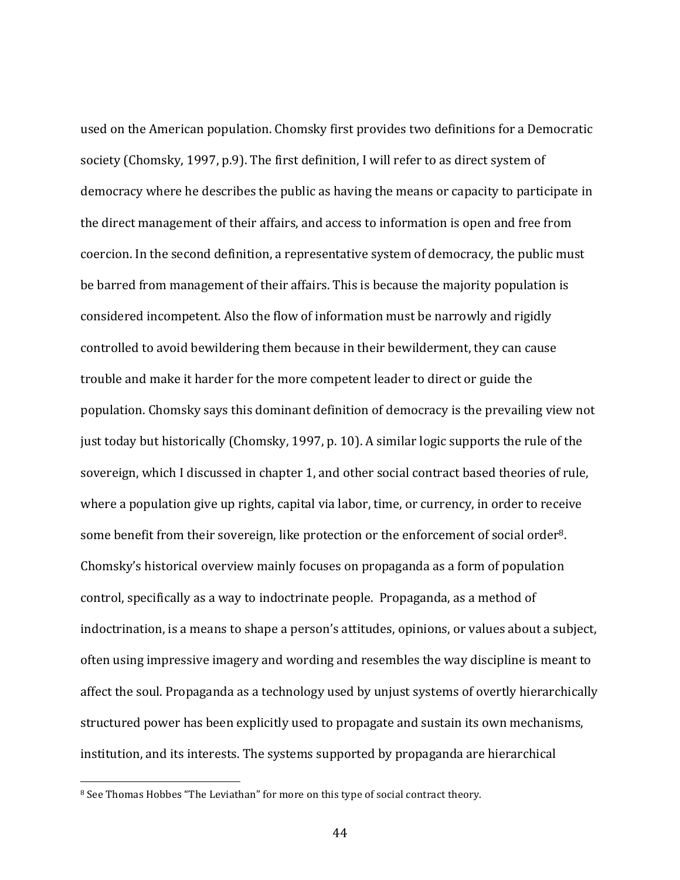used on the American population. Chomsky first provides two definitions for a Democratic society (Chomsky, 1997, p.9). The first definition, I will refer to as direct system of democracy where he describes the public as having the means or capacity to participate in the direct management of their affairs, and access to information is open and free from coercion. In the second definition, a representative system of democracy, the public must be barred from management of their affairs. This is because the majority population is considered incompetent. Also the flow of information must be narrowly and rigidly controlled to avoid bewildering them because in their bewilderment, they can cause trouble and make it harder for the more competent leader to direct or guide the population. Chomsky says this dominant definition of democracy is the prevailing view not just today but historically (Chomsky, 1997, p. 10). A similar logic supports the rule of the sovereign, which I discussed in chapter 1, and other social contract based theories of rule, where a population give up rights, capital via labor, time, or currency, in order to receive some benefit from their sovereign, like protection or the enforcement of social order<sup>8</sup>. Chomsky's historical overview mainly focuses on propaganda as a form of population control, specifically as a way to indoctrinate people. Propaganda, as a method of indoctrination, is a means to shape a person's attitudes, opinions, or values about a subject, often using impressive imagery and wording and resembles the way discipline is meant to affect the soul. Propaganda as a technology used by unjust systems of overtly hierarchically structured power has been explicitly used to propagate and sustain its own mechanisms, institution, and its interests. The systems supported by propaganda are hierarchical

<sup>&</sup>lt;sup>8</sup> See Thomas Hobbes "The Leviathan" for more on this type of social contract theory.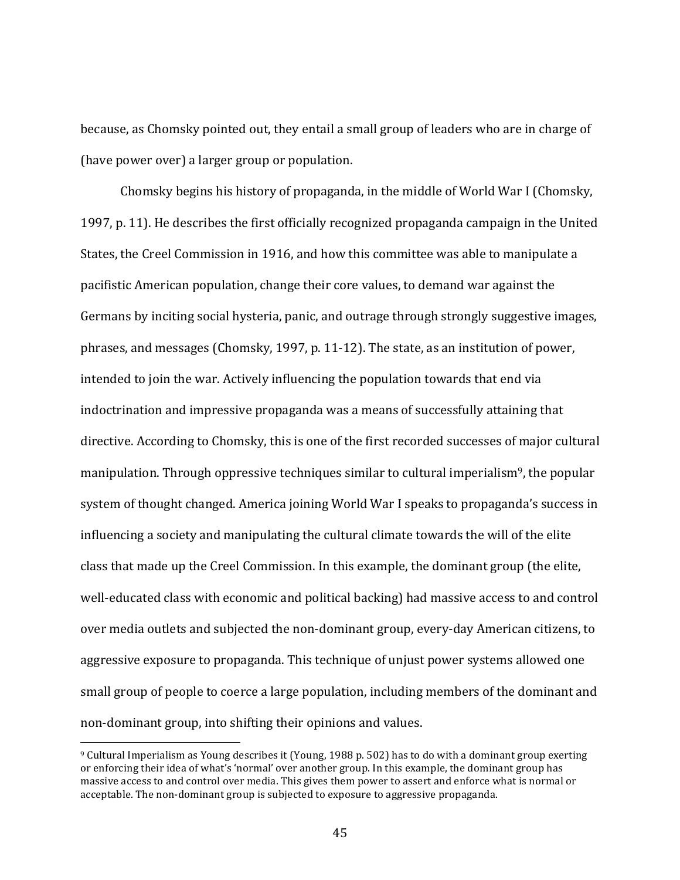because, as Chomsky pointed out, they entail a small group of leaders who are in charge of (have power over) a larger group or population.

Chomsky begins his history of propaganda, in the middle of World War I (Chomsky, 1997, p. 11). He describes the first officially recognized propaganda campaign in the United States, the Creel Commission in 1916, and how this committee was able to manipulate a pacifistic American population, change their core values, to demand war against the Germans by inciting social hysteria, panic, and outrage through strongly suggestive images, phrases, and messages (Chomsky, 1997, p. 11-12). The state, as an institution of power, intended to join the war. Actively influencing the population towards that end via indoctrination and impressive propaganda was a means of successfully attaining that directive. According to Chomsky, this is one of the first recorded successes of major cultural manipulation. Through oppressive techniques similar to cultural imperialism<sup>9</sup>, the popular system of thought changed. America joining World War I speaks to propaganda's success in influencing a society and manipulating the cultural climate towards the will of the elite class that made up the Creel Commission. In this example, the dominant group (the elite, well-educated class with economic and political backing) had massive access to and control over media outlets and subjected the non-dominant group, every-day American citizens, to aggressive exposure to propaganda. This technique of unjust power systems allowed one small group of people to coerce a large population, including members of the dominant and non-dominant group, into shifting their opinions and values.

 $9$  Cultural Imperialism as Young describes it (Young, 1988 p. 502) has to do with a dominant group exerting or enforcing their idea of what's 'normal' over another group. In this example, the dominant group has massive access to and control over media. This gives them power to assert and enforce what is normal or acceptable. The non-dominant group is subjected to exposure to aggressive propaganda.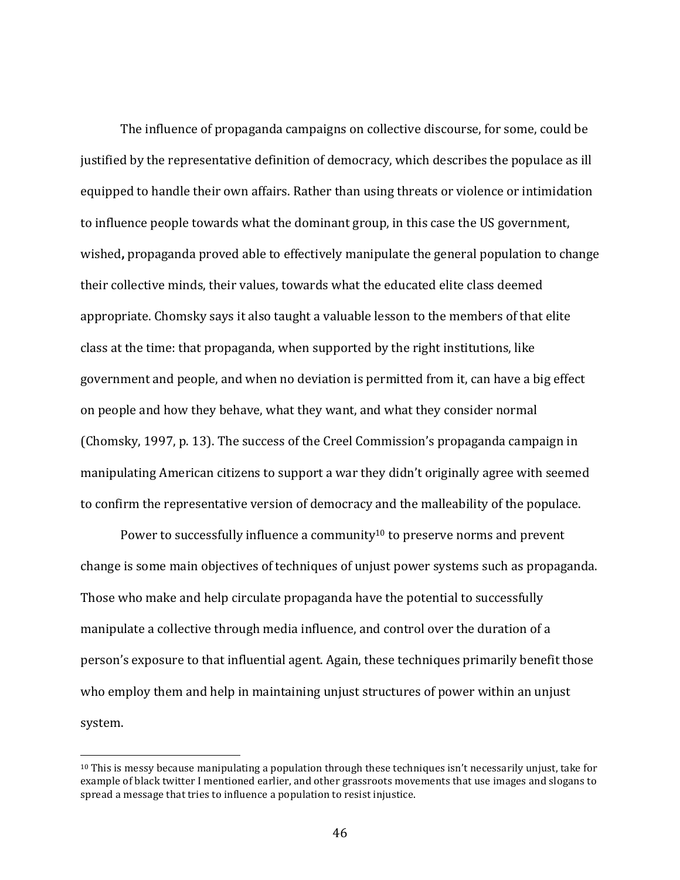The influence of propaganda campaigns on collective discourse, for some, could be justified by the representative definition of democracy, which describes the populace as ill equipped to handle their own affairs. Rather than using threats or violence or intimidation to influence people towards what the dominant group, in this case the US government, wished, propaganda proved able to effectively manipulate the general population to change their collective minds, their values, towards what the educated elite class deemed appropriate. Chomsky says it also taught a valuable lesson to the members of that elite class at the time: that propaganda, when supported by the right institutions, like government and people, and when no deviation is permitted from it, can have a big effect on people and how they behave, what they want, and what they consider normal (Chomsky, 1997, p. 13). The success of the Creel Commission's propaganda campaign in manipulating American citizens to support a war they didn't originally agree with seemed to confirm the representative version of democracy and the malleability of the populace.

Power to successfully influence a community<sup>10</sup> to preserve norms and prevent change is some main objectives of techniques of unjust power systems such as propaganda. Those who make and help circulate propaganda have the potential to successfully manipulate a collective through media influence, and control over the duration of a person's exposure to that influential agent. Again, these techniques primarily benefit those who employ them and help in maintaining unjust structures of power within an unjust system.

 $10$  This is messy because manipulating a population through these techniques isn't necessarily unjust, take for example of black twitter I mentioned earlier, and other grassroots movements that use images and slogans to spread a message that tries to influence a population to resist injustice.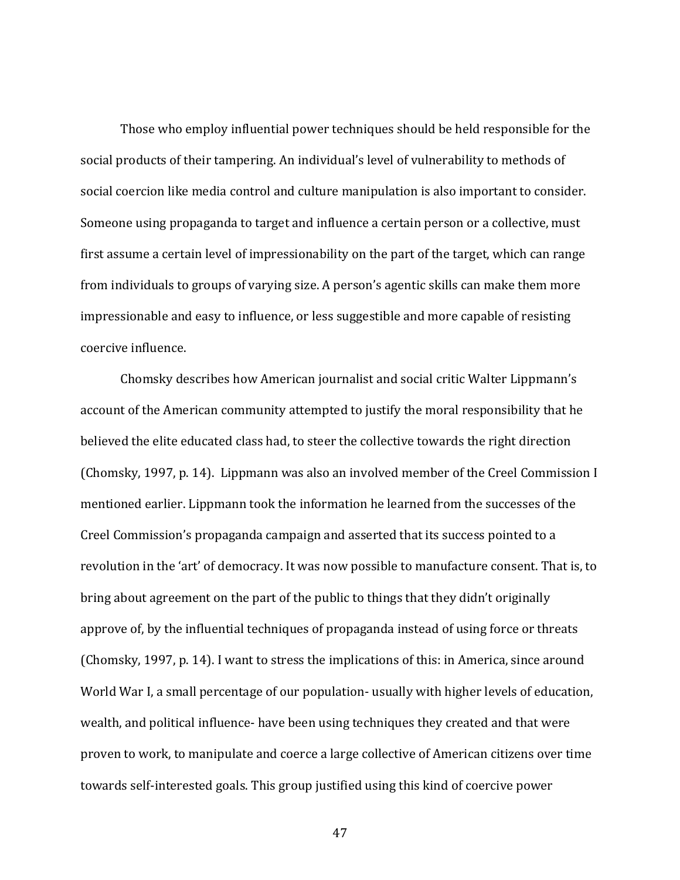Those who employ influential power techniques should be held responsible for the social products of their tampering. An individual's level of vulnerability to methods of social coercion like media control and culture manipulation is also important to consider. Someone using propaganda to target and influence a certain person or a collective, must first assume a certain level of impressionability on the part of the target, which can range from individuals to groups of varying size. A person's agentic skills can make them more impressionable and easy to influence, or less suggestible and more capable of resisting coercive influence.

Chomsky describes how American journalist and social critic Walter Lippmann's account of the American community attempted to justify the moral responsibility that he believed the elite educated class had, to steer the collective towards the right direction (Chomsky, 1997, p. 14). Lippmann was also an involved member of the Creel Commission I mentioned earlier. Lippmann took the information he learned from the successes of the Creel Commission's propaganda campaign and asserted that its success pointed to a revolution in the 'art' of democracy. It was now possible to manufacture consent. That is, to bring about agreement on the part of the public to things that they didn't originally approve of, by the influential techniques of propaganda instead of using force or threats (Chomsky, 1997, p. 14). I want to stress the implications of this: in America, since around World War I, a small percentage of our population- usually with higher levels of education, wealth, and political influence- have been using techniques they created and that were proven to work, to manipulate and coerce a large collective of American citizens over time towards self-interested goals. This group justified using this kind of coercive power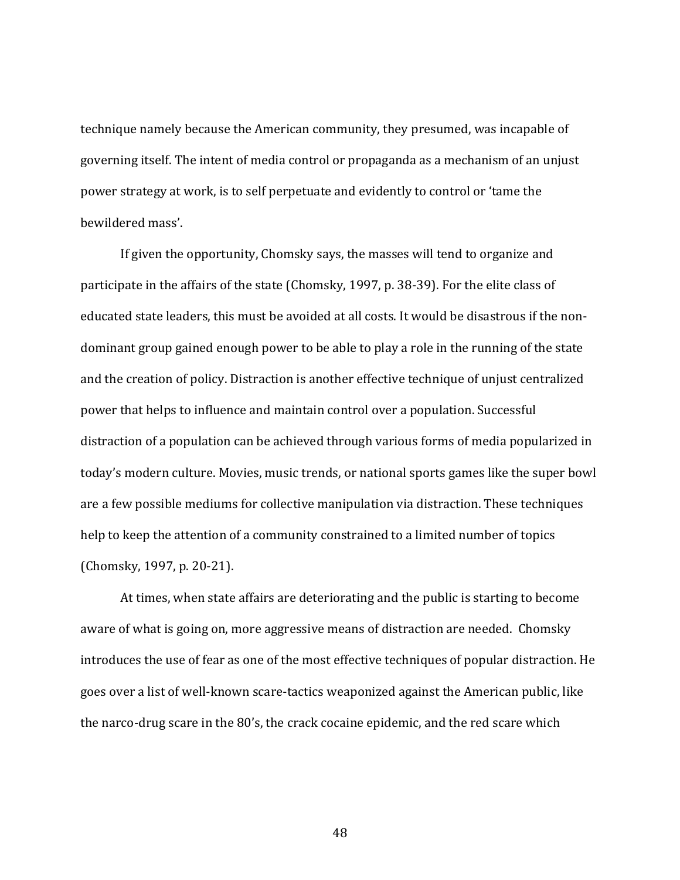technique namely because the American community, they presumed, was incapable of governing itself. The intent of media control or propaganda as a mechanism of an unjust power strategy at work, is to self perpetuate and evidently to control or 'tame the bewildered mass'.

If given the opportunity, Chomsky says, the masses will tend to organize and participate in the affairs of the state (Chomsky, 1997, p. 38-39). For the elite class of educated state leaders, this must be avoided at all costs. It would be disastrous if the nondominant group gained enough power to be able to play a role in the running of the state and the creation of policy. Distraction is another effective technique of unjust centralized power that helps to influence and maintain control over a population. Successful distraction of a population can be achieved through various forms of media popularized in today's modern culture. Movies, music trends, or national sports games like the super bowl are a few possible mediums for collective manipulation via distraction. These techniques help to keep the attention of a community constrained to a limited number of topics (Chomsky, 1997, p. 20-21).

At times, when state affairs are deteriorating and the public is starting to become aware of what is going on, more aggressive means of distraction are needed. Chomsky introduces the use of fear as one of the most effective techniques of popular distraction. He goes over a list of well-known scare-tactics weaponized against the American public, like the narco-drug scare in the 80's, the crack cocaine epidemic, and the red scare which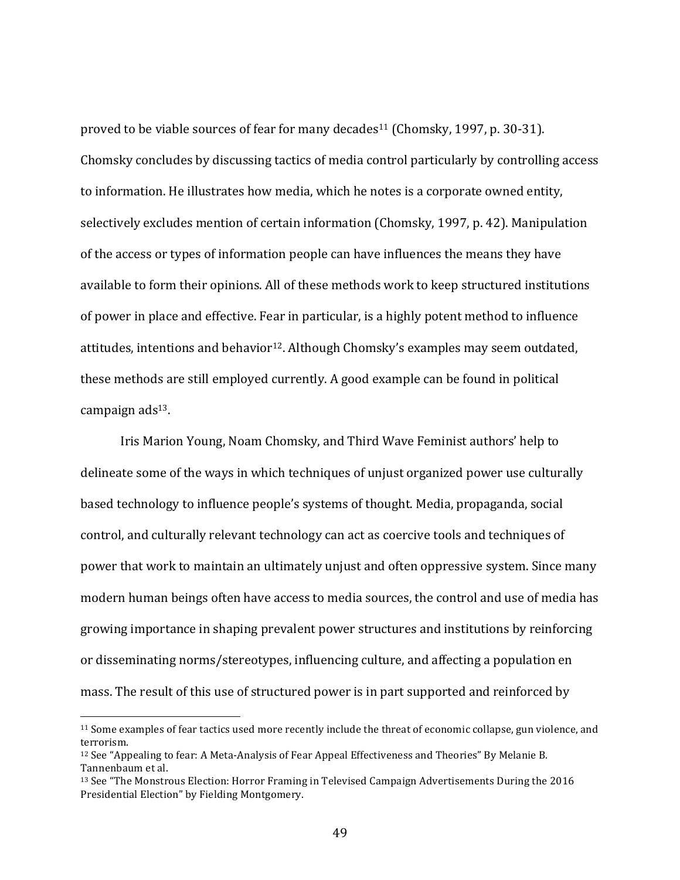proved to be viable sources of fear for many decades<sup>11</sup> (Chomsky, 1997, p. 30-31). Chomsky concludes by discussing tactics of media control particularly by controlling access to information. He illustrates how media, which he notes is a corporate owned entity, selectively excludes mention of certain information (Chomsky, 1997, p. 42). Manipulation of the access or types of information people can have influences the means they have available to form their opinions. All of these methods work to keep structured institutions of power in place and effective. Fear in particular, is a highly potent method to influence attitudes, intentions and behavior<sup>12</sup>. Although Chomsky's examples may seem outdated, these methods are still employed currently. A good example can be found in political campaign ads<sup>13</sup>.

Iris Marion Young, Noam Chomsky, and Third Wave Feminist authors' help to delineate some of the ways in which techniques of unjust organized power use culturally based technology to influence people's systems of thought. Media, propaganda, social control, and culturally relevant technology can act as coercive tools and techniques of power that work to maintain an ultimately unjust and often oppressive system. Since many modern human beings often have access to media sources, the control and use of media has growing importance in shaping prevalent power structures and institutions by reinforcing or disseminating norms/stereotypes, influencing culture, and affecting a population en mass. The result of this use of structured power is in part supported and reinforced by

<sup>&</sup>lt;sup>11</sup> Some examples of fear tactics used more recently include the threat of economic collapse, gun violence, and terrorism. 

 $12$  See "Appealing to fear: A Meta-Analysis of Fear Appeal Effectiveness and Theories" By Melanie B. Tannenbaum et al. 

<sup>&</sup>lt;sup>13</sup> See "The Monstrous Election: Horror Framing in Televised Campaign Advertisements During the 2016 Presidential Election" by Fielding Montgomery.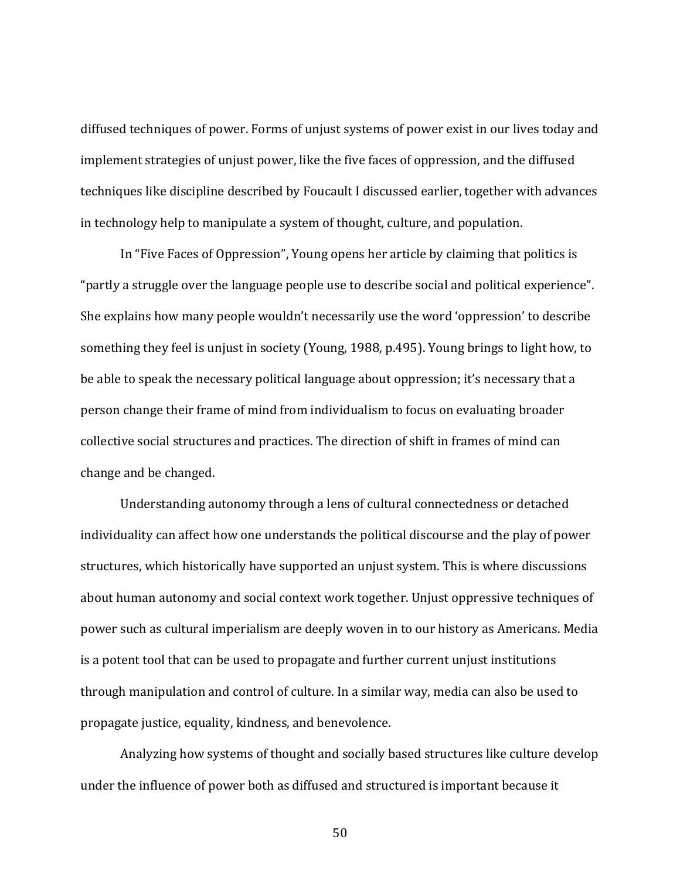diffused techniques of power. Forms of unjust systems of power exist in our lives today and implement strategies of unjust power, like the five faces of oppression, and the diffused techniques like discipline described by Foucault I discussed earlier, together with advances in technology help to manipulate a system of thought, culture, and population.

In "Five Faces of Oppression", Young opens her article by claiming that politics is "partly a struggle over the language people use to describe social and political experience". She explains how many people wouldn't necessarily use the word 'oppression' to describe something they feel is unjust in society (Young, 1988, p.495). Young brings to light how, to be able to speak the necessary political language about oppression; it's necessary that a person change their frame of mind from individualism to focus on evaluating broader collective social structures and practices. The direction of shift in frames of mind can change and be changed.

Understanding autonomy through a lens of cultural connectedness or detached individuality can affect how one understands the political discourse and the play of power structures, which historically have supported an unjust system. This is where discussions about human autonomy and social context work together. Unjust oppressive techniques of power such as cultural imperialism are deeply woven in to our history as Americans. Media is a potent tool that can be used to propagate and further current unjust institutions through manipulation and control of culture. In a similar way, media can also be used to propagate justice, equality, kindness, and benevolence.

Analyzing how systems of thought and socially based structures like culture develop under the influence of power both as diffused and structured is important because it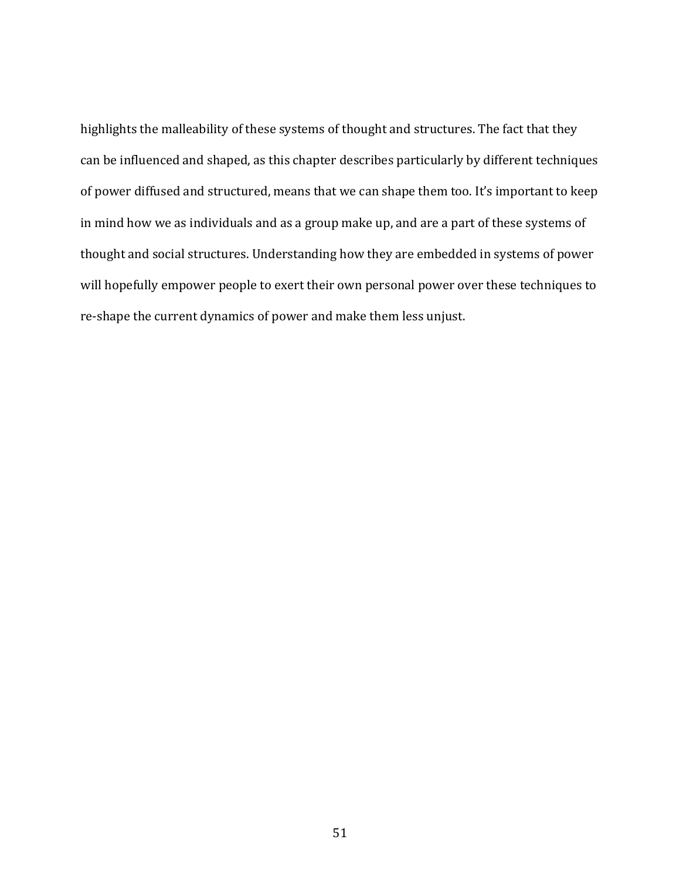highlights the malleability of these systems of thought and structures. The fact that they can be influenced and shaped, as this chapter describes particularly by different techniques of power diffused and structured, means that we can shape them too. It's important to keep in mind how we as individuals and as a group make up, and are a part of these systems of thought and social structures. Understanding how they are embedded in systems of power will hopefully empower people to exert their own personal power over these techniques to re-shape the current dynamics of power and make them less unjust.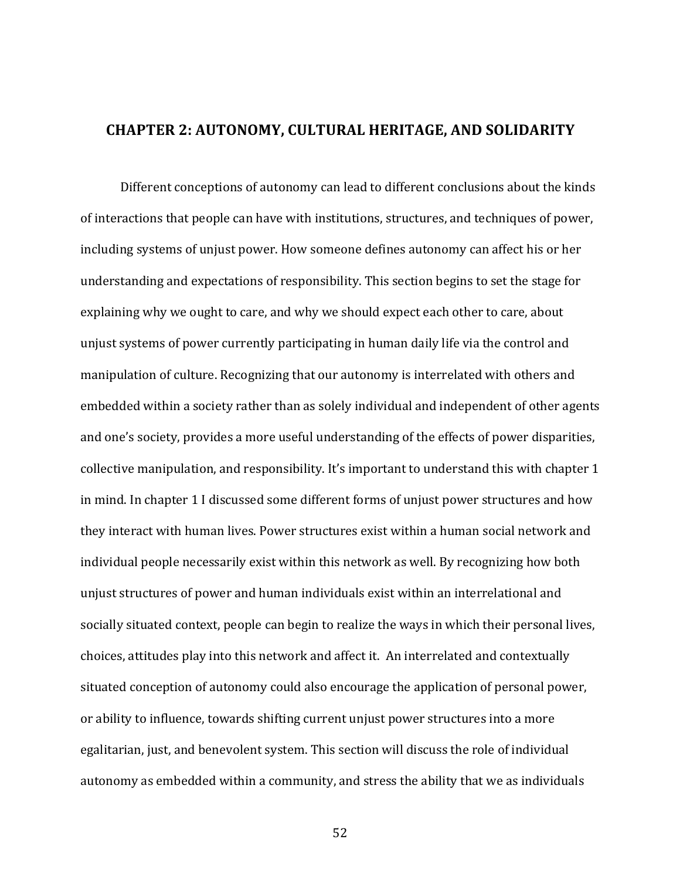## **CHAPTER 2: AUTONOMY, CULTURAL HERITAGE, AND SOLIDARITY**

Different conceptions of autonomy can lead to different conclusions about the kinds of interactions that people can have with institutions, structures, and techniques of power, including systems of unjust power. How someone defines autonomy can affect his or her understanding and expectations of responsibility. This section begins to set the stage for explaining why we ought to care, and why we should expect each other to care, about unjust systems of power currently participating in human daily life via the control and manipulation of culture. Recognizing that our autonomy is interrelated with others and embedded within a society rather than as solely individual and independent of other agents and one's society, provides a more useful understanding of the effects of power disparities, collective manipulation, and responsibility. It's important to understand this with chapter 1 in mind. In chapter 1 I discussed some different forms of unjust power structures and how they interact with human lives. Power structures exist within a human social network and individual people necessarily exist within this network as well. By recognizing how both unjust structures of power and human individuals exist within an interrelational and socially situated context, people can begin to realize the ways in which their personal lives, choices, attitudes play into this network and affect it. An interrelated and contextually situated conception of autonomy could also encourage the application of personal power, or ability to influence, towards shifting current unjust power structures into a more egalitarian, just, and benevolent system. This section will discuss the role of individual autonomy as embedded within a community, and stress the ability that we as individuals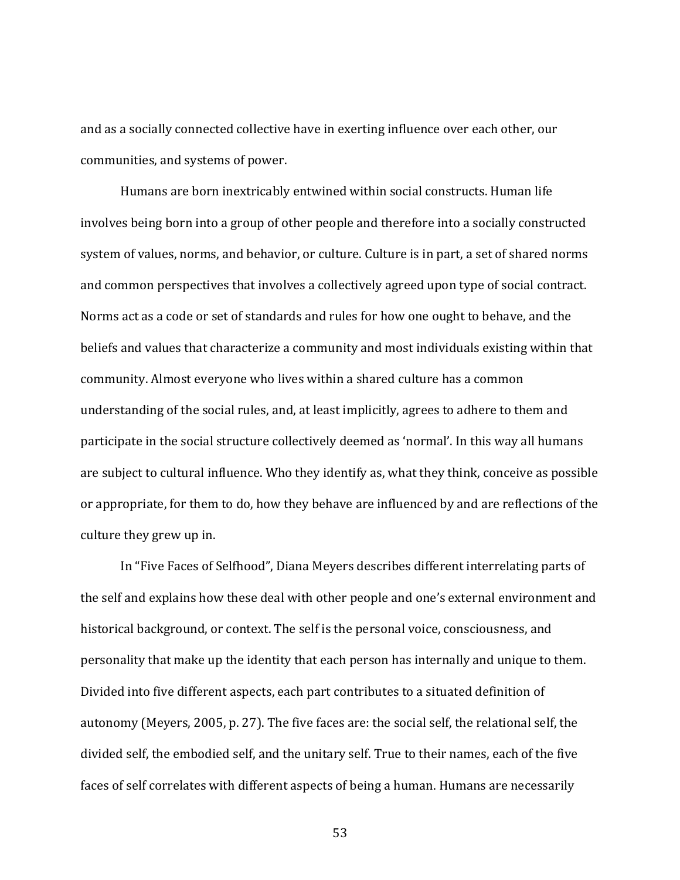and as a socially connected collective have in exerting influence over each other, our communities, and systems of power.

Humans are born inextricably entwined within social constructs. Human life involves being born into a group of other people and therefore into a socially constructed system of values, norms, and behavior, or culture. Culture is in part, a set of shared norms and common perspectives that involves a collectively agreed upon type of social contract. Norms act as a code or set of standards and rules for how one ought to behave, and the beliefs and values that characterize a community and most individuals existing within that community. Almost everyone who lives within a shared culture has a common understanding of the social rules, and, at least implicitly, agrees to adhere to them and participate in the social structure collectively deemed as 'normal'. In this way all humans are subject to cultural influence. Who they identify as, what they think, conceive as possible or appropriate, for them to do, how they behave are influenced by and are reflections of the culture they grew up in.

In "Five Faces of Selfhood", Diana Meyers describes different interrelating parts of the self and explains how these deal with other people and one's external environment and historical background, or context. The self is the personal voice, consciousness, and personality that make up the identity that each person has internally and unique to them. Divided into five different aspects, each part contributes to a situated definition of autonomy (Meyers, 2005, p. 27). The five faces are: the social self, the relational self, the divided self, the embodied self, and the unitary self. True to their names, each of the five faces of self correlates with different aspects of being a human. Humans are necessarily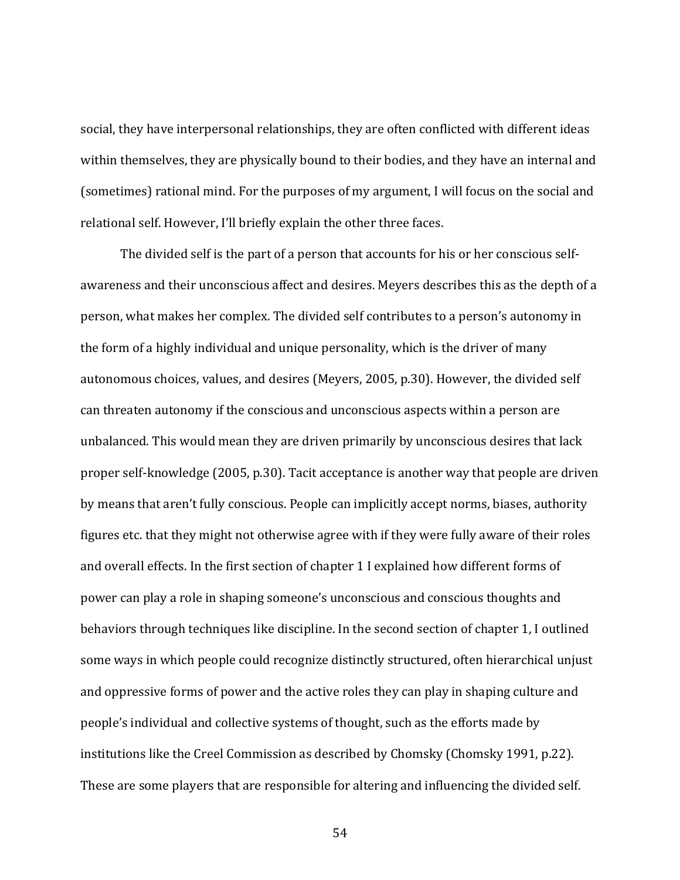social, they have interpersonal relationships, they are often conflicted with different ideas within themselves, they are physically bound to their bodies, and they have an internal and (sometimes) rational mind. For the purposes of my argument, I will focus on the social and relational self. However, I'll briefly explain the other three faces.

The divided self is the part of a person that accounts for his or her conscious selfawareness and their unconscious affect and desires. Meyers describes this as the depth of a person, what makes her complex. The divided self contributes to a person's autonomy in the form of a highly individual and unique personality, which is the driver of many autonomous choices, values, and desires (Meyers, 2005, p.30). However, the divided self can threaten autonomy if the conscious and unconscious aspects within a person are unbalanced. This would mean they are driven primarily by unconscious desires that lack proper self-knowledge (2005, p.30). Tacit acceptance is another way that people are driven by means that aren't fully conscious. People can implicitly accept norms, biases, authority figures etc. that they might not otherwise agree with if they were fully aware of their roles and overall effects. In the first section of chapter 1 I explained how different forms of power can play a role in shaping someone's unconscious and conscious thoughts and behaviors through techniques like discipline. In the second section of chapter 1, I outlined some ways in which people could recognize distinctly structured, often hierarchical unjust and oppressive forms of power and the active roles they can play in shaping culture and people's individual and collective systems of thought, such as the efforts made by institutions like the Creel Commission as described by Chomsky (Chomsky 1991, p.22). These are some players that are responsible for altering and influencing the divided self.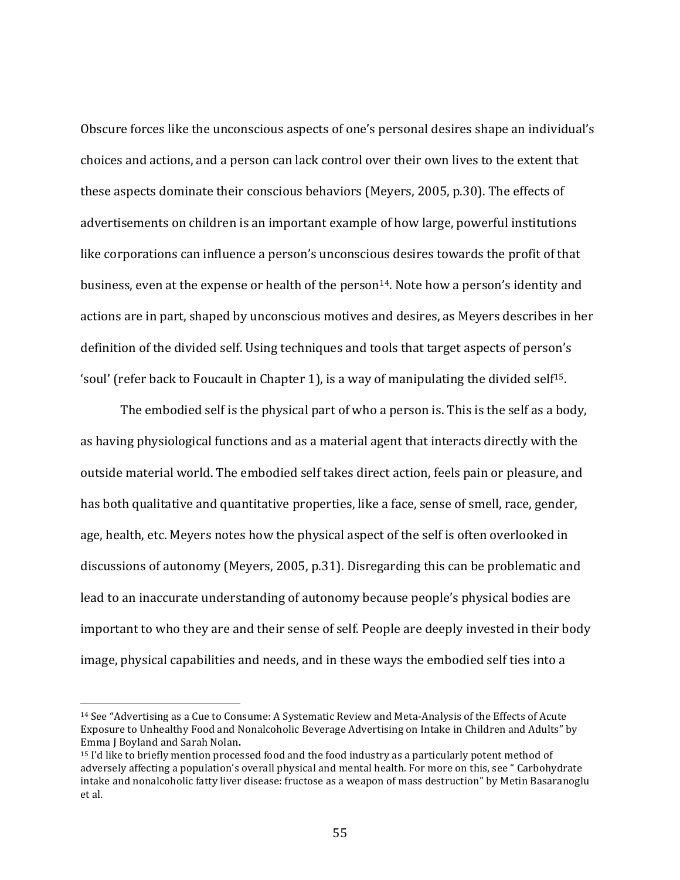Obscure forces like the unconscious aspects of one's personal desires shape an individual's choices and actions, and a person can lack control over their own lives to the extent that these aspects dominate their conscious behaviors (Meyers, 2005, p.30). The effects of advertisements on children is an important example of how large, powerful institutions like corporations can influence a person's unconscious desires towards the profit of that business, even at the expense or health of the person<sup>14</sup>. Note how a person's identity and actions are in part, shaped by unconscious motives and desires, as Meyers describes in her definition of the divided self. Using techniques and tools that target aspects of person's 'soul' (refer back to Foucault in Chapter 1), is a way of manipulating the divided self<sup>15</sup>.

The embodied self is the physical part of who a person is. This is the self as a body, as having physiological functions and as a material agent that interacts directly with the outside material world. The embodied self takes direct action, feels pain or pleasure, and has both qualitative and quantitative properties, like a face, sense of smell, race, gender, age, health, etc. Meyers notes how the physical aspect of the self is often overlooked in discussions of autonomy (Meyers, 2005, p.31). Disregarding this can be problematic and lead to an inaccurate understanding of autonomy because people's physical bodies are important to who they are and their sense of self. People are deeply invested in their body image, physical capabilities and needs, and in these ways the embodied self ties into a

<sup>&</sup>lt;sup>14</sup> See "Advertising as a Cue to Consume: A Systematic Review and Meta-Analysis of the Effects of Acute Exposure to Unhealthy Food and Nonalcoholic Beverage Advertising on Intake in Children and Adults" by Emma I Boyland and Sarah Nolan.

 $15$  I'd like to briefly mention processed food and the food industry as a particularly potent method of adversely affecting a population's overall physical and mental health. For more on this, see "Carbohydrate" intake and nonalcoholic fatty liver disease: fructose as a weapon of mass destruction" by Metin Basaranoglu et al.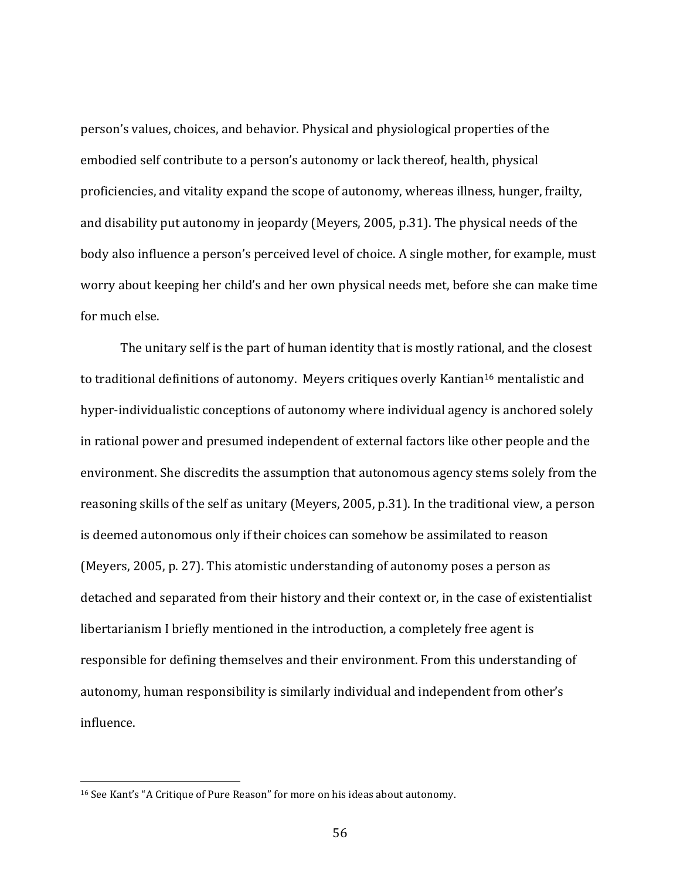person's values, choices, and behavior. Physical and physiological properties of the embodied self contribute to a person's autonomy or lack thereof, health, physical proficiencies, and vitality expand the scope of autonomy, whereas illness, hunger, frailty, and disability put autonomy in jeopardy (Meyers, 2005, p.31). The physical needs of the body also influence a person's perceived level of choice. A single mother, for example, must worry about keeping her child's and her own physical needs met, before she can make time for much else.

The unitary self is the part of human identity that is mostly rational, and the closest to traditional definitions of autonomy. Meyers critiques overly Kantian<sup>16</sup> mentalistic and hyper-individualistic conceptions of autonomy where individual agency is anchored solely in rational power and presumed independent of external factors like other people and the environment. She discredits the assumption that autonomous agency stems solely from the reasoning skills of the self as unitary (Meyers, 2005, p.31). In the traditional view, a person is deemed autonomous only if their choices can somehow be assimilated to reason (Meyers, 2005, p. 27). This atomistic understanding of autonomy poses a person as detached and separated from their history and their context or, in the case of existentialist libertarianism I briefly mentioned in the introduction, a completely free agent is responsible for defining themselves and their environment. From this understanding of autonomy, human responsibility is similarly individual and independent from other's influence.

<sup>&</sup>lt;sup>16</sup> See Kant's "A Critique of Pure Reason" for more on his ideas about autonomy.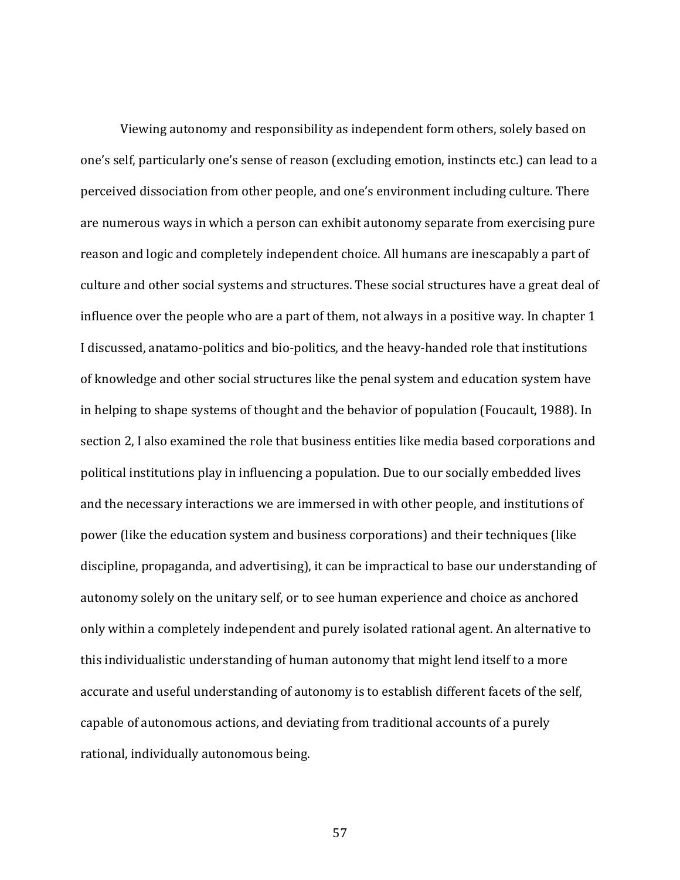Viewing autonomy and responsibility as independent form others, solely based on one's self, particularly one's sense of reason (excluding emotion, instincts etc.) can lead to a perceived dissociation from other people, and one's environment including culture. There are numerous ways in which a person can exhibit autonomy separate from exercising pure reason and logic and completely independent choice. All humans are inescapably a part of culture and other social systems and structures. These social structures have a great deal of influence over the people who are a part of them, not always in a positive way. In chapter 1 I discussed, anatamo-politics and bio-politics, and the heavy-handed role that institutions of knowledge and other social structures like the penal system and education system have in helping to shape systems of thought and the behavior of population (Foucault, 1988). In section 2, I also examined the role that business entities like media based corporations and political institutions play in influencing a population. Due to our socially embedded lives and the necessary interactions we are immersed in with other people, and institutions of power (like the education system and business corporations) and their techniques (like discipline, propaganda, and advertising), it can be impractical to base our understanding of autonomy solely on the unitary self, or to see human experience and choice as anchored only within a completely independent and purely isolated rational agent. An alternative to this individualistic understanding of human autonomy that might lend itself to a more accurate and useful understanding of autonomy is to establish different facets of the self, capable of autonomous actions, and deviating from traditional accounts of a purely rational, individually autonomous being.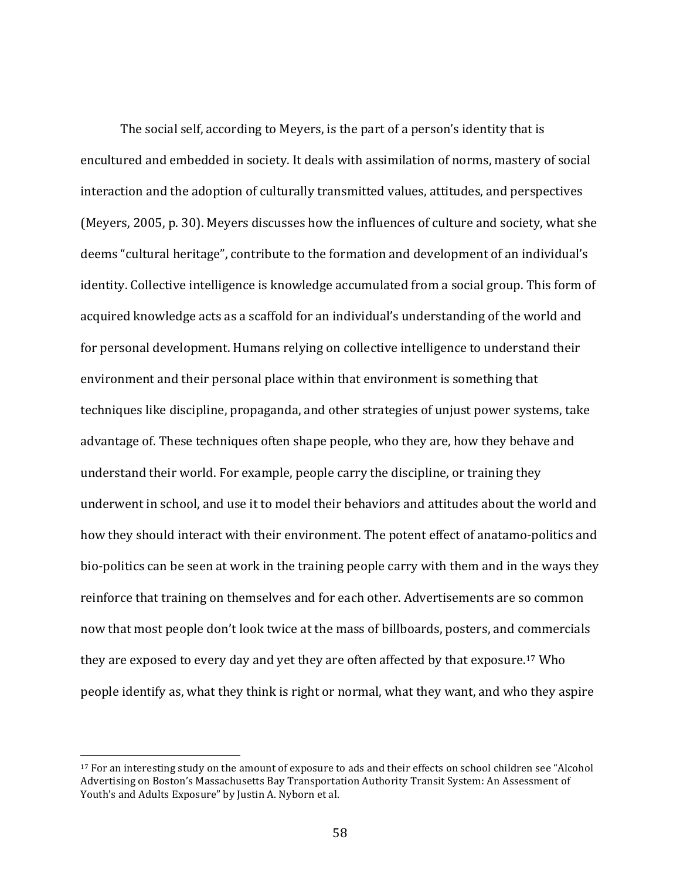The social self, according to Meyers, is the part of a person's identity that is encultured and embedded in society. It deals with assimilation of norms, mastery of social interaction and the adoption of culturally transmitted values, attitudes, and perspectives (Meyers, 2005, p. 30). Meyers discusses how the influences of culture and society, what she deems "cultural heritage", contribute to the formation and development of an individual's identity. Collective intelligence is knowledge accumulated from a social group. This form of acquired knowledge acts as a scaffold for an individual's understanding of the world and for personal development. Humans relying on collective intelligence to understand their environment and their personal place within that environment is something that techniques like discipline, propaganda, and other strategies of unjust power systems, take advantage of. These techniques often shape people, who they are, how they behave and understand their world. For example, people carry the discipline, or training they underwent in school, and use it to model their behaviors and attitudes about the world and how they should interact with their environment. The potent effect of anatamo-politics and bio-politics can be seen at work in the training people carry with them and in the ways they reinforce that training on themselves and for each other. Advertisements are so common now that most people don't look twice at the mass of billboards, posters, and commercials they are exposed to every day and yet they are often affected by that exposure.<sup>17</sup> Who people identify as, what they think is right or normal, what they want, and who they aspire

<sup>&</sup>lt;sup>17</sup> For an interesting study on the amount of exposure to ads and their effects on school children see "Alcohol" Advertising on Boston's Massachusetts Bay Transportation Authority Transit System: An Assessment of Youth's and Adults Exposure" by Justin A. Nyborn et al.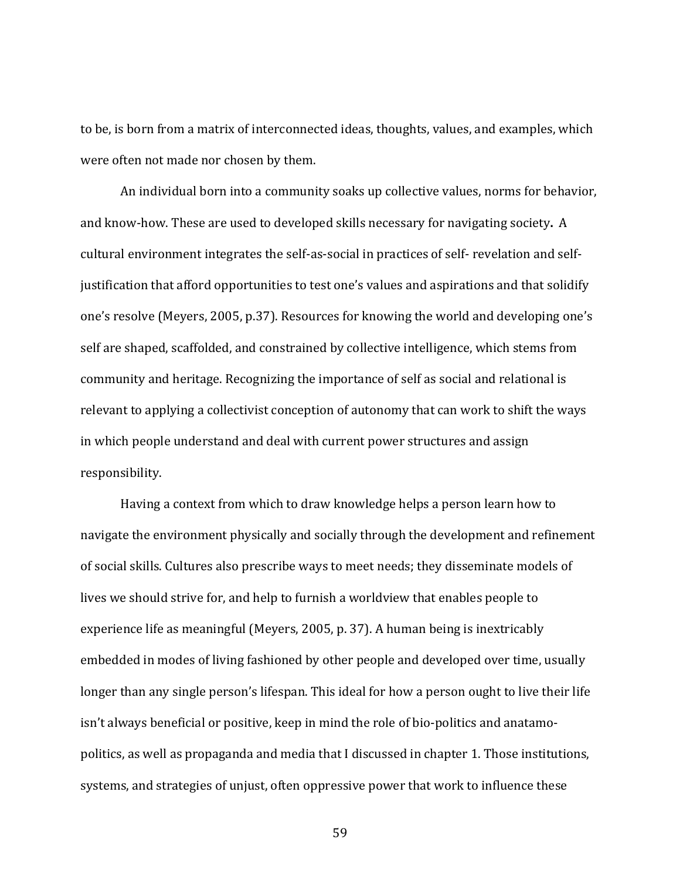to be, is born from a matrix of interconnected ideas, thoughts, values, and examples, which were often not made nor chosen by them.

An individual born into a community soaks up collective values, norms for behavior, and know-how. These are used to developed skills necessary for navigating society. A cultural environment integrates the self-as-social in practices of self- revelation and selfjustification that afford opportunities to test one's values and aspirations and that solidify one's resolve (Meyers, 2005, p.37). Resources for knowing the world and developing one's self are shaped, scaffolded, and constrained by collective intelligence, which stems from community and heritage. Recognizing the importance of self as social and relational is relevant to applying a collectivist conception of autonomy that can work to shift the ways in which people understand and deal with current power structures and assign responsibility. 

Having a context from which to draw knowledge helps a person learn how to navigate the environment physically and socially through the development and refinement of social skills. Cultures also prescribe ways to meet needs; they disseminate models of lives we should strive for, and help to furnish a worldview that enables people to experience life as meaningful (Meyers, 2005, p. 37). A human being is inextricably embedded in modes of living fashioned by other people and developed over time, usually longer than any single person's lifespan. This ideal for how a person ought to live their life isn't always beneficial or positive, keep in mind the role of bio-politics and anatamopolitics, as well as propaganda and media that I discussed in chapter 1. Those institutions, systems, and strategies of unjust, often oppressive power that work to influence these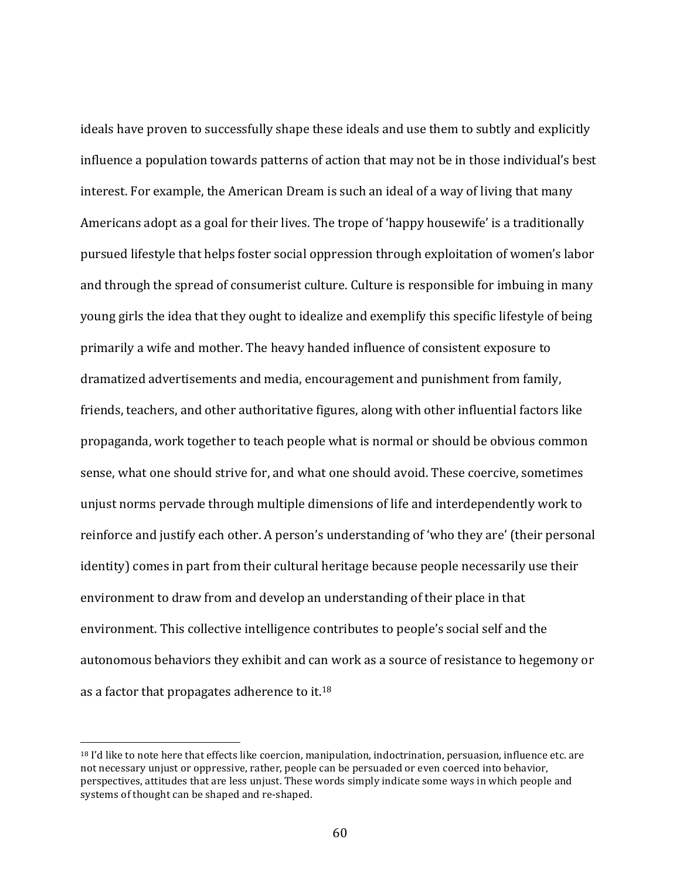ideals have proven to successfully shape these ideals and use them to subtly and explicitly influence a population towards patterns of action that may not be in those individual's best interest. For example, the American Dream is such an ideal of a way of living that many Americans adopt as a goal for their lives. The trope of 'happy housewife' is a traditionally pursued lifestyle that helps foster social oppression through exploitation of women's labor and through the spread of consumerist culture. Culture is responsible for imbuing in many young girls the idea that they ought to idealize and exemplify this specific lifestyle of being primarily a wife and mother. The heavy handed influence of consistent exposure to dramatized advertisements and media, encouragement and punishment from family, friends, teachers, and other authoritative figures, along with other influential factors like propaganda, work together to teach people what is normal or should be obvious common sense, what one should strive for, and what one should avoid. These coercive, sometimes unjust norms pervade through multiple dimensions of life and interdependently work to reinforce and justify each other. A person's understanding of 'who they are' (their personal identity) comes in part from their cultural heritage because people necessarily use their environment to draw from and develop an understanding of their place in that environment. This collective intelligence contributes to people's social self and the autonomous behaviors they exhibit and can work as a source of resistance to hegemony or as a factor that propagates adherence to it.<sup>18</sup>

 $18$  I'd like to note here that effects like coercion, manipulation, indoctrination, persuasion, influence etc. are not necessary unjust or oppressive, rather, people can be persuaded or even coerced into behavior, perspectives, attitudes that are less unjust. These words simply indicate some ways in which people and systems of thought can be shaped and re-shaped.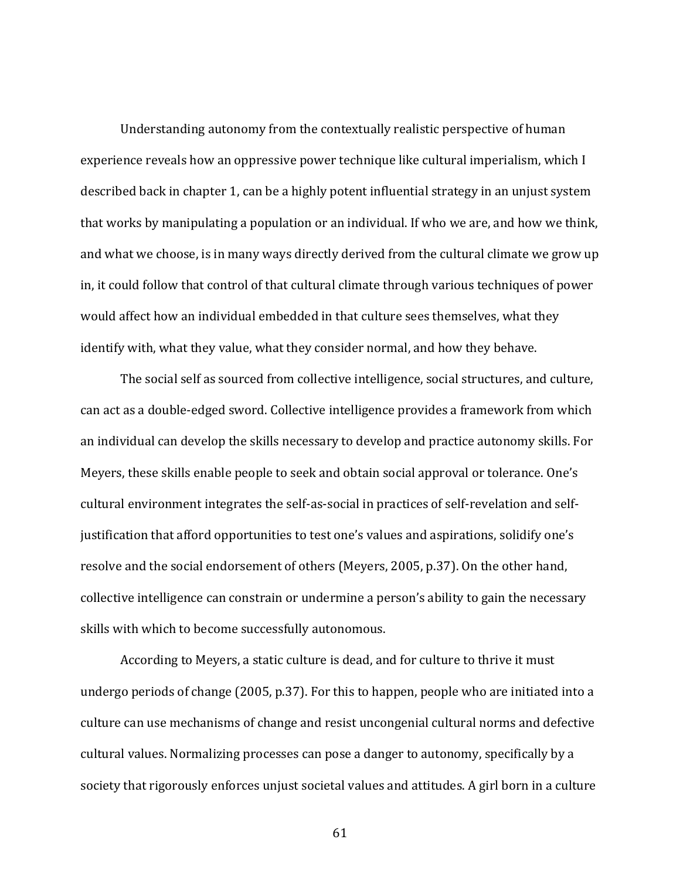Understanding autonomy from the contextually realistic perspective of human experience reveals how an oppressive power technique like cultural imperialism, which I described back in chapter 1, can be a highly potent influential strategy in an unjust system that works by manipulating a population or an individual. If who we are, and how we think, and what we choose, is in many ways directly derived from the cultural climate we grow up in, it could follow that control of that cultural climate through various techniques of power would affect how an individual embedded in that culture sees themselves, what they identify with, what they value, what they consider normal, and how they behave.

The social self as sourced from collective intelligence, social structures, and culture, can act as a double-edged sword. Collective intelligence provides a framework from which an individual can develop the skills necessary to develop and practice autonomy skills. For Meyers, these skills enable people to seek and obtain social approval or tolerance. One's cultural environment integrates the self-as-social in practices of self-revelation and selfjustification that afford opportunities to test one's values and aspirations, solidify one's resolve and the social endorsement of others (Meyers, 2005, p.37). On the other hand, collective intelligence can constrain or undermine a person's ability to gain the necessary skills with which to become successfully autonomous.

According to Meyers, a static culture is dead, and for culture to thrive it must undergo periods of change  $(2005, p.37)$ . For this to happen, people who are initiated into a culture can use mechanisms of change and resist uncongenial cultural norms and defective cultural values. Normalizing processes can pose a danger to autonomy, specifically by a society that rigorously enforces unjust societal values and attitudes. A girl born in a culture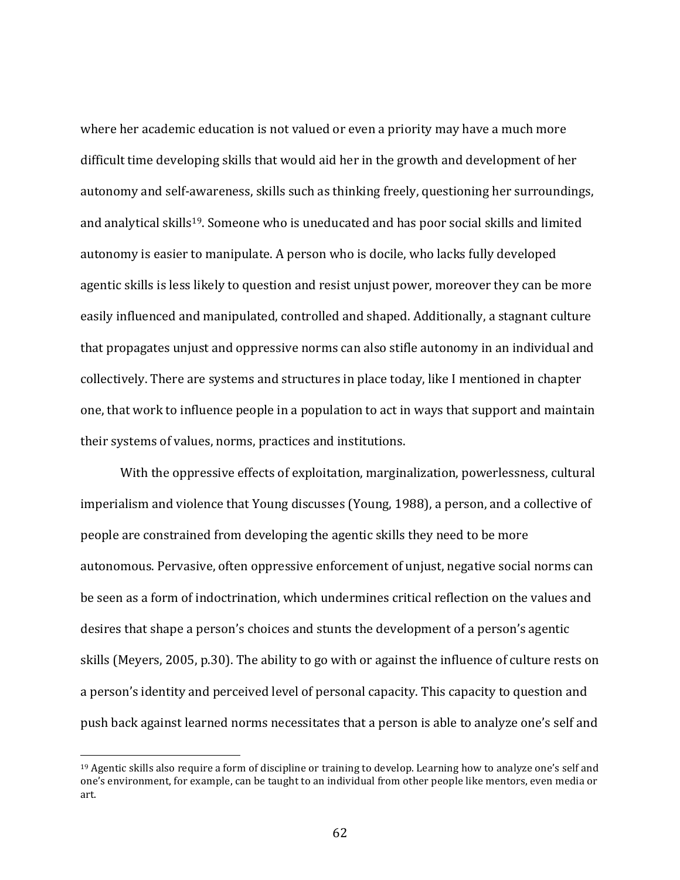where her academic education is not valued or even a priority may have a much more difficult time developing skills that would aid her in the growth and development of her autonomy and self-awareness, skills such as thinking freely, questioning her surroundings, and analytical skills<sup>19</sup>. Someone who is uneducated and has poor social skills and limited autonomy is easier to manipulate. A person who is docile, who lacks fully developed agentic skills is less likely to question and resist unjust power, moreover they can be more easily influenced and manipulated, controlled and shaped. Additionally, a stagnant culture that propagates unjust and oppressive norms can also stifle autonomy in an individual and collectively. There are systems and structures in place today, like I mentioned in chapter one, that work to influence people in a population to act in ways that support and maintain their systems of values, norms, practices and institutions.

With the oppressive effects of exploitation, marginalization, powerlessness, cultural imperialism and violence that Young discusses (Young, 1988), a person, and a collective of people are constrained from developing the agentic skills they need to be more autonomous. Pervasive, often oppressive enforcement of unjust, negative social norms can be seen as a form of indoctrination, which undermines critical reflection on the values and desires that shape a person's choices and stunts the development of a person's agentic skills (Meyers, 2005, p.30). The ability to go with or against the influence of culture rests on a person's identity and perceived level of personal capacity. This capacity to question and push back against learned norms necessitates that a person is able to analyze one's self and

 $19$  Agentic skills also require a form of discipline or training to develop. Learning how to analyze one's self and one's environment, for example, can be taught to an individual from other people like mentors, even media or art.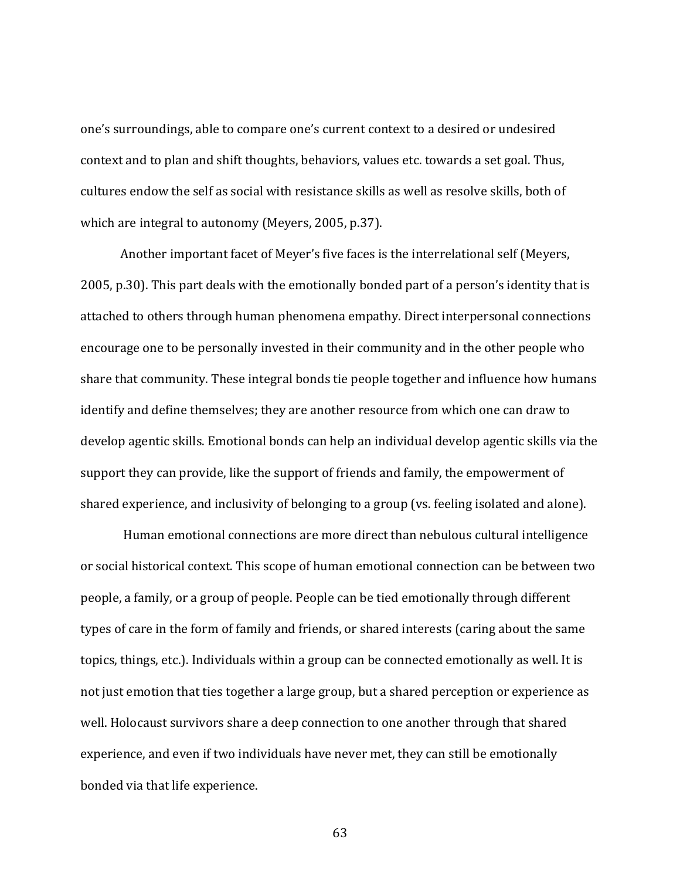one's surroundings, able to compare one's current context to a desired or undesired context and to plan and shift thoughts, behaviors, values etc. towards a set goal. Thus, cultures endow the self as social with resistance skills as well as resolve skills, both of which are integral to autonomy (Meyers, 2005, p.37).

Another important facet of Meyer's five faces is the interrelational self (Meyers, 2005, p.30). This part deals with the emotionally bonded part of a person's identity that is attached to others through human phenomena empathy. Direct interpersonal connections encourage one to be personally invested in their community and in the other people who share that community. These integral bonds tie people together and influence how humans identify and define themselves; they are another resource from which one can draw to develop agentic skills. Emotional bonds can help an individual develop agentic skills via the support they can provide, like the support of friends and family, the empowerment of shared experience, and inclusivity of belonging to a group (vs. feeling isolated and alone).

Human emotional connections are more direct than nebulous cultural intelligence or social historical context. This scope of human emotional connection can be between two people, a family, or a group of people. People can be tied emotionally through different types of care in the form of family and friends, or shared interests (caring about the same topics, things, etc.). Individuals within a group can be connected emotionally as well. It is not just emotion that ties together a large group, but a shared perception or experience as well. Holocaust survivors share a deep connection to one another through that shared experience, and even if two individuals have never met, they can still be emotionally bonded via that life experience.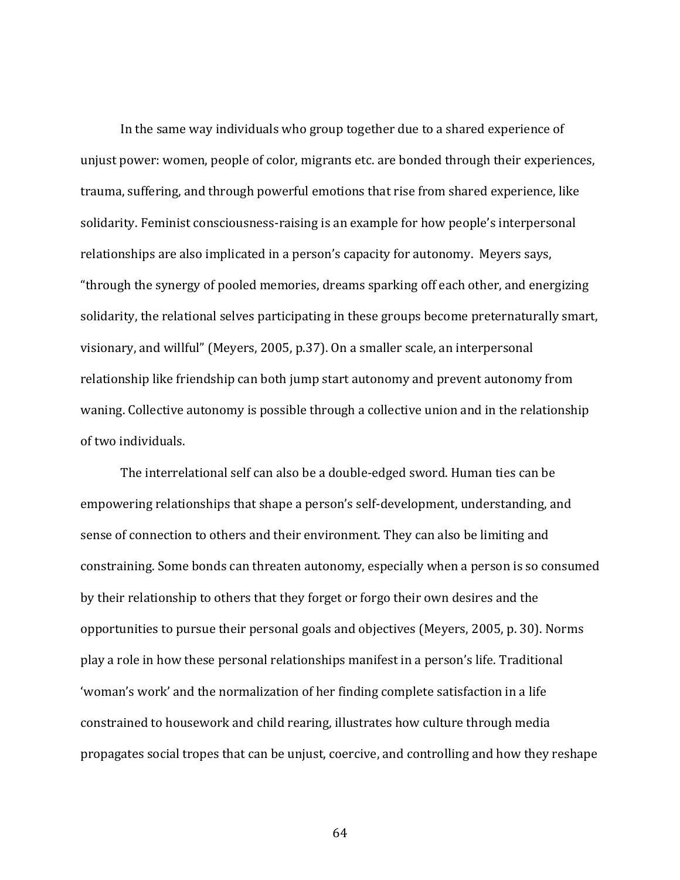In the same way individuals who group together due to a shared experience of unjust power: women, people of color, migrants etc. are bonded through their experiences, trauma, suffering, and through powerful emotions that rise from shared experience, like solidarity. Feminist consciousness-raising is an example for how people's interpersonal relationships are also implicated in a person's capacity for autonomy. Meyers says, "through the synergy of pooled memories, dreams sparking off each other, and energizing solidarity, the relational selves participating in these groups become preternaturally smart, visionary, and willful" (Meyers, 2005, p.37). On a smaller scale, an interpersonal relationship like friendship can both jump start autonomy and prevent autonomy from waning. Collective autonomy is possible through a collective union and in the relationship of two individuals.

The interrelational self can also be a double-edged sword. Human ties can be empowering relationships that shape a person's self-development, understanding, and sense of connection to others and their environment. They can also be limiting and constraining. Some bonds can threaten autonomy, especially when a person is so consumed by their relationship to others that they forget or forgo their own desires and the opportunities to pursue their personal goals and objectives (Meyers, 2005, p. 30). Norms play a role in how these personal relationships manifest in a person's life. Traditional 'woman's work' and the normalization of her finding complete satisfaction in a life constrained to housework and child rearing, illustrates how culture through media propagates social tropes that can be unjust, coercive, and controlling and how they reshape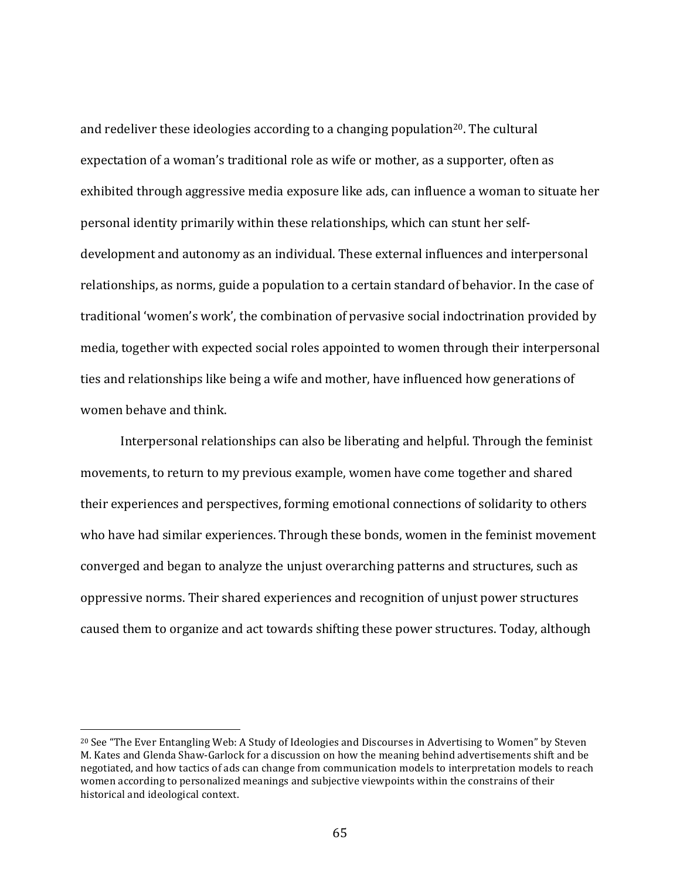and redeliver these ideologies according to a changing population<sup>20</sup>. The cultural expectation of a woman's traditional role as wife or mother, as a supporter, often as exhibited through aggressive media exposure like ads, can influence a woman to situate her personal identity primarily within these relationships, which can stunt her selfdevelopment and autonomy as an individual. These external influences and interpersonal relationships, as norms, guide a population to a certain standard of behavior. In the case of traditional 'women's work', the combination of pervasive social indoctrination provided by media, together with expected social roles appointed to women through their interpersonal ties and relationships like being a wife and mother, have influenced how generations of women behave and think.

Interpersonal relationships can also be liberating and helpful. Through the feminist movements, to return to my previous example, women have come together and shared their experiences and perspectives, forming emotional connections of solidarity to others who have had similar experiences. Through these bonds, women in the feminist movement converged and began to analyze the unjust overarching patterns and structures, such as oppressive norms. Their shared experiences and recognition of unjust power structures caused them to organize and act towards shifting these power structures. Today, although

<sup>&</sup>lt;sup>20</sup> See "The Ever Entangling Web: A Study of Ideologies and Discourses in Advertising to Women" by Steven M. Kates and Glenda Shaw-Garlock for a discussion on how the meaning behind advertisements shift and be negotiated, and how tactics of ads can change from communication models to interpretation models to reach women according to personalized meanings and subjective viewpoints within the constrains of their historical and ideological context.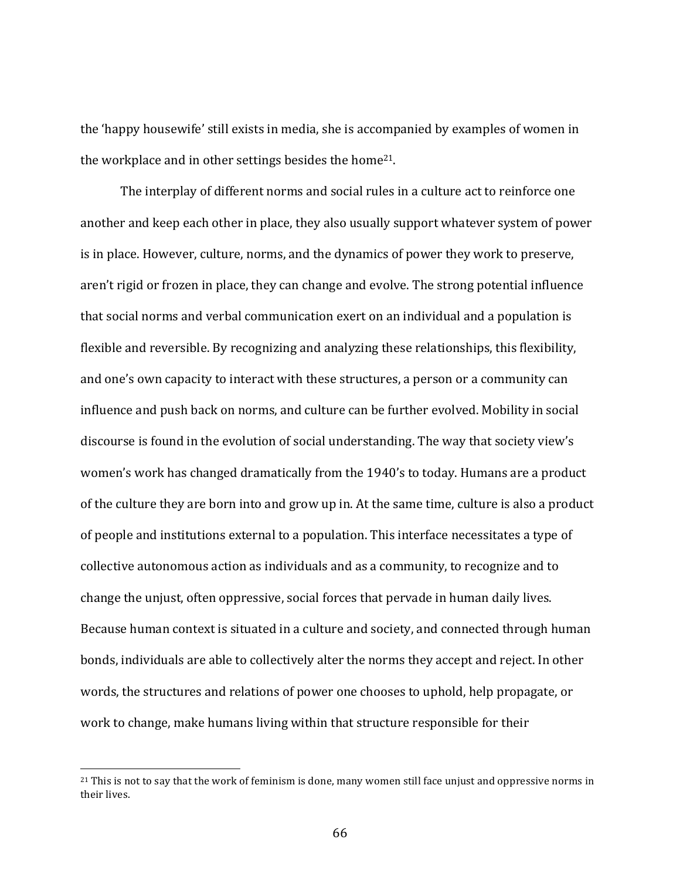the 'happy housewife' still exists in media, she is accompanied by examples of women in the workplace and in other settings besides the home<sup>21</sup>.

The interplay of different norms and social rules in a culture act to reinforce one another and keep each other in place, they also usually support whatever system of power is in place. However, culture, norms, and the dynamics of power they work to preserve, aren't rigid or frozen in place, they can change and evolve. The strong potential influence that social norms and verbal communication exert on an individual and a population is flexible and reversible. By recognizing and analyzing these relationships, this flexibility, and one's own capacity to interact with these structures, a person or a community can influence and push back on norms, and culture can be further evolved. Mobility in social discourse is found in the evolution of social understanding. The way that society view's women's work has changed dramatically from the 1940's to today. Humans are a product of the culture they are born into and grow up in. At the same time, culture is also a product of people and institutions external to a population. This interface necessitates a type of collective autonomous action as individuals and as a community, to recognize and to change the unjust, often oppressive, social forces that pervade in human daily lives. Because human context is situated in a culture and society, and connected through human bonds, individuals are able to collectively alter the norms they accept and reject. In other words, the structures and relations of power one chooses to uphold, help propagate, or work to change, make humans living within that structure responsible for their

<sup>&</sup>lt;sup>21</sup> This is not to say that the work of feminism is done, many women still face unjust and oppressive norms in their lives.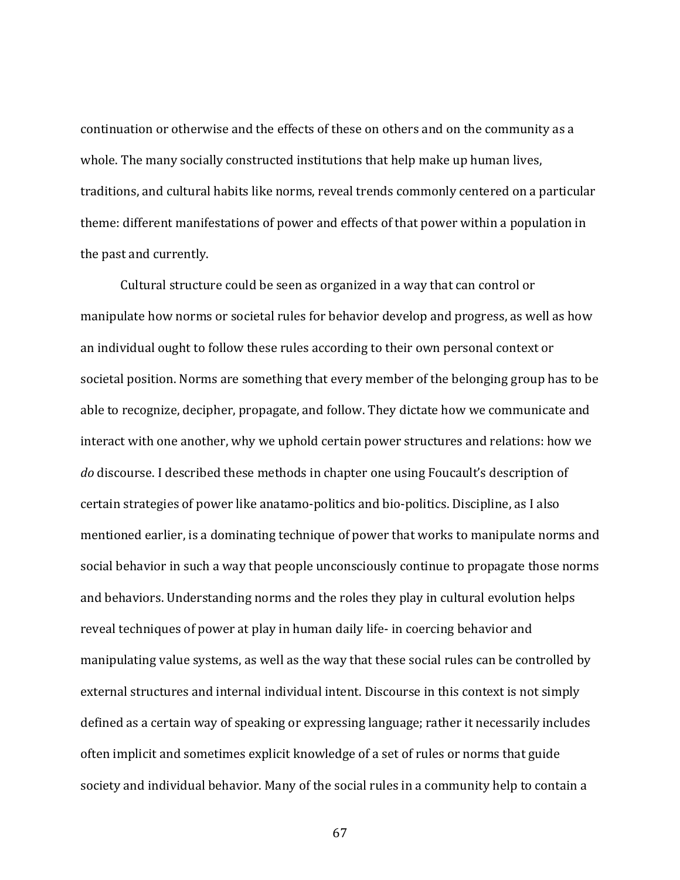continuation or otherwise and the effects of these on others and on the community as a whole. The many socially constructed institutions that help make up human lives, traditions, and cultural habits like norms, reveal trends commonly centered on a particular theme: different manifestations of power and effects of that power within a population in the past and currently.

Cultural structure could be seen as organized in a way that can control or manipulate how norms or societal rules for behavior develop and progress, as well as how an individual ought to follow these rules according to their own personal context or societal position. Norms are something that every member of the belonging group has to be able to recognize, decipher, propagate, and follow. They dictate how we communicate and interact with one another, why we uphold certain power structures and relations: how we *do* discourse. I described these methods in chapter one using Foucault's description of certain strategies of power like anatamo-politics and bio-politics. Discipline, as I also mentioned earlier, is a dominating technique of power that works to manipulate norms and social behavior in such a way that people unconsciously continue to propagate those norms and behaviors. Understanding norms and the roles they play in cultural evolution helps reveal techniques of power at play in human daily life- in coercing behavior and manipulating value systems, as well as the way that these social rules can be controlled by external structures and internal individual intent. Discourse in this context is not simply defined as a certain way of speaking or expressing language; rather it necessarily includes often implicit and sometimes explicit knowledge of a set of rules or norms that guide society and individual behavior. Many of the social rules in a community help to contain a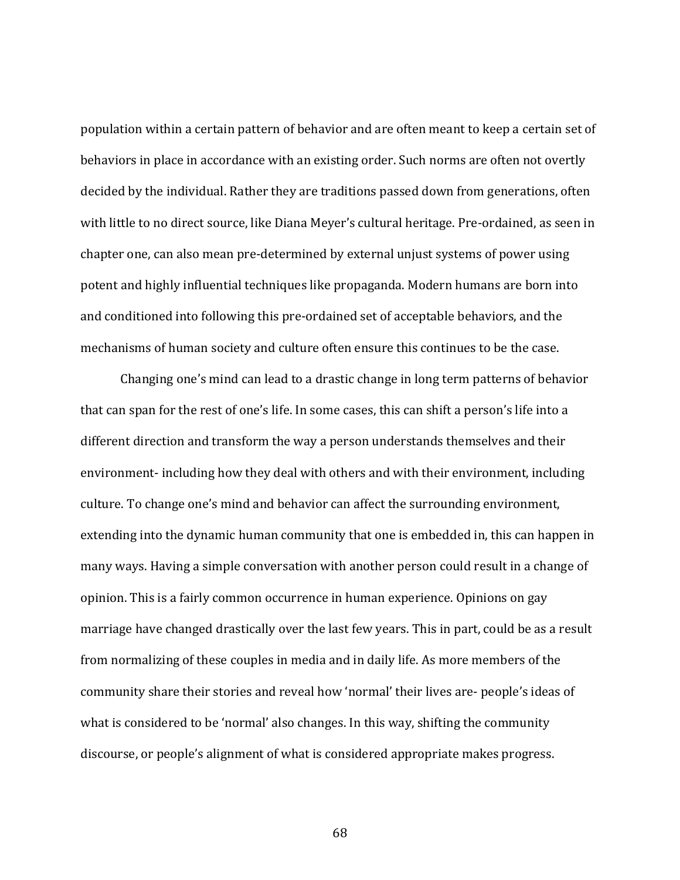population within a certain pattern of behavior and are often meant to keep a certain set of behaviors in place in accordance with an existing order. Such norms are often not overtly decided by the individual. Rather they are traditions passed down from generations, often with little to no direct source, like Diana Meyer's cultural heritage. Pre-ordained, as seen in chapter one, can also mean pre-determined by external unjust systems of power using potent and highly influential techniques like propaganda. Modern humans are born into and conditioned into following this pre-ordained set of acceptable behaviors, and the mechanisms of human society and culture often ensure this continues to be the case.

Changing one's mind can lead to a drastic change in long term patterns of behavior that can span for the rest of one's life. In some cases, this can shift a person's life into a different direction and transform the way a person understands themselves and their environment- including how they deal with others and with their environment, including culture. To change one's mind and behavior can affect the surrounding environment, extending into the dynamic human community that one is embedded in, this can happen in many ways. Having a simple conversation with another person could result in a change of opinion. This is a fairly common occurrence in human experience. Opinions on gay marriage have changed drastically over the last few years. This in part, could be as a result from normalizing of these couples in media and in daily life. As more members of the community share their stories and reveal how 'normal' their lives are- people's ideas of what is considered to be 'normal' also changes. In this way, shifting the community discourse, or people's alignment of what is considered appropriate makes progress.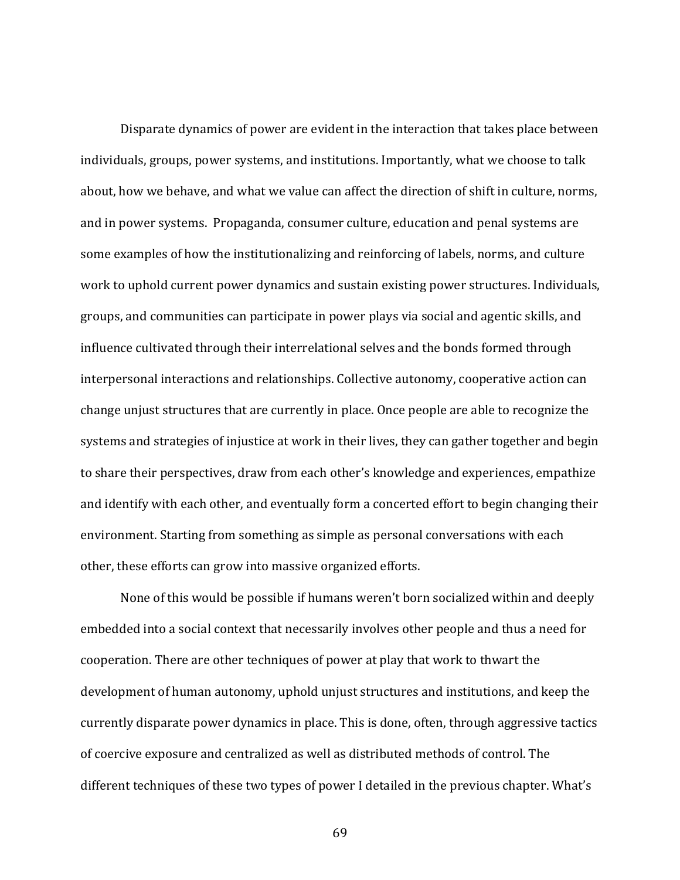Disparate dynamics of power are evident in the interaction that takes place between individuals, groups, power systems, and institutions. Importantly, what we choose to talk about, how we behave, and what we value can affect the direction of shift in culture, norms, and in power systems. Propaganda, consumer culture, education and penal systems are some examples of how the institutionalizing and reinforcing of labels, norms, and culture work to uphold current power dynamics and sustain existing power structures. Individuals, groups, and communities can participate in power plays via social and agentic skills, and influence cultivated through their interrelational selves and the bonds formed through interpersonal interactions and relationships. Collective autonomy, cooperative action can change unjust structures that are currently in place. Once people are able to recognize the systems and strategies of injustice at work in their lives, they can gather together and begin to share their perspectives, draw from each other's knowledge and experiences, empathize and identify with each other, and eventually form a concerted effort to begin changing their environment. Starting from something as simple as personal conversations with each other, these efforts can grow into massive organized efforts.

None of this would be possible if humans weren't born socialized within and deeply embedded into a social context that necessarily involves other people and thus a need for cooperation. There are other techniques of power at play that work to thwart the development of human autonomy, uphold unjust structures and institutions, and keep the currently disparate power dynamics in place. This is done, often, through aggressive tactics of coercive exposure and centralized as well as distributed methods of control. The different techniques of these two types of power I detailed in the previous chapter. What's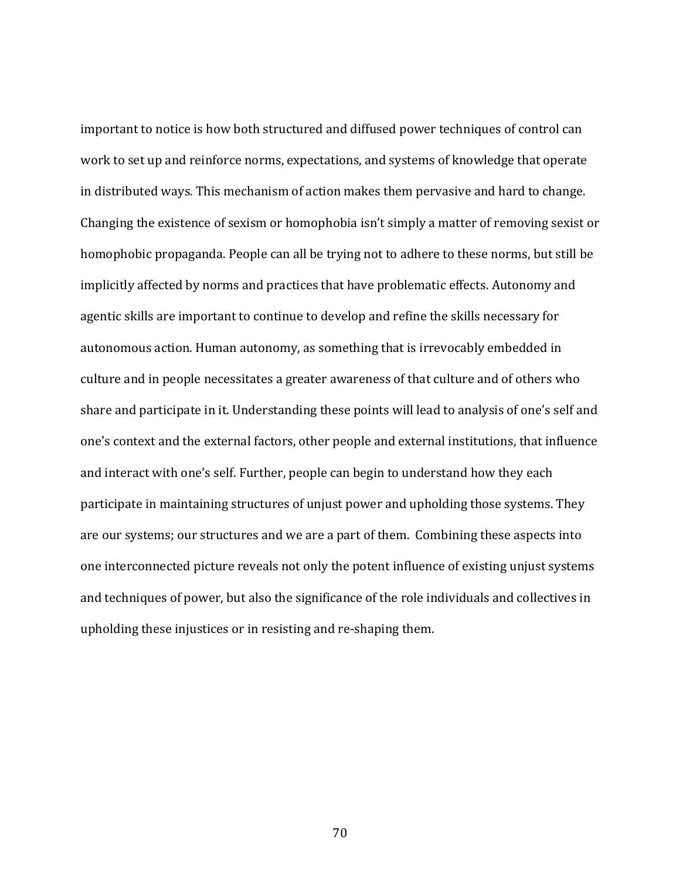important to notice is how both structured and diffused power techniques of control can work to set up and reinforce norms, expectations, and systems of knowledge that operate in distributed ways. This mechanism of action makes them pervasive and hard to change. Changing the existence of sexism or homophobia  $\sin'$ t simply a matter of removing sexist or homophobic propaganda. People can all be trying not to adhere to these norms, but still be implicitly affected by norms and practices that have problematic effects. Autonomy and agentic skills are important to continue to develop and refine the skills necessary for autonomous action. Human autonomy, as something that is irrevocably embedded in culture and in people necessitates a greater awareness of that culture and of others who share and participate in it. Understanding these points will lead to analysis of one's self and one's context and the external factors, other people and external institutions, that influence and interact with one's self. Further, people can begin to understand how they each participate in maintaining structures of unjust power and upholding those systems. They are our systems; our structures and we are a part of them. Combining these aspects into one interconnected picture reveals not only the potent influence of existing unjust systems and techniques of power, but also the significance of the role individuals and collectives in upholding these injustices or in resisting and re-shaping them.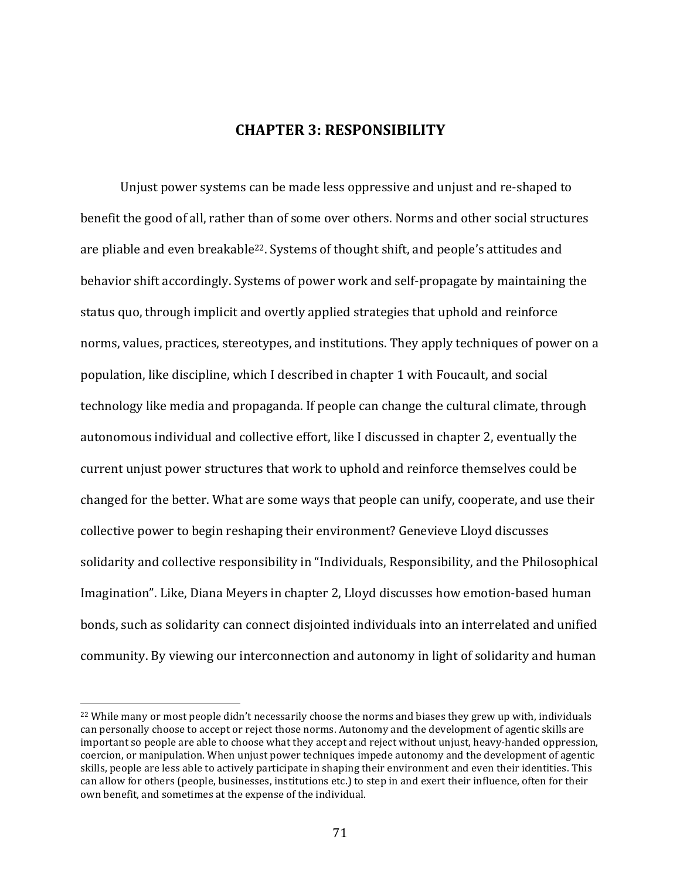## **CHAPTER 3: RESPONSIBILITY**

Unjust power systems can be made less oppressive and unjust and re-shaped to benefit the good of all, rather than of some over others. Norms and other social structures are pliable and even breakable<sup>22</sup>. Systems of thought shift, and people's attitudes and behavior shift accordingly. Systems of power work and self-propagate by maintaining the status quo, through implicit and overtly applied strategies that uphold and reinforce norms, values, practices, stereotypes, and institutions. They apply techniques of power on a population, like discipline, which I described in chapter 1 with Foucault, and social technology like media and propaganda. If people can change the cultural climate, through autonomous individual and collective effort, like I discussed in chapter 2, eventually the current unjust power structures that work to uphold and reinforce themselves could be changed for the better. What are some ways that people can unify, cooperate, and use their collective power to begin reshaping their environment? Genevieve Lloyd discusses solidarity and collective responsibility in "Individuals, Responsibility, and the Philosophical Imagination". Like, Diana Meyers in chapter 2, Lloyd discusses how emotion-based human bonds, such as solidarity can connect disjointed individuals into an interrelated and unified community. By viewing our interconnection and autonomy in light of solidarity and human

 $22$  While many or most people didn't necessarily choose the norms and biases they grew up with, individuals can personally choose to accept or reject those norms. Autonomy and the development of agentic skills are important so people are able to choose what they accept and reject without unjust, heavy-handed oppression, coercion, or manipulation. When unjust power techniques impede autonomy and the development of agentic skills, people are less able to actively participate in shaping their environment and even their identities. This can allow for others (people, businesses, institutions etc.) to step in and exert their influence, often for their own benefit, and sometimes at the expense of the individual.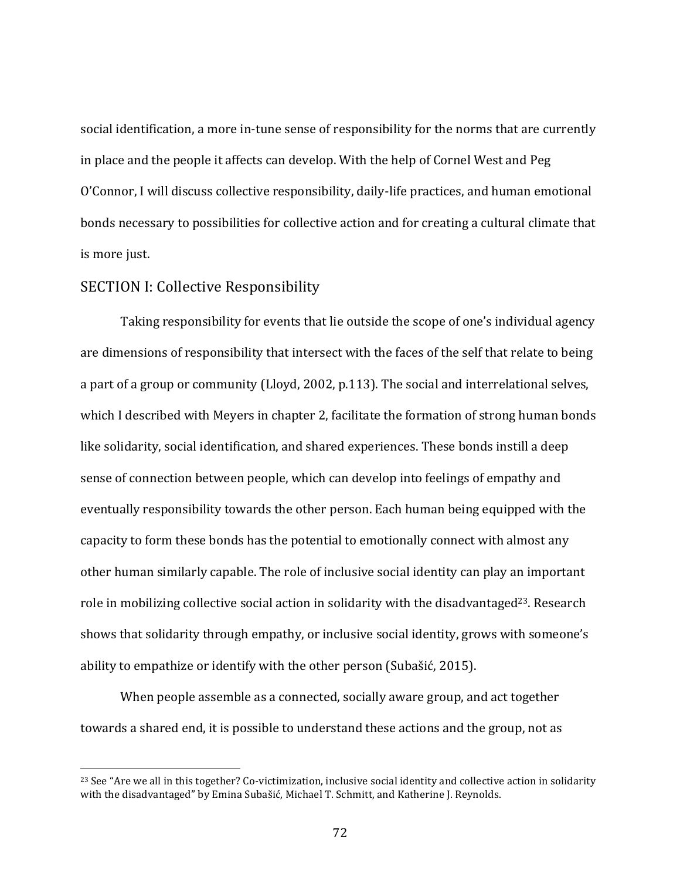social identification, a more in-tune sense of responsibility for the norms that are currently in place and the people it affects can develop. With the help of Cornel West and Peg O'Connor, I will discuss collective responsibility, daily-life practices, and human emotional bonds necessary to possibilities for collective action and for creating a cultural climate that is more just.

## SECTION I: Collective Responsibility

 

Taking responsibility for events that lie outside the scope of one's individual agency are dimensions of responsibility that intersect with the faces of the self that relate to being a part of a group or community (Lloyd, 2002, p.113). The social and interrelational selves, which I described with Meyers in chapter 2, facilitate the formation of strong human bonds like solidarity, social identification, and shared experiences. These bonds instill a deep sense of connection between people, which can develop into feelings of empathy and eventually responsibility towards the other person. Each human being equipped with the capacity to form these bonds has the potential to emotionally connect with almost any other human similarly capable. The role of inclusive social identity can play an important role in mobilizing collective social action in solidarity with the disadvantaged<sup>23</sup>. Research shows that solidarity through empathy, or inclusive social identity, grows with someone's ability to empathize or identify with the other person (Subašić, 2015).

When people assemble as a connected, socially aware group, and act together towards a shared end, it is possible to understand these actions and the group, not as

<sup>&</sup>lt;sup>23</sup> See "Are we all in this together? Co-victimization, inclusive social identity and collective action in solidarity with the disadvantaged" by Emina Subašić, Michael T. Schmitt, and Katherine J. Reynolds.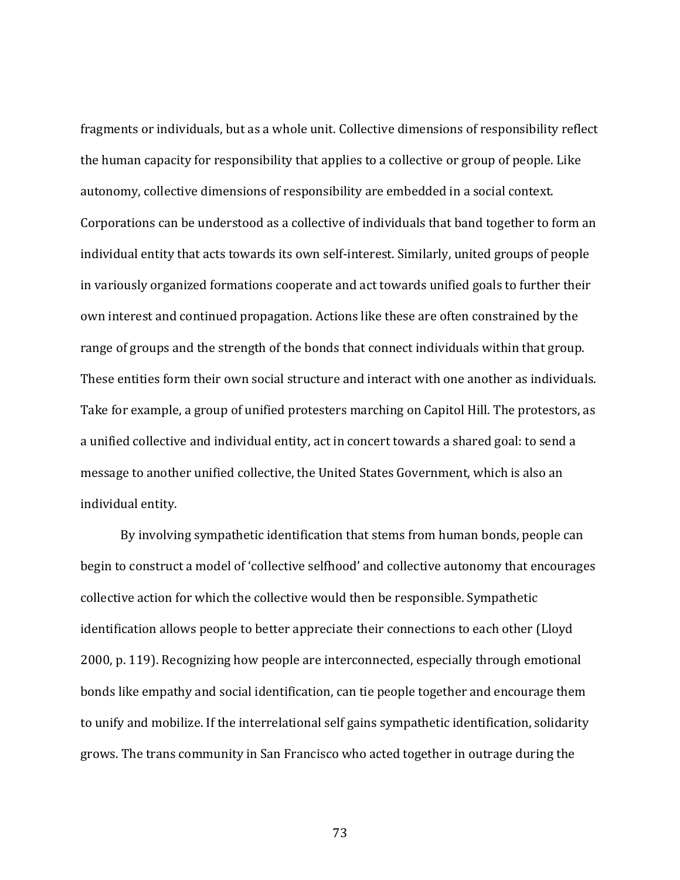fragments or individuals, but as a whole unit. Collective dimensions of responsibility reflect the human capacity for responsibility that applies to a collective or group of people. Like autonomy, collective dimensions of responsibility are embedded in a social context. Corporations can be understood as a collective of individuals that band together to form an individual entity that acts towards its own self-interest. Similarly, united groups of people in variously organized formations cooperate and act towards unified goals to further their own interest and continued propagation. Actions like these are often constrained by the range of groups and the strength of the bonds that connect individuals within that group. These entities form their own social structure and interact with one another as individuals. Take for example, a group of unified protesters marching on Capitol Hill. The protestors, as a unified collective and individual entity, act in concert towards a shared goal: to send a message to another unified collective, the United States Government, which is also an individual entity.

By involving sympathetic identification that stems from human bonds, people can begin to construct a model of 'collective selfhood' and collective autonomy that encourages collective action for which the collective would then be responsible. Sympathetic identification allows people to better appreciate their connections to each other (Lloyd 2000, p. 119). Recognizing how people are interconnected, especially through emotional bonds like empathy and social identification, can tie people together and encourage them to unify and mobilize. If the interrelational self gains sympathetic identification, solidarity grows. The trans community in San Francisco who acted together in outrage during the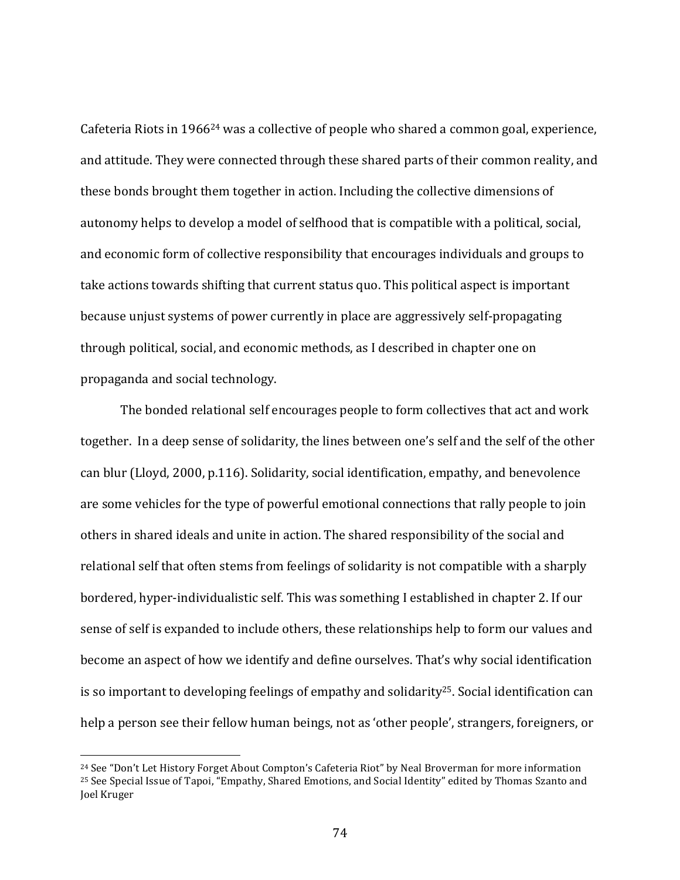Cafeteria Riots in  $1966^{24}$  was a collective of people who shared a common goal, experience, and attitude. They were connected through these shared parts of their common reality, and these bonds brought them together in action. Including the collective dimensions of autonomy helps to develop a model of selfhood that is compatible with a political, social, and economic form of collective responsibility that encourages individuals and groups to take actions towards shifting that current status quo. This political aspect is important because unjust systems of power currently in place are aggressively self-propagating through political, social, and economic methods, as I described in chapter one on propaganda and social technology.

The bonded relational self encourages people to form collectives that act and work together. In a deep sense of solidarity, the lines between one's self and the self of the other can blur (Lloyd, 2000, p.116). Solidarity, social identification, empathy, and benevolence are some vehicles for the type of powerful emotional connections that rally people to join others in shared ideals and unite in action. The shared responsibility of the social and relational self that often stems from feelings of solidarity is not compatible with a sharply bordered, hyper-individualistic self. This was something I established in chapter 2. If our sense of self is expanded to include others, these relationships help to form our values and become an aspect of how we identify and define ourselves. That's why social identification is so important to developing feelings of empathy and solidarity<sup>25</sup>. Social identification can help a person see their fellow human beings, not as 'other people', strangers, foreigners, or

<sup>&</sup>lt;sup>24</sup> See "Don't Let History Forget About Compton's Cafeteria Riot" by Neal Broverman for more information <sup>25</sup> See Special Issue of Tapoi, "Empathy, Shared Emotions, and Social Identity" edited by Thomas Szanto and Joel Kruger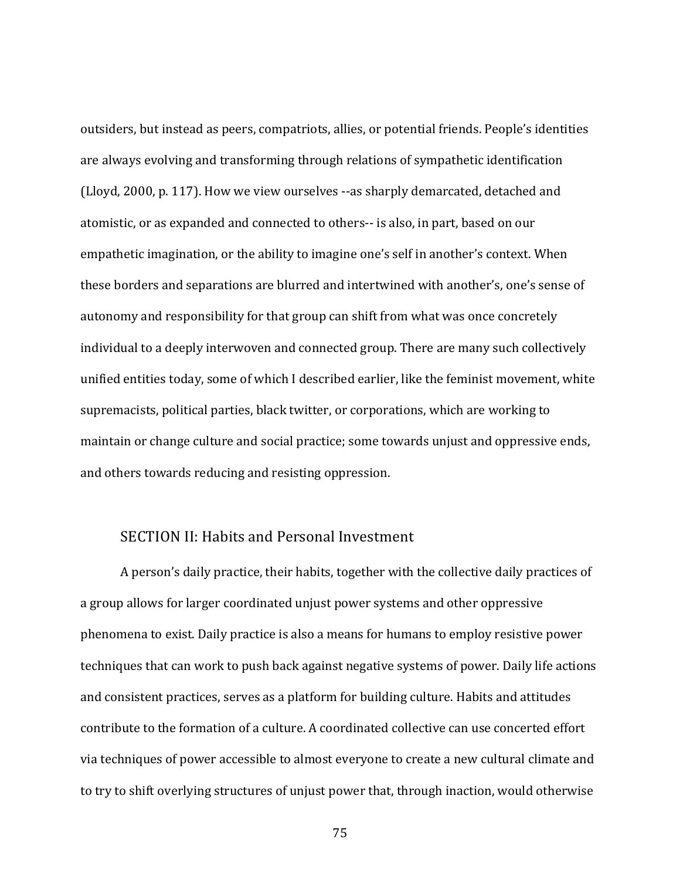outsiders, but instead as peers, compatriots, allies, or potential friends. People's identities are always evolving and transforming through relations of sympathetic identification (Lloyd, 2000, p. 117). How we view ourselves --as sharply demarcated, detached and atomistic, or as expanded and connected to others-- is also, in part, based on our empathetic imagination, or the ability to imagine one's self in another's context. When these borders and separations are blurred and intertwined with another's, one's sense of autonomy and responsibility for that group can shift from what was once concretely individual to a deeply interwoven and connected group. There are many such collectively unified entities today, some of which I described earlier, like the feminist movement, white supremacists, political parties, black twitter, or corporations, which are working to maintain or change culture and social practice; some towards unjust and oppressive ends, and others towards reducing and resisting oppression.

## SECTION II: Habits and Personal Investment

A person's daily practice, their habits, together with the collective daily practices of a group allows for larger coordinated unjust power systems and other oppressive phenomena to exist. Daily practice is also a means for humans to employ resistive power techniques that can work to push back against negative systems of power. Daily life actions and consistent practices, serves as a platform for building culture. Habits and attitudes contribute to the formation of a culture. A coordinated collective can use concerted effort via techniques of power accessible to almost everyone to create a new cultural climate and to try to shift overlying structures of unjust power that, through inaction, would otherwise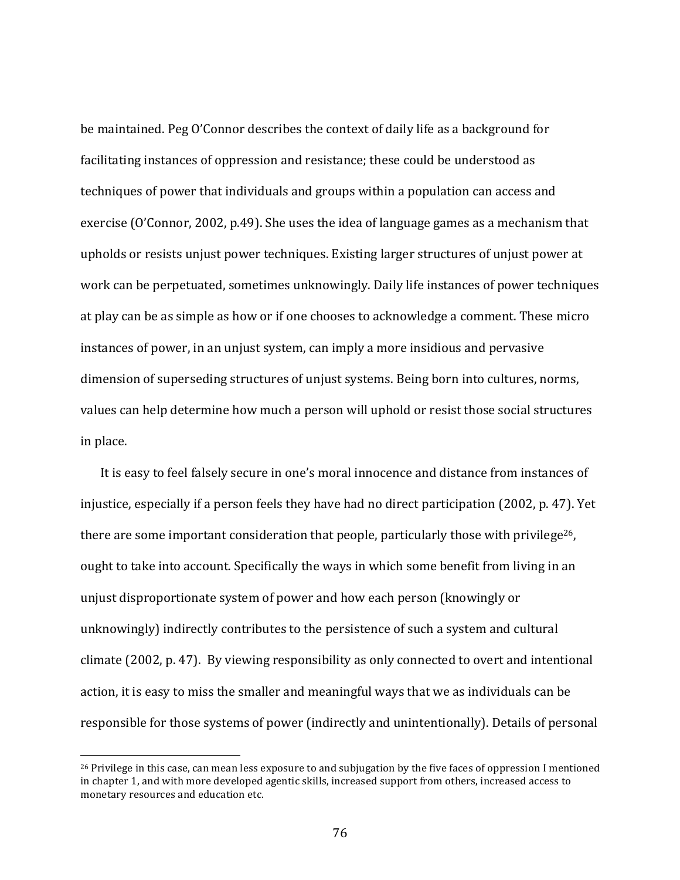be maintained. Peg O'Connor describes the context of daily life as a background for facilitating instances of oppression and resistance; these could be understood as techniques of power that individuals and groups within a population can access and exercise  $(0'Connor, 2002, p.49)$ . She uses the idea of language games as a mechanism that upholds or resists unjust power techniques. Existing larger structures of unjust power at work can be perpetuated, sometimes unknowingly. Daily life instances of power techniques at play can be as simple as how or if one chooses to acknowledge a comment. These micro instances of power, in an unjust system, can imply a more insidious and pervasive dimension of superseding structures of unjust systems. Being born into cultures, norms, values can help determine how much a person will uphold or resist those social structures in place. 

It is easy to feel falsely secure in one's moral innocence and distance from instances of injustice, especially if a person feels they have had no direct participation  $(2002, p. 47)$ . Yet there are some important consideration that people, particularly those with privilege<sup>26</sup>, ought to take into account. Specifically the ways in which some benefit from living in an unjust disproportionate system of power and how each person (knowingly or unknowingly) indirectly contributes to the persistence of such a system and cultural climate  $(2002, p. 47)$ . By viewing responsibility as only connected to overt and intentional action, it is easy to miss the smaller and meaningful ways that we as individuals can be responsible for those systems of power (indirectly and unintentionally). Details of personal

 $^{26}$  Privilege in this case, can mean less exposure to and subjugation by the five faces of oppression I mentioned in chapter 1, and with more developed agentic skills, increased support from others, increased access to monetary resources and education etc.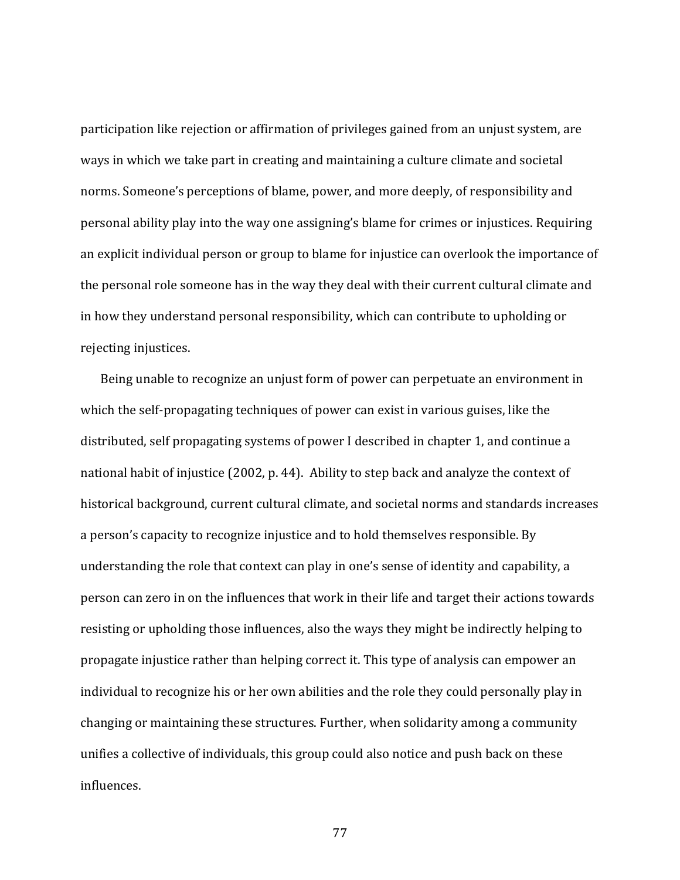participation like rejection or affirmation of privileges gained from an unjust system, are ways in which we take part in creating and maintaining a culture climate and societal norms. Someone's perceptions of blame, power, and more deeply, of responsibility and personal ability play into the way one assigning's blame for crimes or injustices. Requiring an explicit individual person or group to blame for injustice can overlook the importance of the personal role someone has in the way they deal with their current cultural climate and in how they understand personal responsibility, which can contribute to upholding or rejecting injustices.

Being unable to recognize an unjust form of power can perpetuate an environment in which the self-propagating techniques of power can exist in various guises, like the distributed, self propagating systems of power I described in chapter 1, and continue a national habit of injustice (2002, p. 44). Ability to step back and analyze the context of historical background, current cultural climate, and societal norms and standards increases a person's capacity to recognize injustice and to hold themselves responsible. By understanding the role that context can play in one's sense of identity and capability, a person can zero in on the influences that work in their life and target their actions towards resisting or upholding those influences, also the ways they might be indirectly helping to propagate injustice rather than helping correct it. This type of analysis can empower an individual to recognize his or her own abilities and the role they could personally play in changing or maintaining these structures. Further, when solidarity among a community unifies a collective of individuals, this group could also notice and push back on these influences.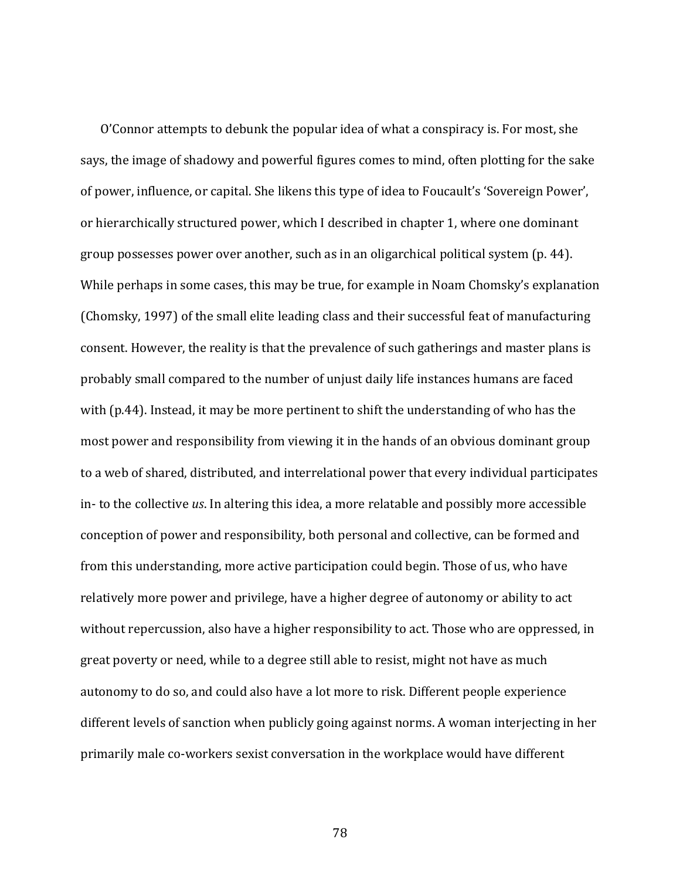O'Connor attempts to debunk the popular idea of what a conspiracy is. For most, she says, the image of shadowy and powerful figures comes to mind, often plotting for the sake of power, influence, or capital. She likens this type of idea to Foucault's 'Sovereign Power', or hierarchically structured power, which I described in chapter 1, where one dominant group possesses power over another, such as in an oligarchical political system  $(p. 44)$ . While perhaps in some cases, this may be true, for example in Noam Chomsky's explanation (Chomsky, 1997) of the small elite leading class and their successful feat of manufacturing consent. However, the reality is that the prevalence of such gatherings and master plans is probably small compared to the number of unjust daily life instances humans are faced with  $(p.44)$ . Instead, it may be more pertinent to shift the understanding of who has the most power and responsibility from viewing it in the hands of an obvious dominant group to a web of shared, distributed, and interrelational power that every individual participates in- to the collective *us*. In altering this idea, a more relatable and possibly more accessible conception of power and responsibility, both personal and collective, can be formed and from this understanding, more active participation could begin. Those of us, who have relatively more power and privilege, have a higher degree of autonomy or ability to act without repercussion, also have a higher responsibility to act. Those who are oppressed, in great poverty or need, while to a degree still able to resist, might not have as much autonomy to do so, and could also have a lot more to risk. Different people experience different levels of sanction when publicly going against norms. A woman interjecting in her primarily male co-workers sexist conversation in the workplace would have different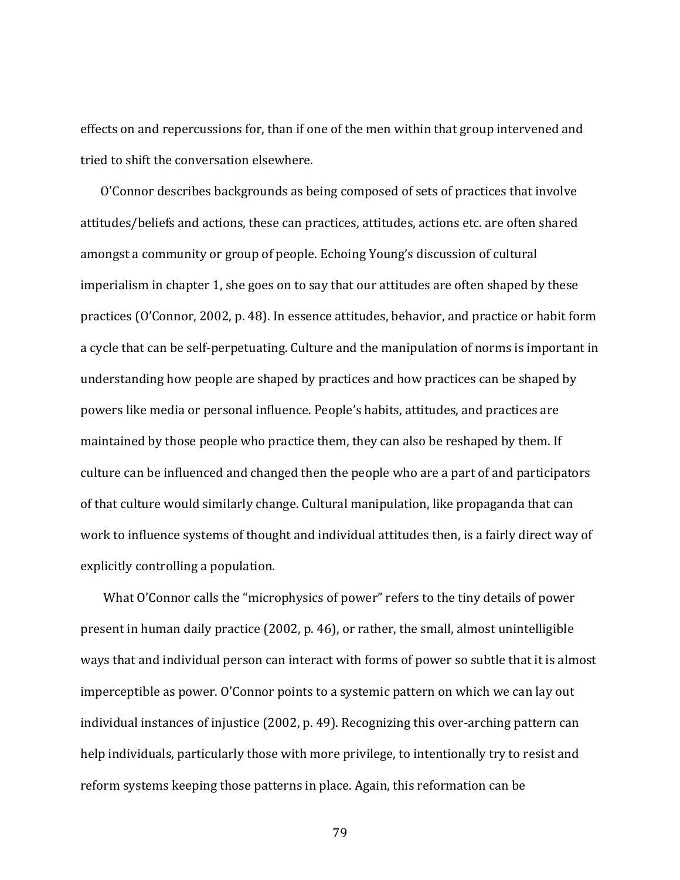effects on and repercussions for, than if one of the men within that group intervened and tried to shift the conversation elsewhere.

O'Connor describes backgrounds as being composed of sets of practices that involve attitudes/beliefs and actions, these can practices, attitudes, actions etc. are often shared amongst a community or group of people. Echoing Young's discussion of cultural imperialism in chapter 1, she goes on to say that our attitudes are often shaped by these practices (O'Connor, 2002, p. 48). In essence attitudes, behavior, and practice or habit form a cycle that can be self-perpetuating. Culture and the manipulation of norms is important in understanding how people are shaped by practices and how practices can be shaped by powers like media or personal influence. People's habits, attitudes, and practices are maintained by those people who practice them, they can also be reshaped by them. If culture can be influenced and changed then the people who are a part of and participators of that culture would similarly change. Cultural manipulation, like propaganda that can work to influence systems of thought and individual attitudes then, is a fairly direct way of explicitly controlling a population.

What O'Connor calls the "microphysics of power" refers to the tiny details of power present in human daily practice  $(2002, p. 46)$ , or rather, the small, almost unintelligible ways that and individual person can interact with forms of power so subtle that it is almost imperceptible as power. O'Connor points to a systemic pattern on which we can lay out individual instances of injustice  $(2002, p. 49)$ . Recognizing this over-arching pattern can help individuals, particularly those with more privilege, to intentionally try to resist and reform systems keeping those patterns in place. Again, this reformation can be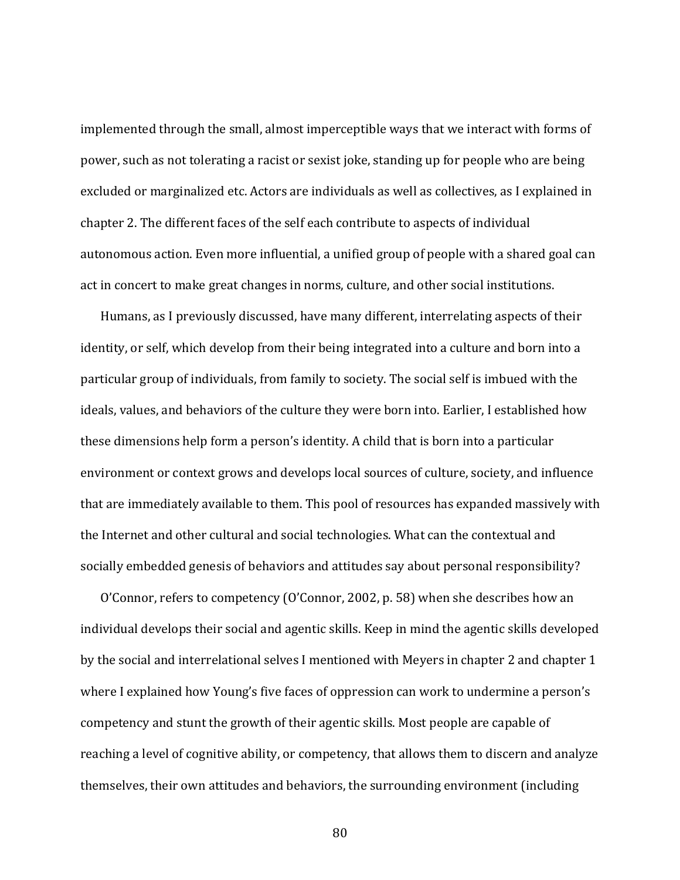implemented through the small, almost imperceptible ways that we interact with forms of power, such as not tolerating a racist or sexist joke, standing up for people who are being excluded or marginalized etc. Actors are individuals as well as collectives, as I explained in chapter 2. The different faces of the self each contribute to aspects of individual autonomous action. Even more influential, a unified group of people with a shared goal can act in concert to make great changes in norms, culture, and other social institutions.

Humans, as I previously discussed, have many different, interrelating aspects of their identity, or self, which develop from their being integrated into a culture and born into a particular group of individuals, from family to society. The social self is imbued with the ideals, values, and behaviors of the culture they were born into. Earlier, I established how these dimensions help form a person's identity. A child that is born into a particular environment or context grows and develops local sources of culture, society, and influence that are immediately available to them. This pool of resources has expanded massively with the Internet and other cultural and social technologies. What can the contextual and socially embedded genesis of behaviors and attitudes say about personal responsibility?

O'Connor, refers to competency (O'Connor, 2002, p. 58) when she describes how an individual develops their social and agentic skills. Keep in mind the agentic skills developed by the social and interrelational selves I mentioned with Meyers in chapter 2 and chapter 1 where I explained how Young's five faces of oppression can work to undermine a person's competency and stunt the growth of their agentic skills. Most people are capable of reaching a level of cognitive ability, or competency, that allows them to discern and analyze themselves, their own attitudes and behaviors, the surrounding environment (including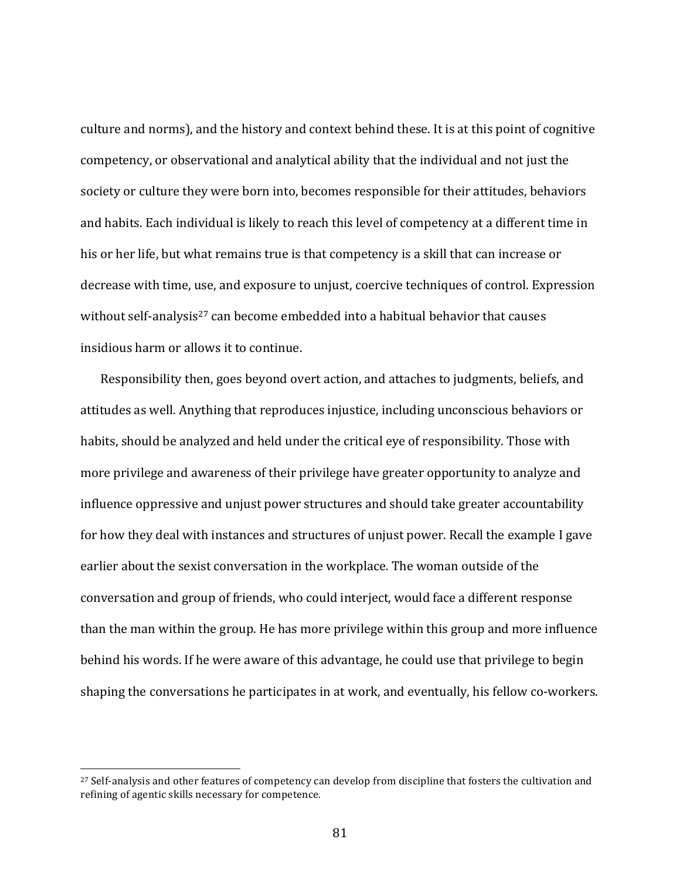culture and norms), and the history and context behind these. It is at this point of cognitive competency, or observational and analytical ability that the individual and not just the society or culture they were born into, becomes responsible for their attitudes, behaviors and habits. Each individual is likely to reach this level of competency at a different time in his or her life, but what remains true is that competency is a skill that can increase or decrease with time, use, and exposure to unjust, coercive techniques of control. Expression without self-analysis<sup>27</sup> can become embedded into a habitual behavior that causes insidious harm or allows it to continue.

Responsibility then, goes beyond overt action, and attaches to judgments, beliefs, and attitudes as well. Anything that reproduces injustice, including unconscious behaviors or habits, should be analyzed and held under the critical eye of responsibility. Those with more privilege and awareness of their privilege have greater opportunity to analyze and influence oppressive and unjust power structures and should take greater accountability for how they deal with instances and structures of unjust power. Recall the example I gave earlier about the sexist conversation in the workplace. The woman outside of the conversation and group of friends, who could interject, would face a different response than the man within the group. He has more privilege within this group and more influence behind his words. If he were aware of this advantage, he could use that privilege to begin shaping the conversations he participates in at work, and eventually, his fellow co-workers.

<sup>&</sup>lt;sup>27</sup> Self-analysis and other features of competency can develop from discipline that fosters the cultivation and refining of agentic skills necessary for competence.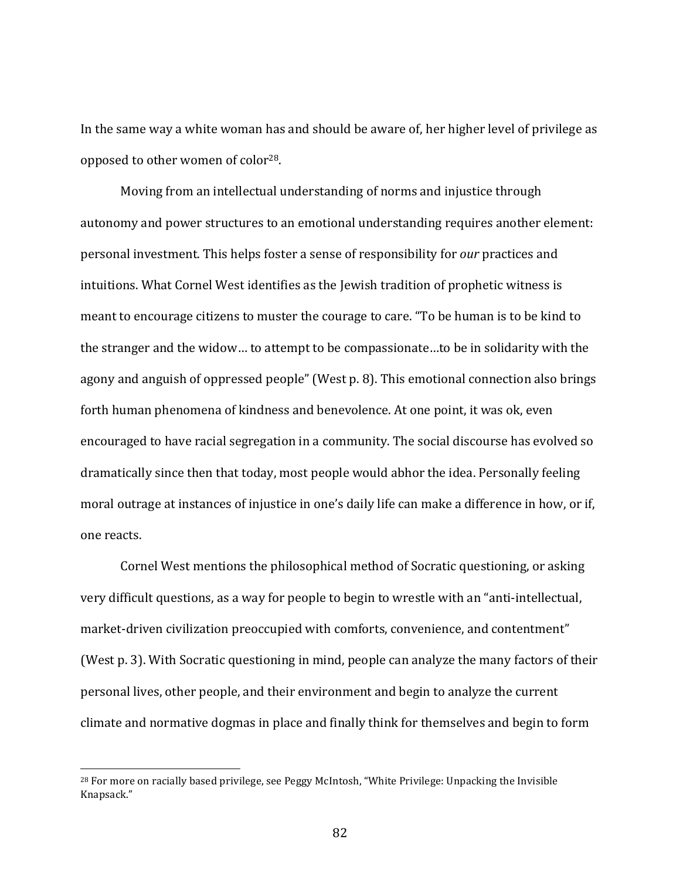In the same way a white woman has and should be aware of, her higher level of privilege as opposed to other women of color<sup>28</sup>.

Moving from an intellectual understanding of norms and injustice through autonomy and power structures to an emotional understanding requires another element: **personal investment. This helps foster a sense of responsibility for** *our* **practices and** intuitions. What Cornel West identifies as the Jewish tradition of prophetic witness is meant to encourage citizens to muster the courage to care. "To be human is to be kind to the stranger and the widow... to attempt to be compassionate...to be in solidarity with the agony and anguish of oppressed people" (West p. 8). This emotional connection also brings forth human phenomena of kindness and benevolence. At one point, it was ok, even encouraged to have racial segregation in a community. The social discourse has evolved so dramatically since then that today, most people would abhor the idea. Personally feeling moral outrage at instances of injustice in one's daily life can make a difference in how, or if, one reacts.

Cornel West mentions the philosophical method of Socratic questioning, or asking very difficult questions, as a way for people to begin to wrestle with an "anti-intellectual, market-driven civilization preoccupied with comforts, convenience, and contentment" (West p. 3). With Socratic questioning in mind, people can analyze the many factors of their personal lives, other people, and their environment and begin to analyze the current climate and normative dogmas in place and finally think for themselves and begin to form

<sup>&</sup>lt;sup>28</sup> For more on racially based privilege, see Peggy McIntosh, "White Privilege: Unpacking the Invisible Knapsack."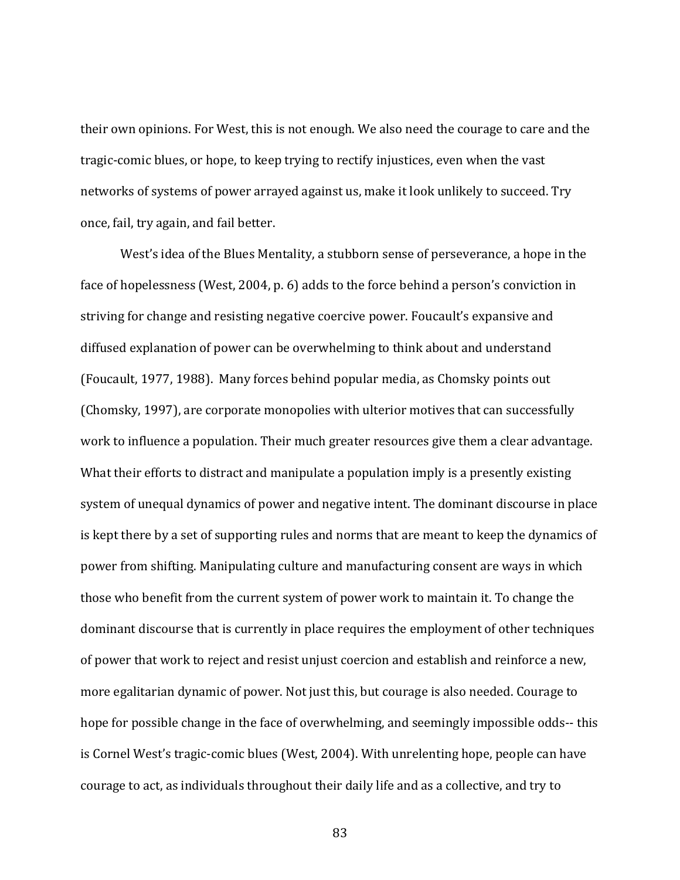their own opinions. For West, this is not enough. We also need the courage to care and the tragic-comic blues, or hope, to keep trying to rectify injustices, even when the vast networks of systems of power arrayed against us, make it look unlikely to succeed. Try once, fail, try again, and fail better.

West's idea of the Blues Mentality, a stubborn sense of perseverance, a hope in the face of hopelessness (West, 2004, p. 6) adds to the force behind a person's conviction in striving for change and resisting negative coercive power. Foucault's expansive and diffused explanation of power can be overwhelming to think about and understand (Foucault, 1977, 1988). Many forces behind popular media, as Chomsky points out (Chomsky, 1997), are corporate monopolies with ulterior motives that can successfully work to influence a population. Their much greater resources give them a clear advantage. What their efforts to distract and manipulate a population imply is a presently existing system of unequal dynamics of power and negative intent. The dominant discourse in place is kept there by a set of supporting rules and norms that are meant to keep the dynamics of power from shifting. Manipulating culture and manufacturing consent are ways in which those who benefit from the current system of power work to maintain it. To change the dominant discourse that is currently in place requires the employment of other techniques of power that work to reject and resist unjust coercion and establish and reinforce a new, more egalitarian dynamic of power. Not just this, but courage is also needed. Courage to hope for possible change in the face of overwhelming, and seemingly impossible odds-- this is Cornel West's tragic-comic blues (West, 2004). With unrelenting hope, people can have courage to act, as individuals throughout their daily life and as a collective, and try to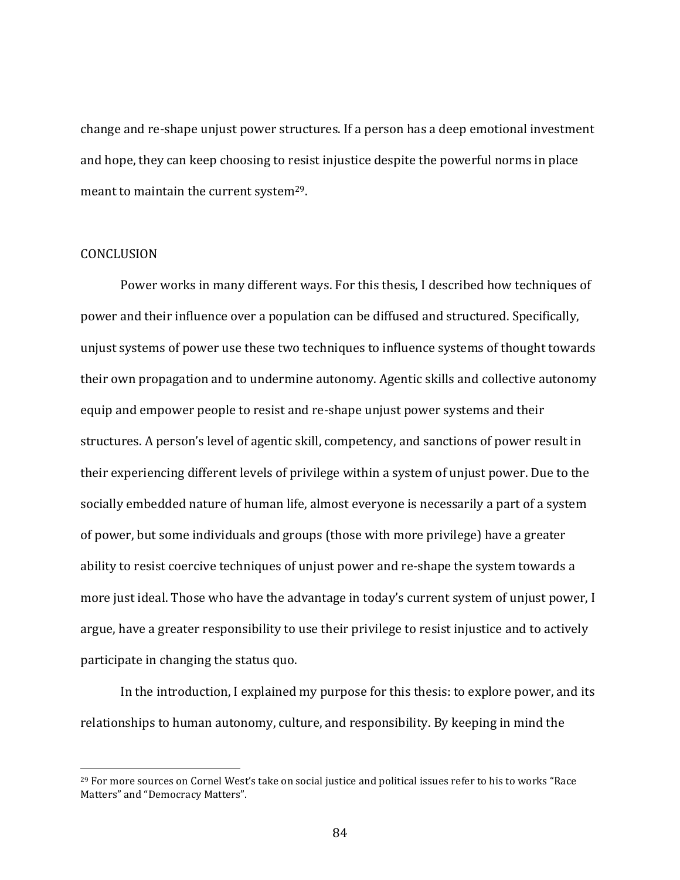change and re-shape unjust power structures. If a person has a deep emotional investment and hope, they can keep choosing to resist injustice despite the powerful norms in place meant to maintain the current system<sup>29</sup>.

## CONCLUSION

 

Power works in many different ways. For this thesis, I described how techniques of power and their influence over a population can be diffused and structured. Specifically, unjust systems of power use these two techniques to influence systems of thought towards their own propagation and to undermine autonomy. Agentic skills and collective autonomy equip and empower people to resist and re-shape unjust power systems and their structures. A person's level of agentic skill, competency, and sanctions of power result in their experiencing different levels of privilege within a system of unjust power. Due to the socially embedded nature of human life, almost everyone is necessarily a part of a system of power, but some individuals and groups (those with more privilege) have a greater ability to resist coercive techniques of unjust power and re-shape the system towards a more just ideal. Those who have the advantage in today's current system of unjust power, I argue, have a greater responsibility to use their privilege to resist injustice and to actively participate in changing the status quo.

In the introduction, I explained my purpose for this thesis: to explore power, and its relationships to human autonomy, culture, and responsibility. By keeping in mind the

 $^{29}$  For more sources on Cornel West's take on social justice and political issues refer to his to works "Race Matters" and "Democracy Matters".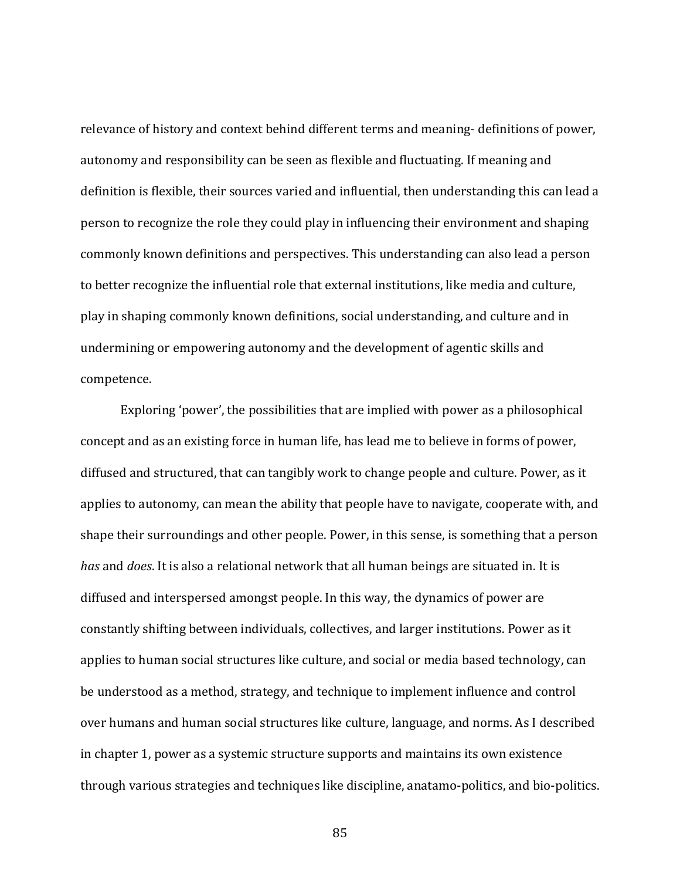relevance of history and context behind different terms and meaning- definitions of power, autonomy and responsibility can be seen as flexible and fluctuating. If meaning and definition is flexible, their sources varied and influential, then understanding this can lead a person to recognize the role they could play in influencing their environment and shaping commonly known definitions and perspectives. This understanding can also lead a person to better recognize the influential role that external institutions, like media and culture, play in shaping commonly known definitions, social understanding, and culture and in undermining or empowering autonomy and the development of agentic skills and competence. 

Exploring 'power', the possibilities that are implied with power as a philosophical concept and as an existing force in human life, has lead me to believe in forms of power, diffused and structured, that can tangibly work to change people and culture. Power, as it applies to autonomy, can mean the ability that people have to navigate, cooperate with, and shape their surroundings and other people. Power, in this sense, is something that a person *has* and *does*. It is also a relational network that all human beings are situated in. It is diffused and interspersed amongst people. In this way, the dynamics of power are constantly shifting between individuals, collectives, and larger institutions. Power as it applies to human social structures like culture, and social or media based technology, can be understood as a method, strategy, and technique to implement influence and control over humans and human social structures like culture, language, and norms. As I described in chapter 1, power as a systemic structure supports and maintains its own existence through various strategies and techniques like discipline, anatamo-politics, and bio-politics.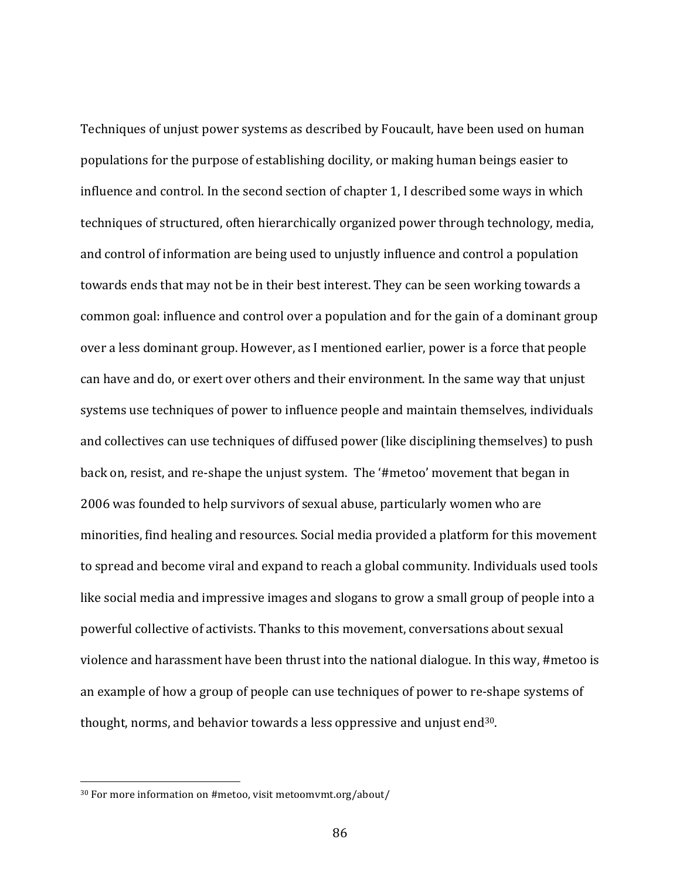Techniques of unjust power systems as described by Foucault, have been used on human populations for the purpose of establishing docility, or making human beings easier to influence and control. In the second section of chapter 1, I described some ways in which techniques of structured, often hierarchically organized power through technology, media, and control of information are being used to unjustly influence and control a population towards ends that may not be in their best interest. They can be seen working towards a common goal: influence and control over a population and for the gain of a dominant group over a less dominant group. However, as I mentioned earlier, power is a force that people can have and do, or exert over others and their environment. In the same way that unjust systems use techniques of power to influence people and maintain themselves, individuals and collectives can use techniques of diffused power (like disciplining themselves) to push back on, resist, and re-shape the unjust system. The '#metoo' movement that began in 2006 was founded to help survivors of sexual abuse, particularly women who are minorities, find healing and resources. Social media provided a platform for this movement to spread and become viral and expand to reach a global community. Individuals used tools like social media and impressive images and slogans to grow a small group of people into a powerful collective of activists. Thanks to this movement, conversations about sexual violence and harassment have been thrust into the national dialogue. In this way, #metoo is an example of how a group of people can use techniques of power to re-shape systems of thought, norms, and behavior towards a less oppressive and unjust end $30$ .

 $30$  For more information on #metoo, visit metoomvmt.org/about/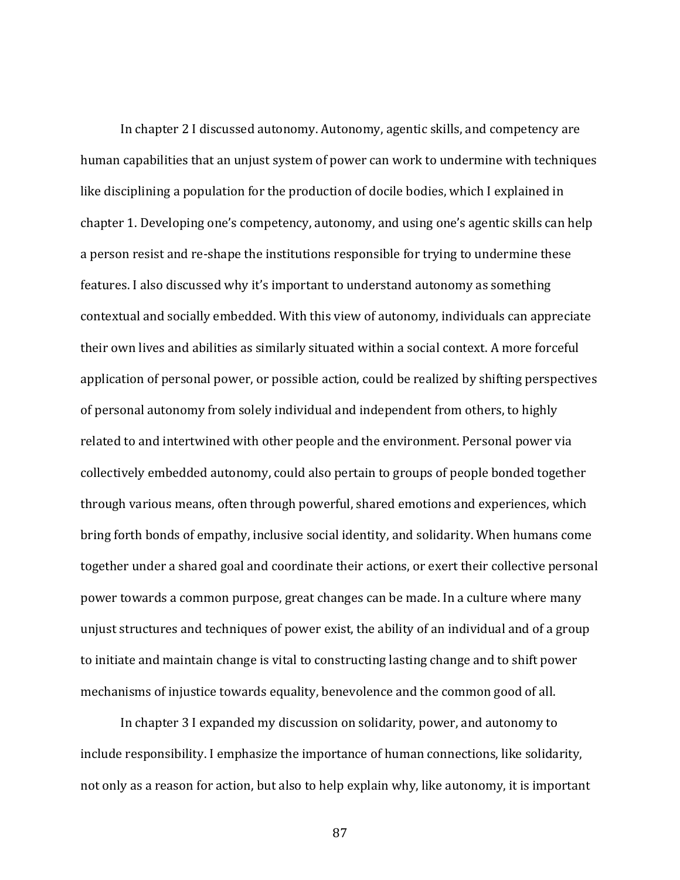In chapter 2 I discussed autonomy. Autonomy, agentic skills, and competency are human capabilities that an unjust system of power can work to undermine with techniques like disciplining a population for the production of docile bodies, which I explained in chapter 1. Developing one's competency, autonomy, and using one's agentic skills can help a person resist and re-shape the institutions responsible for trying to undermine these features. I also discussed why it's important to understand autonomy as something contextual and socially embedded. With this view of autonomy, individuals can appreciate their own lives and abilities as similarly situated within a social context. A more forceful application of personal power, or possible action, could be realized by shifting perspectives of personal autonomy from solely individual and independent from others, to highly related to and intertwined with other people and the environment. Personal power via collectively embedded autonomy, could also pertain to groups of people bonded together through various means, often through powerful, shared emotions and experiences, which bring forth bonds of empathy, inclusive social identity, and solidarity. When humans come together under a shared goal and coordinate their actions, or exert their collective personal power towards a common purpose, great changes can be made. In a culture where many unjust structures and techniques of power exist, the ability of an individual and of a group to initiate and maintain change is vital to constructing lasting change and to shift power mechanisms of injustice towards equality, benevolence and the common good of all.

In chapter 3 I expanded my discussion on solidarity, power, and autonomy to include responsibility. I emphasize the importance of human connections, like solidarity, not only as a reason for action, but also to help explain why, like autonomy, it is important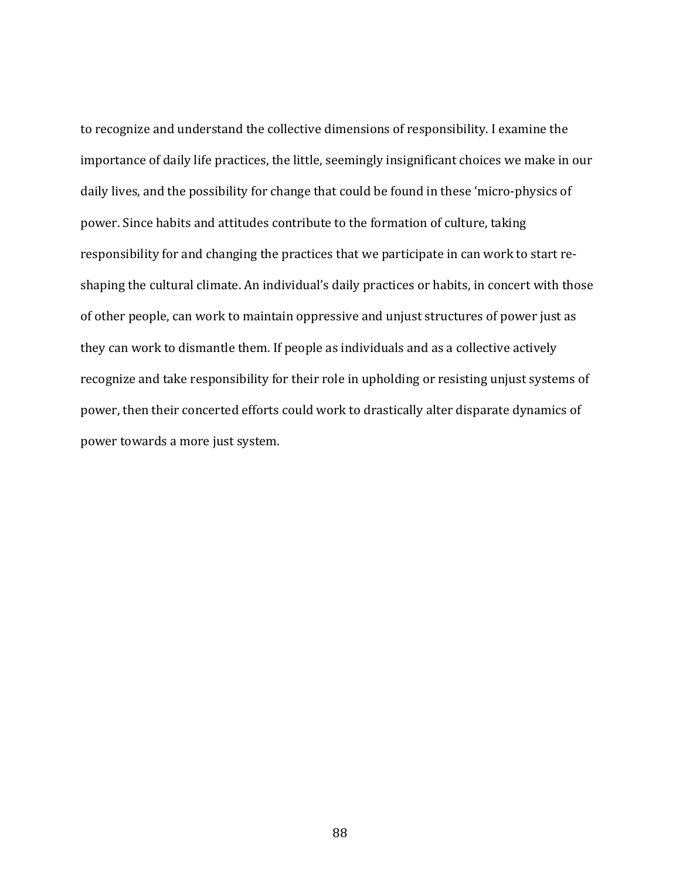to recognize and understand the collective dimensions of responsibility. I examine the importance of daily life practices, the little, seemingly insignificant choices we make in our daily lives, and the possibility for change that could be found in these 'micro-physics of power. Since habits and attitudes contribute to the formation of culture, taking responsibility for and changing the practices that we participate in can work to start reshaping the cultural climate. An individual's daily practices or habits, in concert with those of other people, can work to maintain oppressive and unjust structures of power just as they can work to dismantle them. If people as individuals and as a collective actively recognize and take responsibility for their role in upholding or resisting unjust systems of power, then their concerted efforts could work to drastically alter disparate dynamics of power towards a more just system.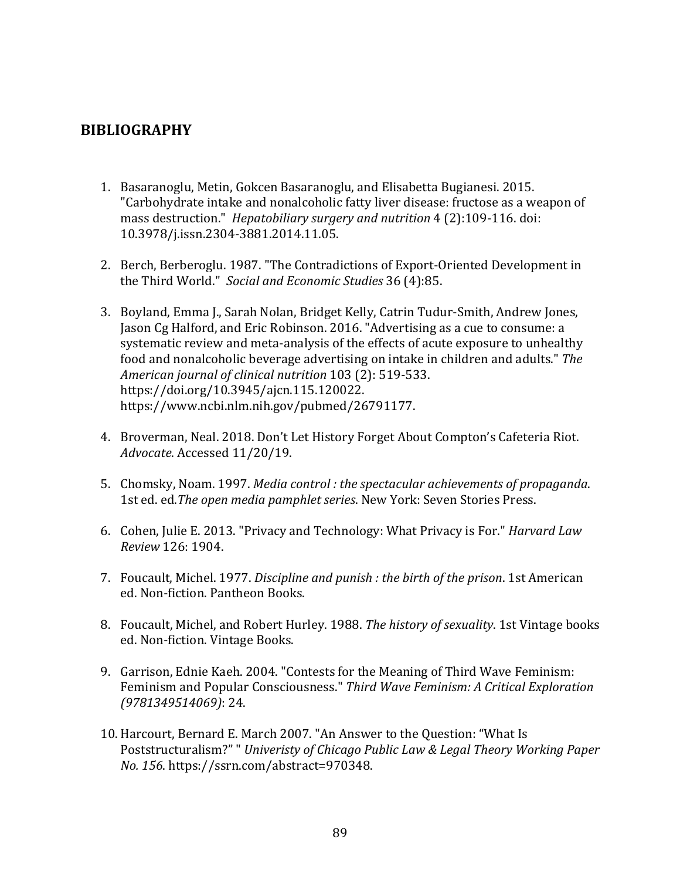## **BIBLIOGRAPHY**

- 1. Basaranoglu, Metin, Gokcen Basaranoglu, and Elisabetta Bugianesi. 2015. "Carbohydrate intake and nonalcoholic fatty liver disease: fructose as a weapon of mass destruction." *Hepatobiliary surgery and nutrition* 4 (2):109-116. doi: 10.3978/j.issn.2304-3881.2014.11.05.
- 2. Berch, Berberoglu. 1987. "The Contradictions of Export-Oriented Development in the Third World." Social and Economic Studies 36 (4):85.
- 3. Boyland, Emma J., Sarah Nolan, Bridget Kelly, Catrin Tudur-Smith, Andrew Jones, Jason Cg Halford, and Eric Robinson. 2016. "Advertising as a cue to consume: a systematic review and meta-analysis of the effects of acute exposure to unhealthy food and nonalcoholic beverage advertising on intake in children and adults." The *American journal of clinical nutrition* 103 (2): 519-533. https://doi.org/10.3945/ajcn.115.120022. https://www.ncbi.nlm.nih.gov/pubmed/26791177.
- 4. Broverman, Neal. 2018. Don't Let History Forget About Compton's Cafeteria Riot. *Advocate*. Accessed 11/20/19.
- 5. Chomsky, Noam. 1997. *Media control : the spectacular achievements of propaganda*. 1st ed. ed. The open media pamphlet series. New York: Seven Stories Press.
- 6. Cohen, Julie E. 2013. "Privacy and Technology: What Privacy is For." *Harvard Law Review* 126: 1904.
- 7. Foucault, Michel. 1977. *Discipline and punish : the birth of the prison*. 1st American ed. Non-fiction. Pantheon Books.
- 8. Foucault, Michel, and Robert Hurley. 1988. *The history of sexuality*. 1st Vintage books ed. Non-fiction. Vintage Books.
- 9. Garrison, Ednie Kaeh. 2004. "Contests for the Meaning of Third Wave Feminism: Feminism and Popular Consciousness." Third Wave Feminism: A Critical Exploration *(9781349514069)*: 24.
- 10. Harcourt, Bernard E. March 2007. "An Answer to the Question: "What Is Poststructuralism?" " Univeristy of Chicago Public Law & Legal Theory Working Paper *No. 156*. https://ssrn.com/abstract=970348.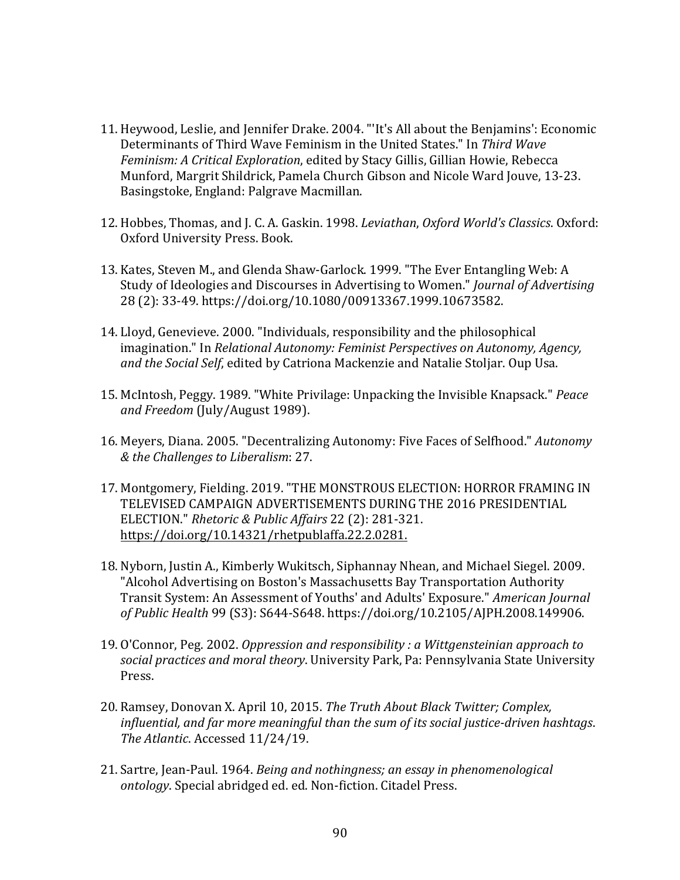- 11. Heywood, Leslie, and Jennifer Drake. 2004. "'It's All about the Benjamins': Economic Determinants of Third Wave Feminism in the United States." In Third Wave *Feminism: A Critical Exploration, edited by Stacy Gillis, Gillian Howie, Rebecca* Munford, Margrit Shildrick, Pamela Church Gibson and Nicole Ward Jouve, 13-23. Basingstoke, England: Palgrave Macmillan.
- 12. Hobbes, Thomas, and J. C. A. Gaskin. 1998. *Leviathan, Oxford World's Classics*. Oxford: Oxford University Press. Book.
- 13. Kates, Steven M., and Glenda Shaw-Garlock. 1999. "The Ever Entangling Web: A Study of Ideologies and Discourses in Advertising to Women." *Journal of Advertising* 28 (2): 33-49. https://doi.org/10.1080/00913367.1999.10673582.
- 14. Lloyd, Genevieve. 2000. "Individuals, responsibility and the philosophical imagination." In *Relational Autonomy: Feminist Perspectives on Autonomy, Agency,* and the Social Self, edited by Catriona Mackenzie and Natalie Stoljar. Oup Usa.
- 15. McIntosh, Peggy. 1989. "White Privilage: Unpacking the Invisible Knapsack." *Peace* and Freedom (July/August 1989).
- 16. Meyers, Diana. 2005. "Decentralizing Autonomy: Five Faces of Selfhood." *Autonomy & the Challenges to Liberalism*: 27.
- 17. Montgomery, Fielding. 2019. "THE MONSTROUS ELECTION: HORROR FRAMING IN TELEVISED CAMPAIGN ADVERTISEMENTS DURING THE 2016 PRESIDENTIAL ELECTION." *Rhetoric & Public Affairs* 22 (2): 281-321. https://doi.org/10.14321/rhetpublaffa.22.2.0281.
- 18. Nyborn, Justin A., Kimberly Wukitsch, Siphannay Nhean, and Michael Siegel. 2009. "Alcohol Advertising on Boston's Massachusetts Bay Transportation Authority Transit System: An Assessment of Youths' and Adults' Exposure." *American Journal of Public Health* 99 (S3): S644-S648. https://doi.org/10.2105/AJPH.2008.149906.
- 19. O'Connor, Peg. 2002. *Oppression and responsibility : a Wittgensteinian approach to* social practices and moral theory. University Park, Pa: Pennsylvania State University Press.
- 20. Ramsey, Donovan X. April 10, 2015. *The Truth About Black Twitter; Complex,* influential, and far more meaningful than the sum of its social justice-driven hashtags. The Atlantic. Accessed 11/24/19.
- 21. Sartre, Jean-Paul. 1964. *Being and nothingness; an essay in phenomenological ontology*. Special abridged ed. ed. Non-fiction. Citadel Press.